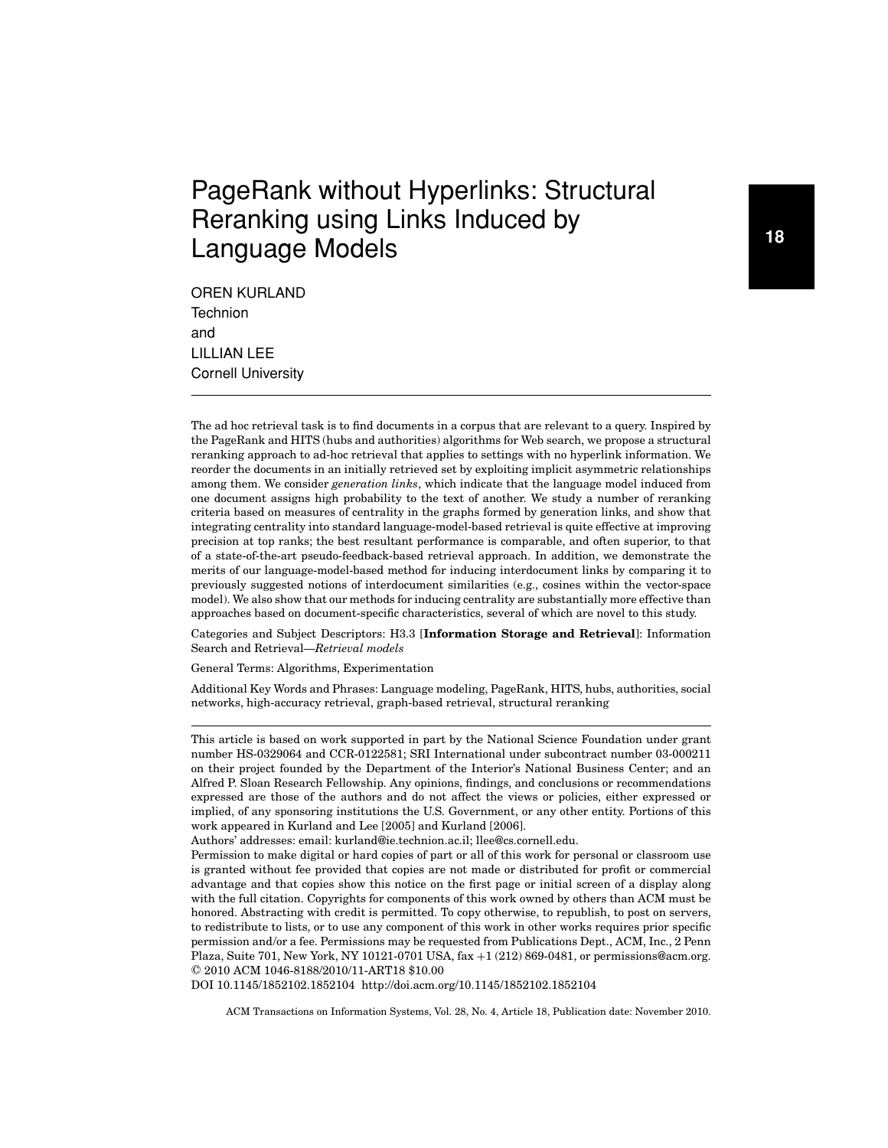# PageRank without Hyperlinks: Structural Reranking using Links Induced by Language Models

OREN KURLAND **Technion** and LILLIAN LEE Cornell University

The ad hoc retrieval task is to find documents in a corpus that are relevant to a query. Inspired by the PageRank and HITS (hubs and authorities) algorithms for Web search, we propose a structural reranking approach to ad-hoc retrieval that applies to settings with no hyperlink information. We reorder the documents in an initially retrieved set by exploiting implicit asymmetric relationships among them. We consider *generation links*, which indicate that the language model induced from one document assigns high probability to the text of another. We study a number of reranking criteria based on measures of centrality in the graphs formed by generation links, and show that integrating centrality into standard language-model-based retrieval is quite effective at improving precision at top ranks; the best resultant performance is comparable, and often superior, to that of a state-of-the-art pseudo-feedback-based retrieval approach. In addition, we demonstrate the merits of our language-model-based method for inducing interdocument links by comparing it to previously suggested notions of interdocument similarities (e.g., cosines within the vector-space model). We also show that our methods for inducing centrality are substantially more effective than approaches based on document-specific characteristics, several of which are novel to this study.

Categories and Subject Descriptors: H3.3 [**Information Storage and Retrieval**]: Information Search and Retrieval—*Retrieval models*

General Terms: Algorithms, Experimentation

Additional Key Words and Phrases: Language modeling, PageRank, HITS, hubs, authorities, social networks, high-accuracy retrieval, graph-based retrieval, structural reranking

Authors' addresses: email: kurland@ie.technion.ac.il; llee@cs.cornell.edu.

DOI 10.1145/1852102.1852104 http://doi.acm.org/10.1145/1852102.1852104

This article is based on work supported in part by the National Science Foundation under grant number HS-0329064 and CCR-0122581; SRI International under subcontract number 03-000211 on their project founded by the Department of the Interior's National Business Center; and an Alfred P. Sloan Research Fellowship. Any opinions, findings, and conclusions or recommendations expressed are those of the authors and do not affect the views or policies, either expressed or implied, of any sponsoring institutions the U.S. Government, or any other entity. Portions of this work appeared in Kurland and Lee [2005] and Kurland [2006].

Permission to make digital or hard copies of part or all of this work for personal or classroom use is granted without fee provided that copies are not made or distributed for profit or commercial advantage and that copies show this notice on the first page or initial screen of a display along with the full citation. Copyrights for components of this work owned by others than ACM must be honored. Abstracting with credit is permitted. To copy otherwise, to republish, to post on servers, to redistribute to lists, or to use any component of this work in other works requires prior specific permission and/or a fee. Permissions may be requested from Publications Dept., ACM, Inc., 2 Penn Plaza, Suite 701, New York, NY 10121-0701 USA, fax +1 (212) 869-0481, or permissions@acm.org. -C 2010 ACM 1046-8188/2010/11-ART18 \$10.00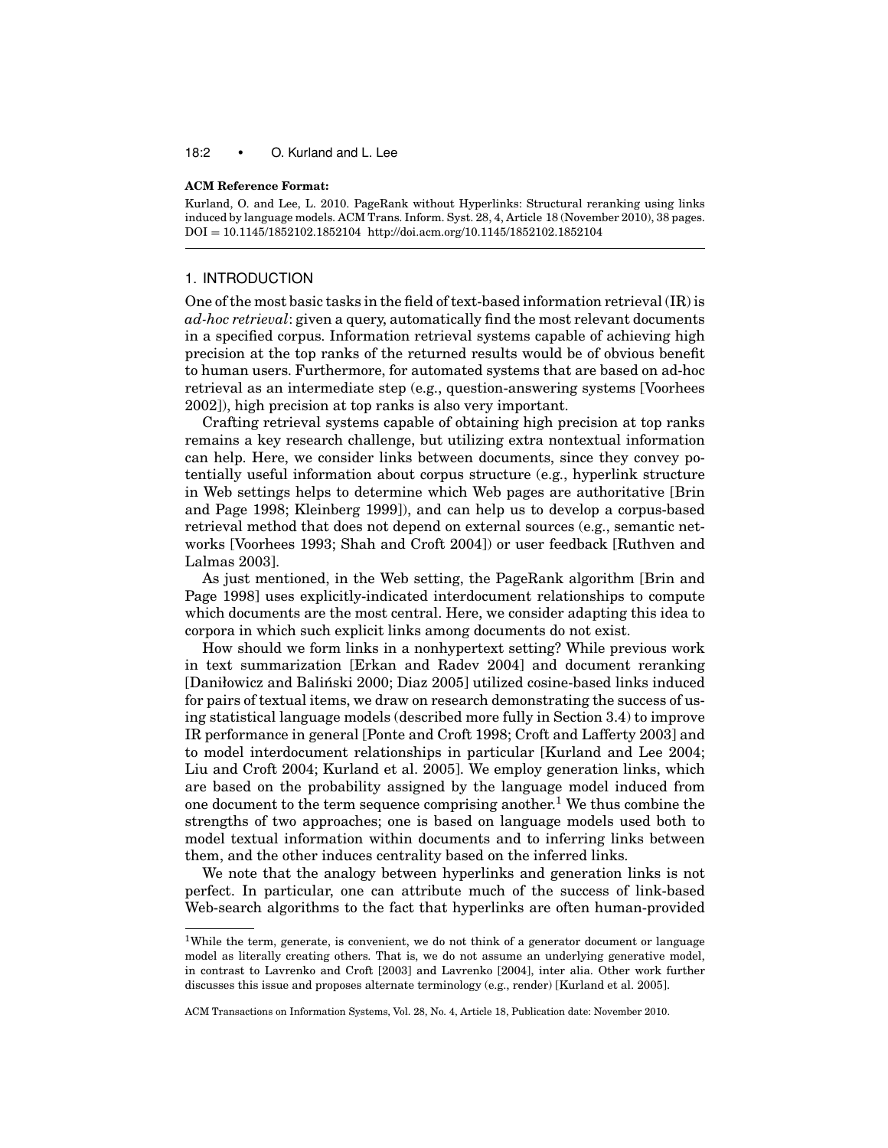# 18:2 • O. Kurland and L. Lee

#### **ACM Reference Format:**

Kurland, O. and Lee, L. 2010. PageRank without Hyperlinks: Structural reranking using links induced by language models. ACM Trans. Inform. Syst. 28, 4, Article 18 (November 2010), 38 pages. DOI = 10.1145/1852102.1852104 http://doi.acm.org/10.1145/1852102.1852104

## 1. INTRODUCTION

One of the most basic tasks in the field of text-based information retrieval (IR) is *ad-hoc retrieval*: given a query, automatically find the most relevant documents in a specified corpus. Information retrieval systems capable of achieving high precision at the top ranks of the returned results would be of obvious benefit to human users. Furthermore, for automated systems that are based on ad-hoc retrieval as an intermediate step (e.g., question-answering systems [Voorhees 2002]), high precision at top ranks is also very important.

Crafting retrieval systems capable of obtaining high precision at top ranks remains a key research challenge, but utilizing extra nontextual information can help. Here, we consider links between documents, since they convey potentially useful information about corpus structure (e.g., hyperlink structure in Web settings helps to determine which Web pages are authoritative [Brin and Page 1998; Kleinberg 1999]), and can help us to develop a corpus-based retrieval method that does not depend on external sources (e.g., semantic networks [Voorhees 1993; Shah and Croft 2004]) or user feedback [Ruthven and Lalmas 2003].

As just mentioned, in the Web setting, the PageRank algorithm [Brin and Page 1998] uses explicitly-indicated interdocument relationships to compute which documents are the most central. Here, we consider adapting this idea to corpora in which such explicit links among documents do not exist.

How should we form links in a nonhypertext setting? While previous work in text summarization [Erkan and Radev 2004] and document reranking [Daniłowicz and Balinski 2000; Diaz 2005] utilized cosine-based links induced ´ for pairs of textual items, we draw on research demonstrating the success of using statistical language models (described more fully in Section 3.4) to improve IR performance in general [Ponte and Croft 1998; Croft and Lafferty 2003] and to model interdocument relationships in particular [Kurland and Lee 2004; Liu and Croft 2004; Kurland et al. 2005]. We employ generation links, which are based on the probability assigned by the language model induced from one document to the term sequence comprising another.1 We thus combine the strengths of two approaches; one is based on language models used both to model textual information within documents and to inferring links between them, and the other induces centrality based on the inferred links.

We note that the analogy between hyperlinks and generation links is not perfect. In particular, one can attribute much of the success of link-based Web-search algorithms to the fact that hyperlinks are often human-provided

<sup>&</sup>lt;sup>1</sup>While the term, generate, is convenient, we do not think of a generator document or language model as literally creating others. That is, we do not assume an underlying generative model, in contrast to Lavrenko and Croft [2003] and Lavrenko [2004], inter alia. Other work further discusses this issue and proposes alternate terminology (e.g., render) [Kurland et al. 2005].

ACM Transactions on Information Systems, Vol. 28, No. 4, Article 18, Publication date: November 2010.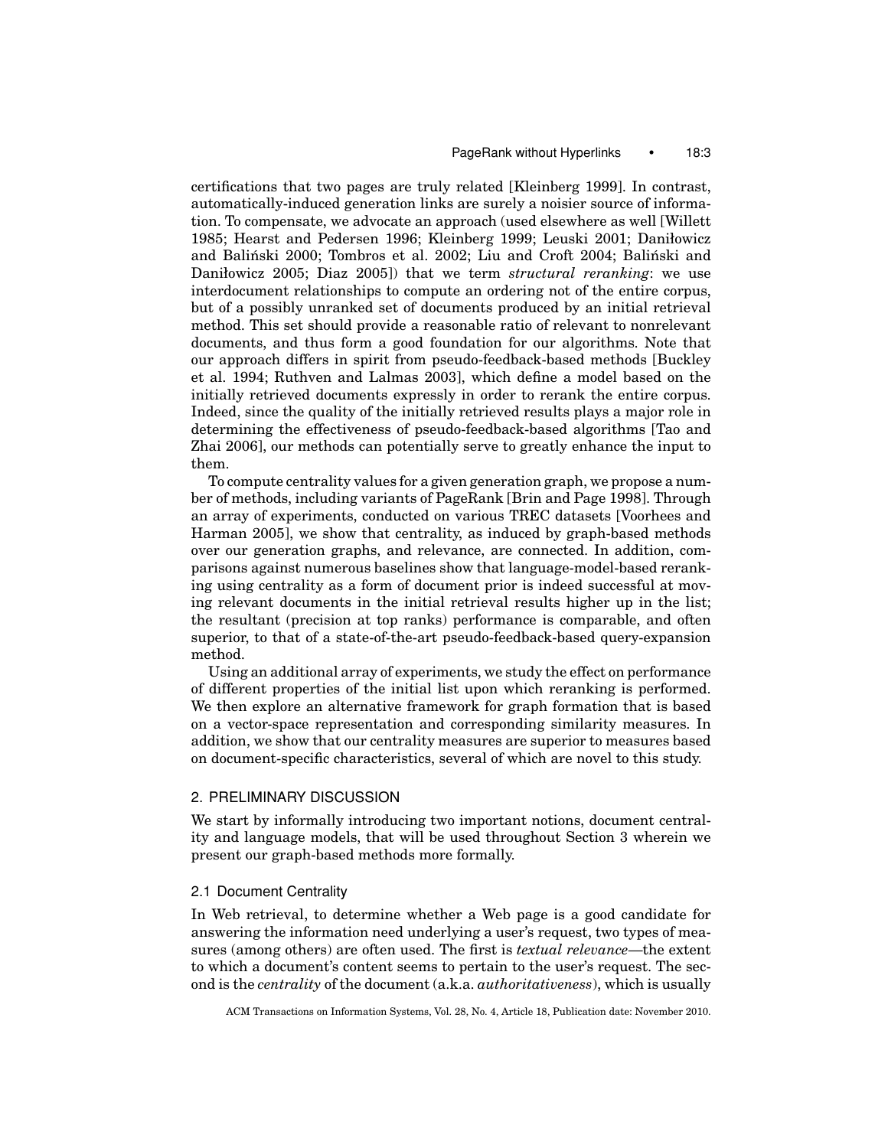## PageRank without Hyperlinks • 18:3

certifications that two pages are truly related [Kleinberg 1999]. In contrast, automatically-induced generation links are surely a noisier source of information. To compensate, we advocate an approach (used elsewhere as well [Willett 1985; Hearst and Pedersen 1996; Kleinberg 1999; Leuski 2001; Daniłowicz and Balinski 2000; Tombros et al. 2002; Liu and Croft 2004; Balinski and Daniłowicz 2005; Diaz 2005]) that we term *structural reranking*: we use interdocument relationships to compute an ordering not of the entire corpus, but of a possibly unranked set of documents produced by an initial retrieval method. This set should provide a reasonable ratio of relevant to nonrelevant documents, and thus form a good foundation for our algorithms. Note that our approach differs in spirit from pseudo-feedback-based methods [Buckley et al. 1994; Ruthven and Lalmas 2003], which define a model based on the initially retrieved documents expressly in order to rerank the entire corpus. Indeed, since the quality of the initially retrieved results plays a major role in determining the effectiveness of pseudo-feedback-based algorithms [Tao and Zhai 2006], our methods can potentially serve to greatly enhance the input to them.

To compute centrality values for a given generation graph, we propose a number of methods, including variants of PageRank [Brin and Page 1998]. Through an array of experiments, conducted on various TREC datasets [Voorhees and Harman 2005], we show that centrality, as induced by graph-based methods over our generation graphs, and relevance, are connected. In addition, comparisons against numerous baselines show that language-model-based reranking using centrality as a form of document prior is indeed successful at moving relevant documents in the initial retrieval results higher up in the list; the resultant (precision at top ranks) performance is comparable, and often superior, to that of a state-of-the-art pseudo-feedback-based query-expansion method.

Using an additional array of experiments, we study the effect on performance of different properties of the initial list upon which reranking is performed. We then explore an alternative framework for graph formation that is based on a vector-space representation and corresponding similarity measures. In addition, we show that our centrality measures are superior to measures based on document-specific characteristics, several of which are novel to this study.

# 2. PRELIMINARY DISCUSSION

We start by informally introducing two important notions, document centrality and language models, that will be used throughout Section 3 wherein we present our graph-based methods more formally.

## 2.1 Document Centrality

In Web retrieval, to determine whether a Web page is a good candidate for answering the information need underlying a user's request, two types of measures (among others) are often used. The first is *textual relevance*—the extent to which a document's content seems to pertain to the user's request. The second is the *centrality* of the document (a.k.a. *authoritativeness*), which is usually

ACM Transactions on Information Systems, Vol. 28, No. 4, Article 18, Publication date: November 2010.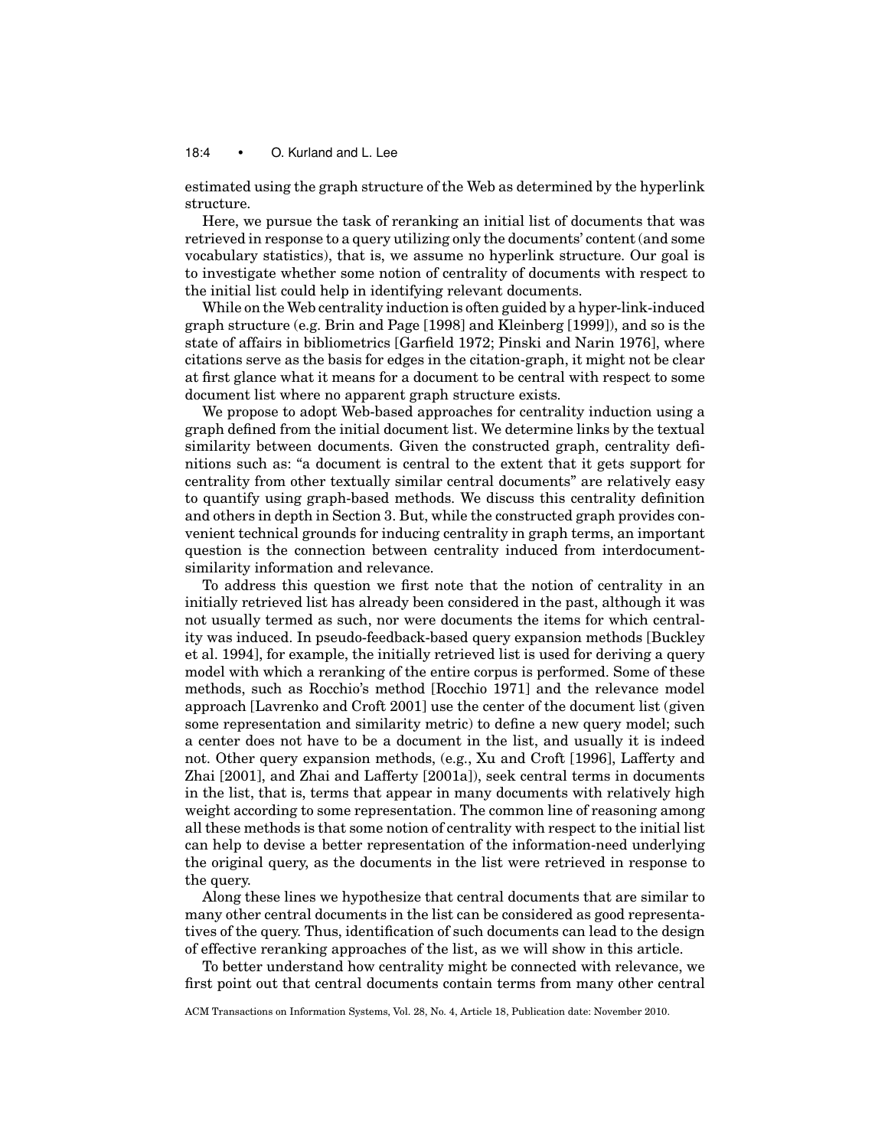# 18:4 • O. Kurland and L. Lee

estimated using the graph structure of the Web as determined by the hyperlink structure.

Here, we pursue the task of reranking an initial list of documents that was retrieved in response to a query utilizing only the documents' content (and some vocabulary statistics), that is, we assume no hyperlink structure. Our goal is to investigate whether some notion of centrality of documents with respect to the initial list could help in identifying relevant documents.

While on the Web centrality induction is often guided by a hyper-link-induced graph structure (e.g. Brin and Page [1998] and Kleinberg [1999]), and so is the state of affairs in bibliometrics [Garfield 1972; Pinski and Narin 1976], where citations serve as the basis for edges in the citation-graph, it might not be clear at first glance what it means for a document to be central with respect to some document list where no apparent graph structure exists.

We propose to adopt Web-based approaches for centrality induction using a graph defined from the initial document list. We determine links by the textual similarity between documents. Given the constructed graph, centrality definitions such as: "a document is central to the extent that it gets support for centrality from other textually similar central documents" are relatively easy to quantify using graph-based methods. We discuss this centrality definition and others in depth in Section 3. But, while the constructed graph provides convenient technical grounds for inducing centrality in graph terms, an important question is the connection between centrality induced from interdocumentsimilarity information and relevance.

To address this question we first note that the notion of centrality in an initially retrieved list has already been considered in the past, although it was not usually termed as such, nor were documents the items for which centrality was induced. In pseudo-feedback-based query expansion methods [Buckley et al. 1994], for example, the initially retrieved list is used for deriving a query model with which a reranking of the entire corpus is performed. Some of these methods, such as Rocchio's method [Rocchio 1971] and the relevance model approach [Lavrenko and Croft 2001] use the center of the document list (given some representation and similarity metric) to define a new query model; such a center does not have to be a document in the list, and usually it is indeed not. Other query expansion methods, (e.g., Xu and Croft [1996], Lafferty and Zhai [2001], and Zhai and Lafferty [2001a]), seek central terms in documents in the list, that is, terms that appear in many documents with relatively high weight according to some representation. The common line of reasoning among all these methods is that some notion of centrality with respect to the initial list can help to devise a better representation of the information-need underlying the original query, as the documents in the list were retrieved in response to the query.

Along these lines we hypothesize that central documents that are similar to many other central documents in the list can be considered as good representatives of the query. Thus, identification of such documents can lead to the design of effective reranking approaches of the list, as we will show in this article.

To better understand how centrality might be connected with relevance, we first point out that central documents contain terms from many other central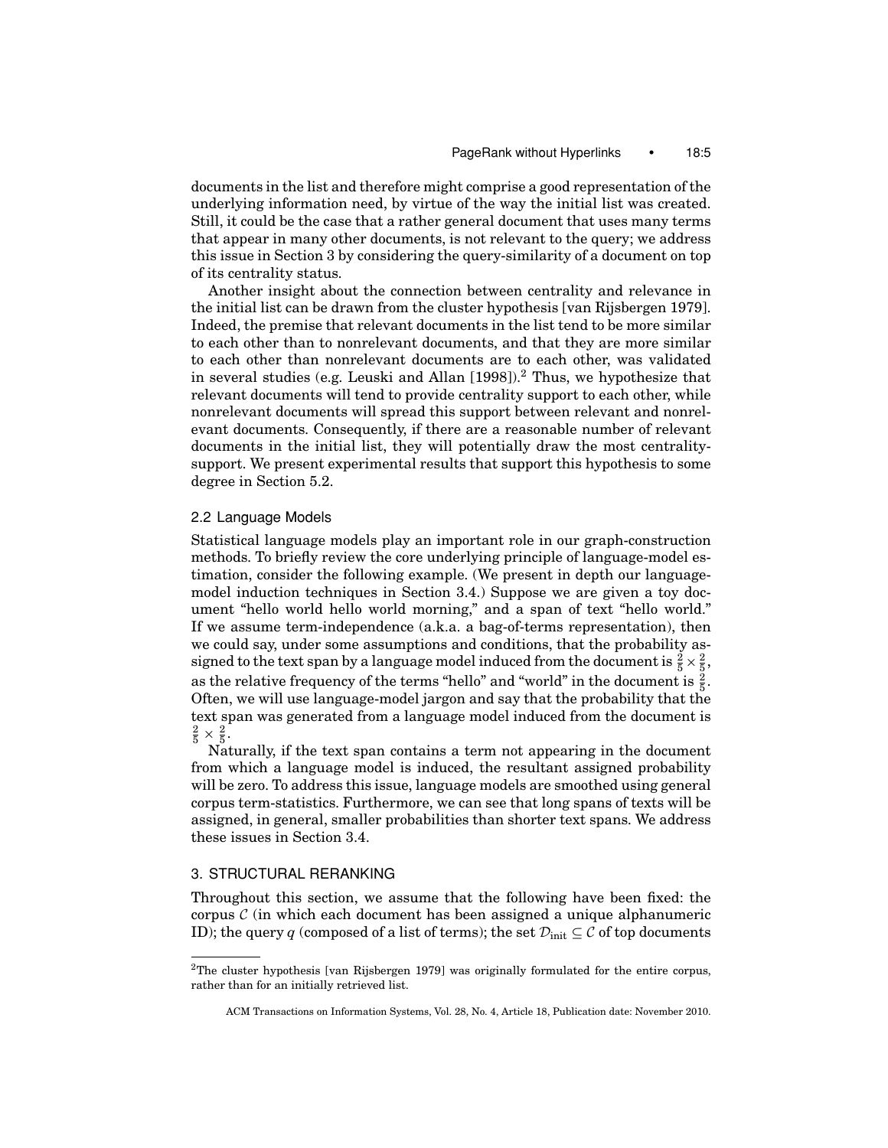documents in the list and therefore might comprise a good representation of the underlying information need, by virtue of the way the initial list was created. Still, it could be the case that a rather general document that uses many terms that appear in many other documents, is not relevant to the query; we address this issue in Section 3 by considering the query-similarity of a document on top of its centrality status.

Another insight about the connection between centrality and relevance in the initial list can be drawn from the cluster hypothesis [van Rijsbergen 1979]. Indeed, the premise that relevant documents in the list tend to be more similar to each other than to nonrelevant documents, and that they are more similar to each other than nonrelevant documents are to each other, was validated in several studies (e.g. Leuski and Allan [1998]).<sup>2</sup> Thus, we hypothesize that relevant documents will tend to provide centrality support to each other, while nonrelevant documents will spread this support between relevant and nonrelevant documents. Consequently, if there are a reasonable number of relevant documents in the initial list, they will potentially draw the most centralitysupport. We present experimental results that support this hypothesis to some degree in Section 5.2.

# 2.2 Language Models

Statistical language models play an important role in our graph-construction methods. To briefly review the core underlying principle of language-model estimation, consider the following example. (We present in depth our languagemodel induction techniques in Section 3.4.) Suppose we are given a toy document "hello world hello world morning," and a span of text "hello world." If we assume term-independence (a.k.a. a bag-of-terms representation), then we could say, under some assumptions and conditions, that the probability assigned to the text span by a language model induced from the document is  $\frac{2}{5} \times \frac{2}{5}$ , as the relative frequency of the terms "hello" and "world" in the document is  $\frac{2}{5}$ . Often, we will use language-model jargon and say that the probability that the text span was generated from a language model induced from the document is  $rac{2}{5} \times \frac{2}{5}$ .

Naturally, if the text span contains a term not appearing in the document from which a language model is induced, the resultant assigned probability will be zero. To address this issue, language models are smoothed using general corpus term-statistics. Furthermore, we can see that long spans of texts will be assigned, in general, smaller probabilities than shorter text spans. We address these issues in Section 3.4.

# 3. STRUCTURAL RERANKING

Throughout this section, we assume that the following have been fixed: the corpus  $C$  (in which each document has been assigned a unique alphanumeric ID); the query *q* (composed of a list of terms); the set  $\mathcal{D}_{init} \subseteq \mathcal{C}$  of top documents

<sup>2</sup>The cluster hypothesis [van Rijsbergen 1979] was originally formulated for the entire corpus, rather than for an initially retrieved list.

ACM Transactions on Information Systems, Vol. 28, No. 4, Article 18, Publication date: November 2010.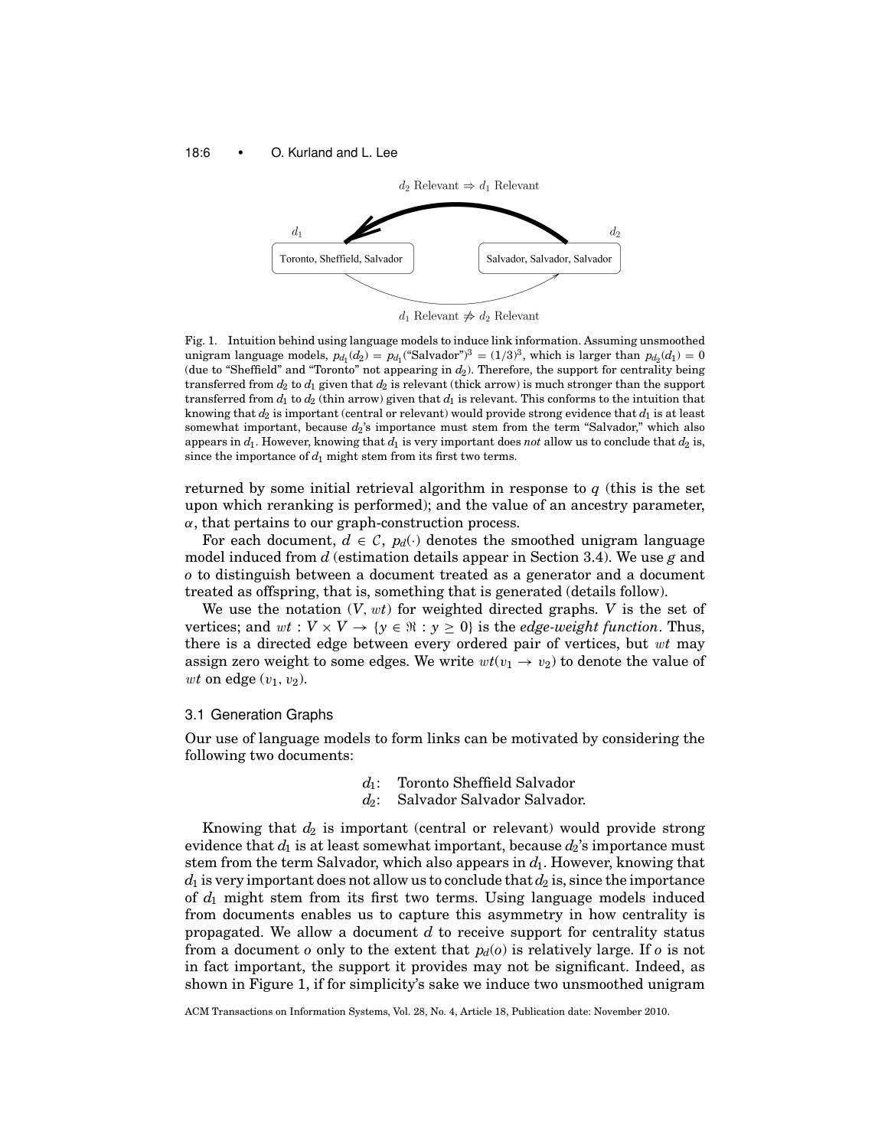## 18:6 • O. Kurland and L. Lee



Fig. 1. Intuition behind using language models to induce link information. Assuming unsmoothed unigram language models,  $p_d_1(d_2) = p_d_1$  ("Salvador")<sup>3</sup> = (1/3)<sup>3</sup>, which is larger than  $p_d_2(d_1) = 0$ (due to "Sheffield" and "Toronto" not appearing in *d*2). Therefore, the support for centrality being transferred from  $d_2$  to  $d_1$  given that  $d_2$  is relevant (thick arrow) is much stronger than the support transferred from  $d_1$  to  $d_2$  (thin arrow) given that  $d_1$  is relevant. This conforms to the intuition that knowing that  $d_2$  is important (central or relevant) would provide strong evidence that  $d_1$  is at least somewhat important, because  $d_2$ 's importance must stem from the term "Salvador," which also appears in  $d_1$ . However, knowing that  $d_1$  is very important does *not* allow us to conclude that  $d_2$  is, since the importance of  $d_1$  might stem from its first two terms.

returned by some initial retrieval algorithm in response to *q* (this is the set upon which reranking is performed); and the value of an ancestry parameter,  $\alpha$ , that pertains to our graph-construction process.

For each document,  $d \in \mathcal{C}$ ,  $p_d(\cdot)$  denotes the smoothed unigram language model induced from *d* (estimation details appear in Section 3.4). We use *g* and *o* to distinguish between a document treated as a generator and a document treated as offspring, that is, something that is generated (details follow).

We use the notation  $(V, wt)$  for weighted directed graphs. *V* is the set of vertices; and  $wt : V \times V \to \{y \in \mathbb{R} : y \geq 0\}$  is the *edge-weight function*. Thus, there is a directed edge between every ordered pair of vertices, but w*t* may assign zero weight to some edges. We write  $wt(v_1 \rightarrow v_2)$  to denote the value of *wt* on edge  $(v_1, v_2)$ .

#### 3.1 Generation Graphs

Our use of language models to form links can be motivated by considering the following two documents:

- *d*1: Toronto Sheffield Salvador
- *d*2: Salvador Salvador Salvador.

Knowing that  $d_2$  is important (central or relevant) would provide strong evidence that  $d_1$  is at least somewhat important, because  $d_2$ 's importance must stem from the term Salvador, which also appears in  $d_1$ . However, knowing that  $d_1$  is very important does not allow us to conclude that  $d_2$  is, since the importance of *d*<sup>1</sup> might stem from its first two terms. Using language models induced from documents enables us to capture this asymmetry in how centrality is propagated. We allow a document *d* to receive support for centrality status from a document *o* only to the extent that  $p_d$ (*o*) is relatively large. If *o* is not in fact important, the support it provides may not be significant. Indeed, as shown in Figure 1, if for simplicity's sake we induce two unsmoothed unigram

ACM Transactions on Information Systems, Vol. 28, No. 4, Article 18, Publication date: November 2010.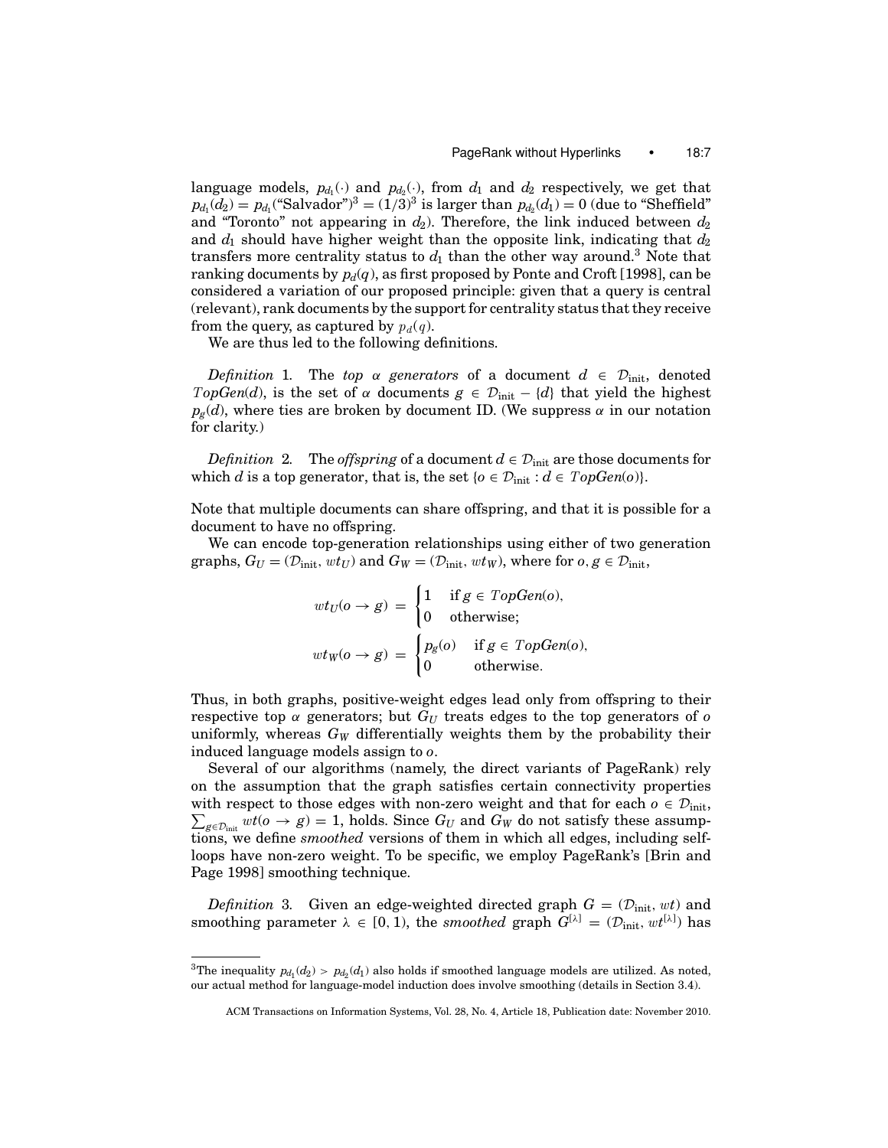language models,  $p_{d_1}(\cdot)$  and  $p_{d_2}(\cdot)$ , from  $d_1$  and  $d_2$  respectively, we get that  $p_{d_1}(d_2) = p_{d_1}$  ("Salvador")<sup>3</sup> =  $(1/3)^3$  is larger than  $p_{d_2}(d_1) = 0$  (due to "Sheffield" and "Toronto" not appearing in  $d_2$ ). Therefore, the link induced between  $d_2$ and  $d_1$  should have higher weight than the opposite link, indicating that  $d_2$ transfers more centrality status to  $d_1$  than the other way around.<sup>3</sup> Note that ranking documents by  $p_d(q)$ , as first proposed by Ponte and Croft [1998], can be considered a variation of our proposed principle: given that a query is central (relevant), rank documents by the support for centrality status that they receive from the query, as captured by  $p_d(q)$ .

We are thus led to the following definitions.

*Definition* 1. The *top*  $\alpha$  *generators* of a document  $d \in \mathcal{D}_{init}$ , denoted TopGen(*d*), is the set of  $\alpha$  documents  $g \in \mathcal{D}_{init} - \{d\}$  that yield the highest  $p_g(d)$ , where ties are broken by document ID. (We suppress  $\alpha$  in our notation for clarity.)

*Definition* 2. The *offspring* of a document  $d \in \mathcal{D}_{init}$  are those documents for which *d* is a top generator, that is, the set { $o \in \mathcal{D}_{init} : d \in TopGen(o)$ }.

Note that multiple documents can share offspring, and that it is possible for a document to have no offspring.

We can encode top-generation relationships using either of two generation graphs,  $G_U = (\mathcal{D}_{init}, wt_U)$  and  $G_W = (\mathcal{D}_{init}, wt_W)$ , where for  $o, g \in \mathcal{D}_{init}$ ,

$$
wt_U(o \to g) = \begin{cases} 1 & \text{if } g \in TopGen(o), \\ 0 & \text{otherwise}; \end{cases}
$$

$$
wt_W(o \to g) = \begin{cases} p_g(o) & \text{if } g \in TopGen(o), \\ 0 & \text{otherwise}. \end{cases}
$$

Thus, in both graphs, positive-weight edges lead only from offspring to their respective top  $\alpha$  generators; but  $G_U$  treats edges to the top generators of  $\alpha$ uniformly, whereas  $G_W$  differentially weights them by the probability their induced language models assign to *o*.

Several of our algorithms (namely, the direct variants of PageRank) rely on the assumption that the graph satisfies certain connectivity properties with respect to those edges with non-zero weight and that for each  $o \in \mathcal{D}_{\text{init}}$ , with respect to those edges with non-zero weight and that for each  $o \in \mathcal{D}_{\text{init}}$ ,<br>  $\sum_{g \in \mathcal{D}_{\text{init}}} wt(o \to g) = 1$ , holds. Since  $G_U$  and  $G_W$  do not satisfy these assumptions, we define *smoothed* versions of them in which all edges, including selfloops have non-zero weight. To be specific, we employ PageRank's [Brin and Page 1998] smoothing technique.

*Definition* 3. Given an edge-weighted directed graph  $G = (\mathcal{D}_{init}, wt)$  and smoothing parameter  $\lambda \in [0, 1)$ , the *smoothed* graph  $G^{[\lambda]} = (\mathcal{D}_{\text{init}}, wt^{[\lambda]})$  has

<sup>&</sup>lt;sup>3</sup>The inequality  $p_{d_1}(d_2) > p_{d_2}(d_1)$  also holds if smoothed language models are utilized. As noted, our actual method for language-model induction does involve smoothing (details in Section 3.4).

ACM Transactions on Information Systems, Vol. 28, No. 4, Article 18, Publication date: November 2010.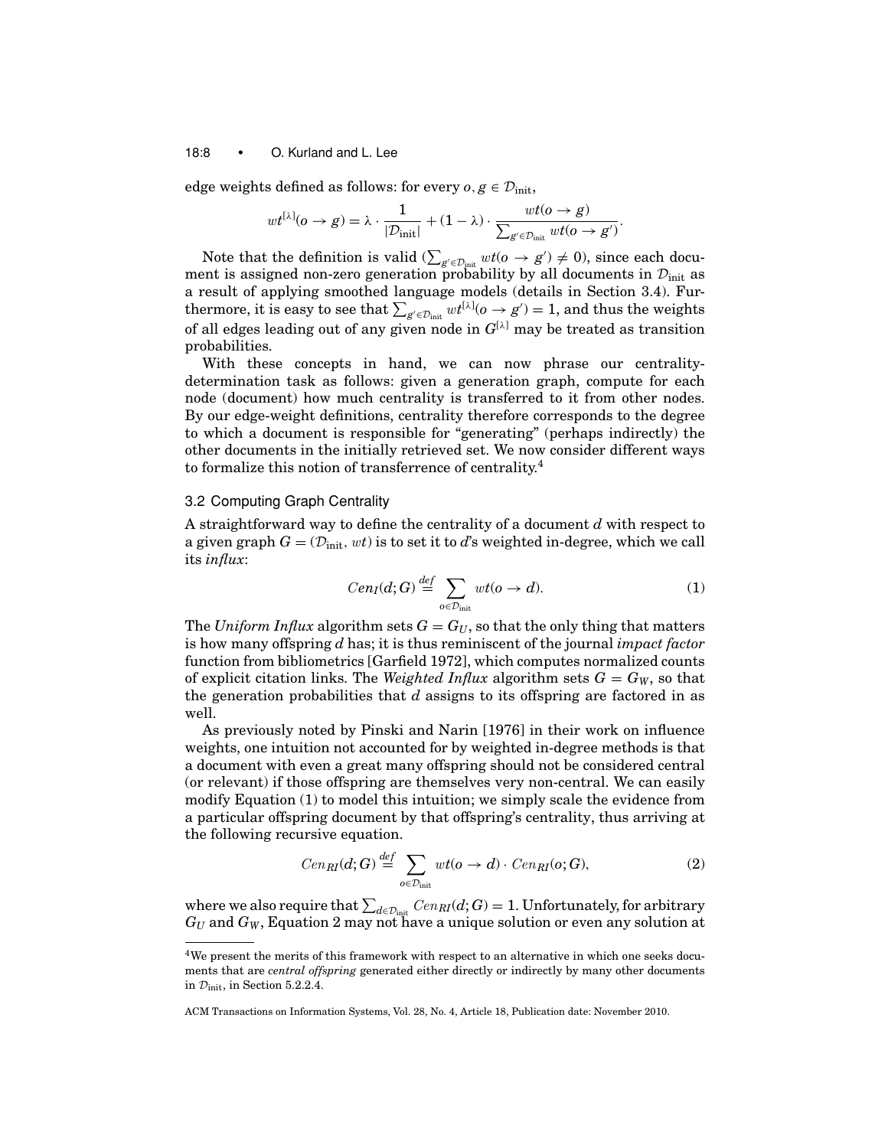## 18:8 • O. Kurland and L. Lee

edge weights defined as follows: for every  $o, g \in \mathcal{D}_{init}$ ,

$$
wt^{[\lambda]}(o \to g) = \lambda \cdot \frac{1}{|\mathcal{D}_{\text{init}}|} + (1 - \lambda) \cdot \frac{wt(o \to g)}{\sum_{g' \in \mathcal{D}_{\text{init}}} wt(o \to g')}.
$$

Note that the definition is valid  $(\sum_{g' \in \mathcal{D}_{\text{init}}} wt(o \to g') \neq 0)$ , since each document is assigned non-zero generation probability by all documents in  $\mathcal{D}_{init}$  as a result of applying smoothed language models (details in Section 3.4). Furthermore, it is easy to see that  $\sum_{g' \in \mathcal{D}_{\text{init}}} wt^{[\lambda]}(o \to g') = 1$ , and thus the weights of all edges leading out of any given node in  $G^{[\lambda]}$  may be treated as transition probabilities.

With these concepts in hand, we can now phrase our centralitydetermination task as follows: given a generation graph, compute for each node (document) how much centrality is transferred to it from other nodes. By our edge-weight definitions, centrality therefore corresponds to the degree to which a document is responsible for "generating" (perhaps indirectly) the other documents in the initially retrieved set. We now consider different ways to formalize this notion of transferrence of centrality.4

# 3.2 Computing Graph Centrality

A straightforward way to define the centrality of a document *d* with respect to a given graph  $G = (\mathcal{D}_{init}, wt)$  is to set it to *d*'s weighted in-degree, which we call its *influx*:

$$
Cen_I(d;G) \stackrel{def}{=} \sum_{o \in \mathcal{D}_{\text{init}}} wt(o \to d). \tag{1}
$$

The *Uniform Influx* algorithm sets  $G = G_U$ , so that the only thing that matters is how many offspring *d* has; it is thus reminiscent of the journal *impact factor* function from bibliometrics [Garfield 1972], which computes normalized counts of explicit citation links. The *Weighted Influx* algorithm sets  $G = G_W$ , so that the generation probabilities that *d* assigns to its offspring are factored in as well.

As previously noted by Pinski and Narin [1976] in their work on influence weights, one intuition not accounted for by weighted in-degree methods is that a document with even a great many offspring should not be considered central (or relevant) if those offspring are themselves very non-central. We can easily modify Equation (1) to model this intuition; we simply scale the evidence from a particular offspring document by that offspring's centrality, thus arriving at the following recursive equation.

$$
Cen_{RI}(d;G) \stackrel{def}{=} \sum_{o \in \mathcal{D}_{init}} wt(o \to d) \cdot Cen_{RI}(o;G), \tag{2}
$$

where we also require that  $\sum_{d \in \mathcal{D}_{\text{init}}} Cen_{RI}(d; G) = 1$ . Unfortunately, for arbitrary  $G_U$  and  $G_W$ , Equation 2 may not have a unique solution or even any solution at

<sup>4</sup>We present the merits of this framework with respect to an alternative in which one seeks documents that are *central offspring* generated either directly or indirectly by many other documents in  $\mathcal{D}_{init}$ , in Section 5.2.2.4.

ACM Transactions on Information Systems, Vol. 28, No. 4, Article 18, Publication date: November 2010.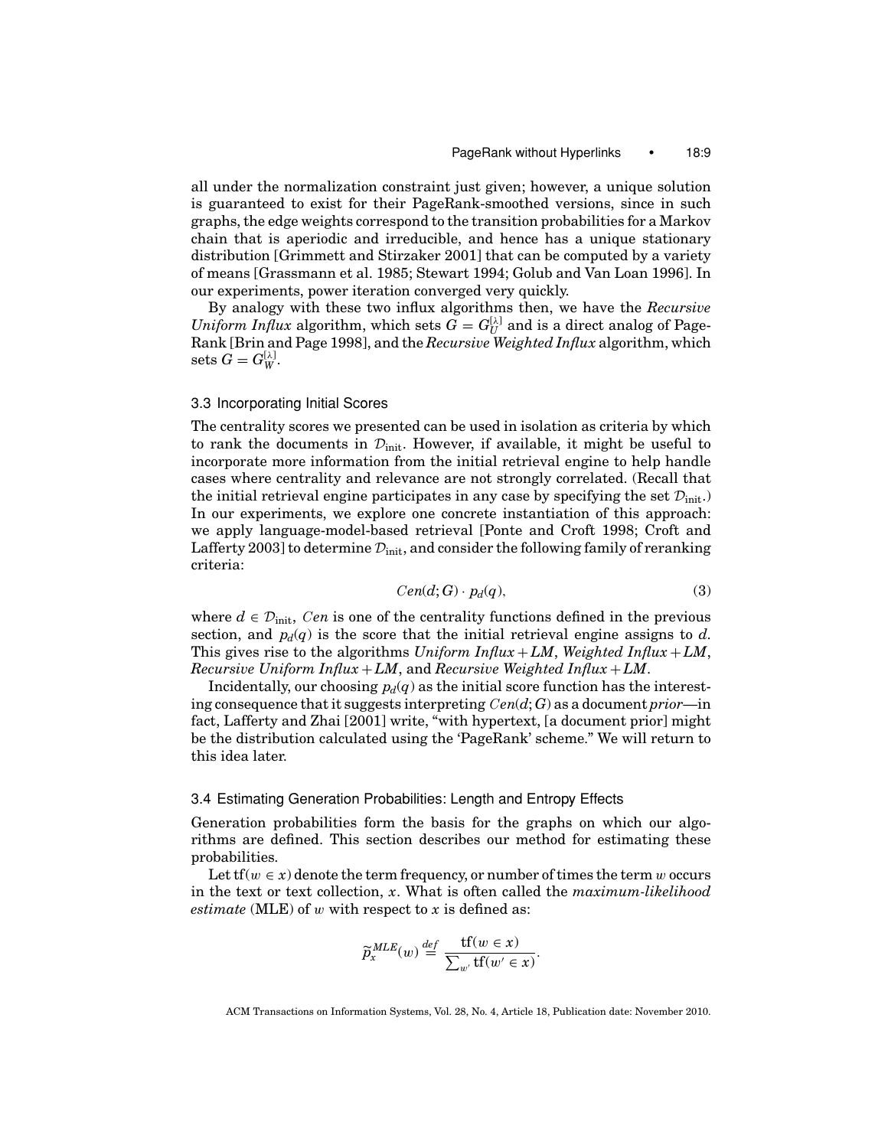all under the normalization constraint just given; however, a unique solution is guaranteed to exist for their PageRank-smoothed versions, since in such graphs, the edge weights correspond to the transition probabilities for a Markov chain that is aperiodic and irreducible, and hence has a unique stationary distribution [Grimmett and Stirzaker 2001] that can be computed by a variety of means [Grassmann et al. 1985; Stewart 1994; Golub and Van Loan 1996]. In our experiments, power iteration converged very quickly.

By analogy with these two influx algorithms then, we have the *Recursive Uniform Influx* algorithm, which sets  $G = G_U^{[\lambda]}$  and is a direct analog of Page-Rank [Brin and Page 1998], and the *Recursive Weighted Influx* algorithm, which  $\mathrm{sets}\; G=G_W^{[\lambda]}.$ 

# 3.3 Incorporating Initial Scores

The centrality scores we presented can be used in isolation as criteria by which to rank the documents in  $\mathcal{D}_{init}$ . However, if available, it might be useful to incorporate more information from the initial retrieval engine to help handle cases where centrality and relevance are not strongly correlated. (Recall that the initial retrieval engine participates in any case by specifying the set  $\mathcal{D}_{init}$ . In our experiments, we explore one concrete instantiation of this approach: we apply language-model-based retrieval [Ponte and Croft 1998; Croft and Lafferty 2003] to determine  $\mathcal{D}_{init}$ , and consider the following family of reranking criteria:

$$
Cen(d;G) \cdot p_d(q),\tag{3}
$$

where  $d \in \mathcal{D}_{init}$ , Cen is one of the centrality functions defined in the previous section, and  $p_d(q)$  is the score that the initial retrieval engine assigns to d. This gives rise to the algorithms *Uniform Influx* + *LM*, *Weighted Influx* + *LM*, *Recursive Uniform Influx* + *LM*, and *Recursive Weighted Influx* + *LM*.

Incidentally, our choosing  $p_d(q)$  as the initial score function has the interesting consequence that it suggests interpreting C *en*(*d*; *G*) as a document *prior*—in fact, Lafferty and Zhai [2001] write, "with hypertext, [a document prior] might be the distribution calculated using the 'PageRank' scheme." We will return to this idea later.

#### 3.4 Estimating Generation Probabilities: Length and Entropy Effects

Generation probabilities form the basis for the graphs on which our algorithms are defined. This section describes our method for estimating these probabilities.

Let  $\text{tf}(w \in x)$  denote the term frequency, or number of times the term w occurs in the text or text collection, *x*. What is often called the *maximum-likelihood estimate* (MLE) of w with respect to *x* is defined as:

$$
\widetilde{p}_{x}^{MLE}(w) \stackrel{def}{=} \frac{\mathrm{tf}(w \in x)}{\sum_{w'} \mathrm{tf}(w' \in x)}.
$$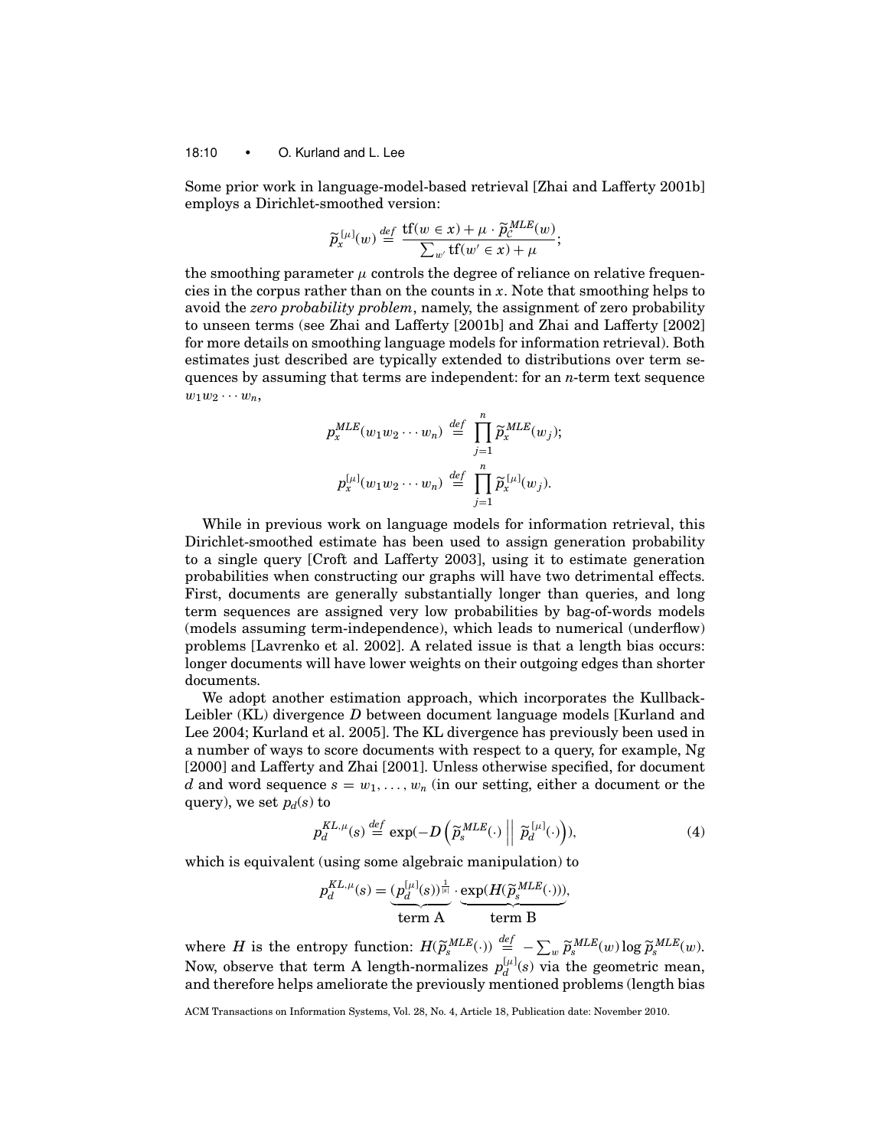## 18:10 • O. Kurland and L. Lee

Some prior work in language-model-based retrieval [Zhai and Lafferty 2001b] employs a Dirichlet-smoothed version:

$$
\widetilde{p}_{x}^{[\mu]}(w) \stackrel{def}{=} \frac{\mathrm{tf}(w \in x) + \mu \cdot \widetilde{p}_{\mathcal{C}}^{MLE}(w)}{\sum_{w'} \mathrm{tf}(w' \in x) + \mu};
$$

the smoothing parameter  $\mu$  controls the degree of reliance on relative frequencies in the corpus rather than on the counts in *x*. Note that smoothing helps to avoid the *zero probability problem*, namely, the assignment of zero probability to unseen terms (see Zhai and Lafferty [2001b] and Zhai and Lafferty [2002] for more details on smoothing language models for information retrieval). Both estimates just described are typically extended to distributions over term sequences by assuming that terms are independent: for an *n*-term text sequence  $w_1w_2\cdots w_n$ 

$$
p_x^{MLE}(w_1w_2\cdots w_n) \stackrel{def}{=} \prod_{j=1}^n \widetilde{p}_x^{MLE}(w_j);
$$
  

$$
p_x^{[\mu]}(w_1w_2\cdots w_n) \stackrel{def}{=} \prod_{j=1}^n \widetilde{p}_x^{[\mu]}(w_j).
$$

While in previous work on language models for information retrieval, this Dirichlet-smoothed estimate has been used to assign generation probability to a single query [Croft and Lafferty 2003], using it to estimate generation probabilities when constructing our graphs will have two detrimental effects. First, documents are generally substantially longer than queries, and long term sequences are assigned very low probabilities by bag-of-words models (models assuming term-independence), which leads to numerical (underflow) problems [Lavrenko et al. 2002]. A related issue is that a length bias occurs: longer documents will have lower weights on their outgoing edges than shorter documents.

We adopt another estimation approach, which incorporates the Kullback-Leibler (KL) divergence *D* between document language models [Kurland and Lee 2004; Kurland et al. 2005]. The KL divergence has previously been used in a number of ways to score documents with respect to a query, for example, Ng [2000] and Lafferty and Zhai [2001]. Unless otherwise specified, for document *d* and word sequence  $s = w_1, \ldots, w_n$  (in our setting, either a document or the query), we set  $p_d(s)$  to

$$
p_d^{KL,\mu}(s) \stackrel{def}{=} \exp(-D\left(\widetilde{p}_s^{MLE}(\cdot) \mid \mid \widetilde{p}_d^{\lceil \mu \rceil}(\cdot)\right)),\tag{4}
$$

which is equivalent (using some algebraic manipulation) to

$$
p_d^{KL,\mu}(s) = \underbrace{(p_d^{[\mu]}(s))^{\frac{1}{|s|}}}_{\text{term } A} \cdot \underbrace{\exp(H(\widetilde{p}_s^{MLE}(\cdot)))}_{\text{term } B},
$$

where *H* is the entropy function:  $H(\widetilde{p}_s^{MLE}(\cdot)) \stackrel{def}{=} -\sum_w \widetilde{p}_s^{MLE}(w) \log \widetilde{p}_s^{MLE}(w)$ . Now, observe that term A length-normalizes  $p_d^{[\mu]}(s)$  via the geometric mean, and therefore helps ameliorate the previously mentioned problems (length bias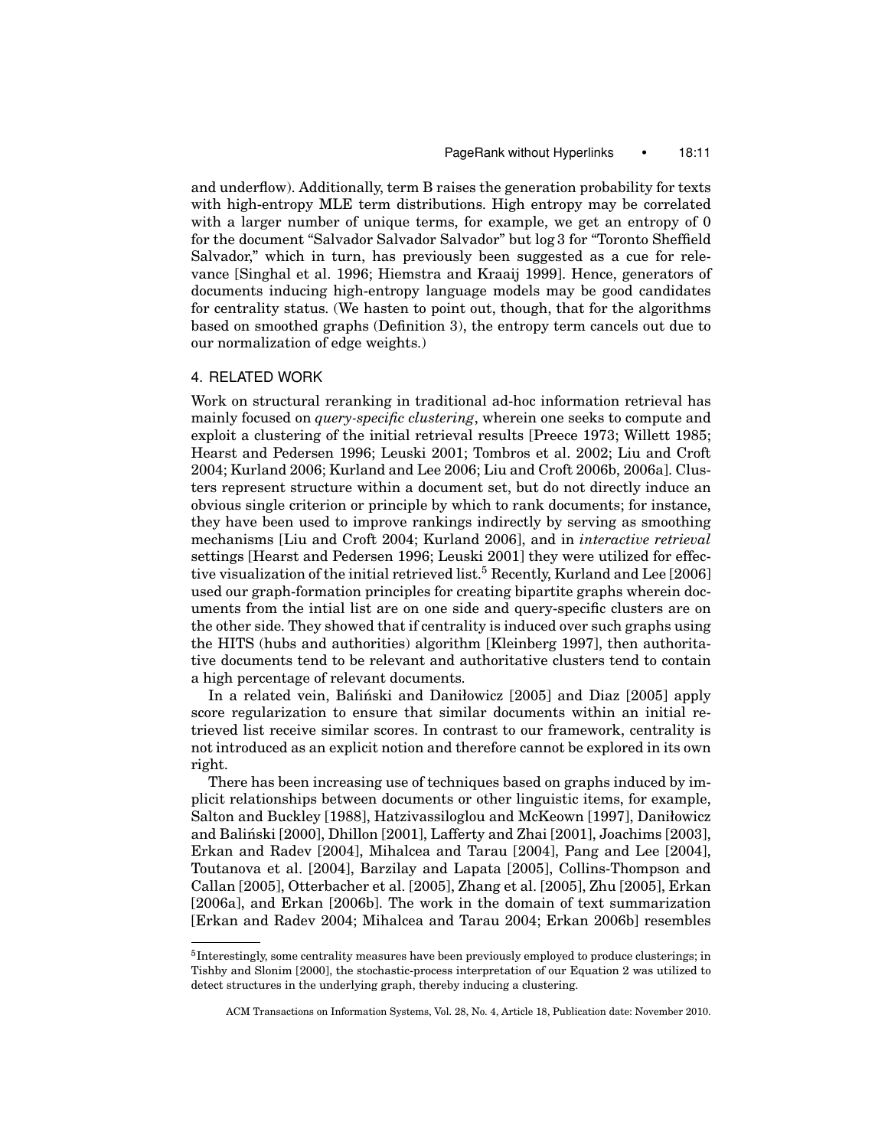and underflow). Additionally, term B raises the generation probability for texts with high-entropy MLE term distributions. High entropy may be correlated with a larger number of unique terms, for example, we get an entropy of 0 for the document "Salvador Salvador Salvador" but log 3 for "Toronto Sheffield Salvador," which in turn, has previously been suggested as a cue for relevance [Singhal et al. 1996; Hiemstra and Kraaij 1999]. Hence, generators of documents inducing high-entropy language models may be good candidates for centrality status. (We hasten to point out, though, that for the algorithms based on smoothed graphs (Definition 3), the entropy term cancels out due to our normalization of edge weights.)

#### 4. RELATED WORK

Work on structural reranking in traditional ad-hoc information retrieval has mainly focused on *query-specific clustering*, wherein one seeks to compute and exploit a clustering of the initial retrieval results [Preece 1973; Willett 1985; Hearst and Pedersen 1996; Leuski 2001; Tombros et al. 2002; Liu and Croft 2004; Kurland 2006; Kurland and Lee 2006; Liu and Croft 2006b, 2006a]. Clusters represent structure within a document set, but do not directly induce an obvious single criterion or principle by which to rank documents; for instance, they have been used to improve rankings indirectly by serving as smoothing mechanisms [Liu and Croft 2004; Kurland 2006], and in *interactive retrieval* settings [Hearst and Pedersen 1996; Leuski 2001] they were utilized for effective visualization of the initial retrieved list.<sup>5</sup> Recently, Kurland and Lee [2006] used our graph-formation principles for creating bipartite graphs wherein documents from the intial list are on one side and query-specific clusters are on the other side. They showed that if centrality is induced over such graphs using the HITS (hubs and authorities) algorithm [Kleinberg 1997], then authoritative documents tend to be relevant and authoritative clusters tend to contain a high percentage of relevant documents.

In a related vein, Balinski and Daniłowicz [2005] and Diaz [2005] apply score regularization to ensure that similar documents within an initial retrieved list receive similar scores. In contrast to our framework, centrality is not introduced as an explicit notion and therefore cannot be explored in its own right.

There has been increasing use of techniques based on graphs induced by implicit relationships between documents or other linguistic items, for example, Salton and Buckley [1988], Hatzivassiloglou and McKeown [1997], Daniłowicz and Balinski [2000], Dhillon [2001], Lafferty and Zhai [2001], Joachims [2003], ´ Erkan and Radev [2004], Mihalcea and Tarau [2004], Pang and Lee [2004], Toutanova et al. [2004], Barzilay and Lapata [2005], Collins-Thompson and Callan [2005], Otterbacher et al. [2005], Zhang et al. [2005], Zhu [2005], Erkan [2006a], and Erkan [2006b]. The work in the domain of text summarization [Erkan and Radev 2004; Mihalcea and Tarau 2004; Erkan 2006b] resembles

<sup>&</sup>lt;sup>5</sup>Interestingly, some centrality measures have been previously employed to produce clusterings; in Tishby and Slonim [2000], the stochastic-process interpretation of our Equation 2 was utilized to detect structures in the underlying graph, thereby inducing a clustering.

ACM Transactions on Information Systems, Vol. 28, No. 4, Article 18, Publication date: November 2010.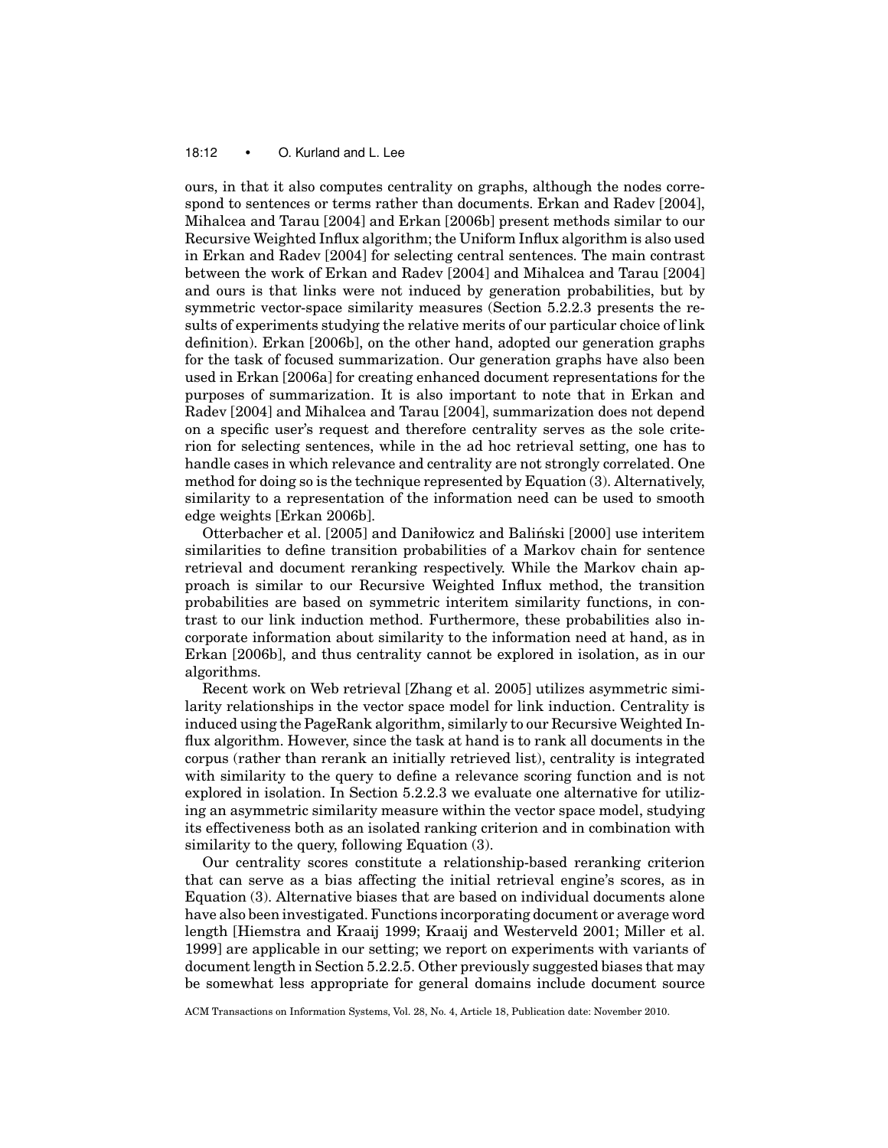## 18:12 • O. Kurland and L. Lee

ours, in that it also computes centrality on graphs, although the nodes correspond to sentences or terms rather than documents. Erkan and Radev [2004], Mihalcea and Tarau [2004] and Erkan [2006b] present methods similar to our Recursive Weighted Influx algorithm; the Uniform Influx algorithm is also used in Erkan and Radev [2004] for selecting central sentences. The main contrast between the work of Erkan and Radev [2004] and Mihalcea and Tarau [2004] and ours is that links were not induced by generation probabilities, but by symmetric vector-space similarity measures (Section 5.2.2.3 presents the results of experiments studying the relative merits of our particular choice of link definition). Erkan [2006b], on the other hand, adopted our generation graphs for the task of focused summarization. Our generation graphs have also been used in Erkan [2006a] for creating enhanced document representations for the purposes of summarization. It is also important to note that in Erkan and Radev [2004] and Mihalcea and Tarau [2004], summarization does not depend on a specific user's request and therefore centrality serves as the sole criterion for selecting sentences, while in the ad hoc retrieval setting, one has to handle cases in which relevance and centrality are not strongly correlated. One method for doing so is the technique represented by Equation (3). Alternatively, similarity to a representation of the information need can be used to smooth edge weights [Erkan 2006b].

Otterbacher et al. [2005] and Daniłowicz and Balinski [2000] use interitem ´ similarities to define transition probabilities of a Markov chain for sentence retrieval and document reranking respectively. While the Markov chain approach is similar to our Recursive Weighted Influx method, the transition probabilities are based on symmetric interitem similarity functions, in contrast to our link induction method. Furthermore, these probabilities also incorporate information about similarity to the information need at hand, as in Erkan [2006b], and thus centrality cannot be explored in isolation, as in our algorithms.

Recent work on Web retrieval [Zhang et al. 2005] utilizes asymmetric similarity relationships in the vector space model for link induction. Centrality is induced using the PageRank algorithm, similarly to our Recursive Weighted Influx algorithm. However, since the task at hand is to rank all documents in the corpus (rather than rerank an initially retrieved list), centrality is integrated with similarity to the query to define a relevance scoring function and is not explored in isolation. In Section 5.2.2.3 we evaluate one alternative for utilizing an asymmetric similarity measure within the vector space model, studying its effectiveness both as an isolated ranking criterion and in combination with similarity to the query, following Equation (3).

Our centrality scores constitute a relationship-based reranking criterion that can serve as a bias affecting the initial retrieval engine's scores, as in Equation (3). Alternative biases that are based on individual documents alone have also been investigated. Functions incorporating document or average word length [Hiemstra and Kraaij 1999; Kraaij and Westerveld 2001; Miller et al. 1999] are applicable in our setting; we report on experiments with variants of document length in Section 5.2.2.5. Other previously suggested biases that may be somewhat less appropriate for general domains include document source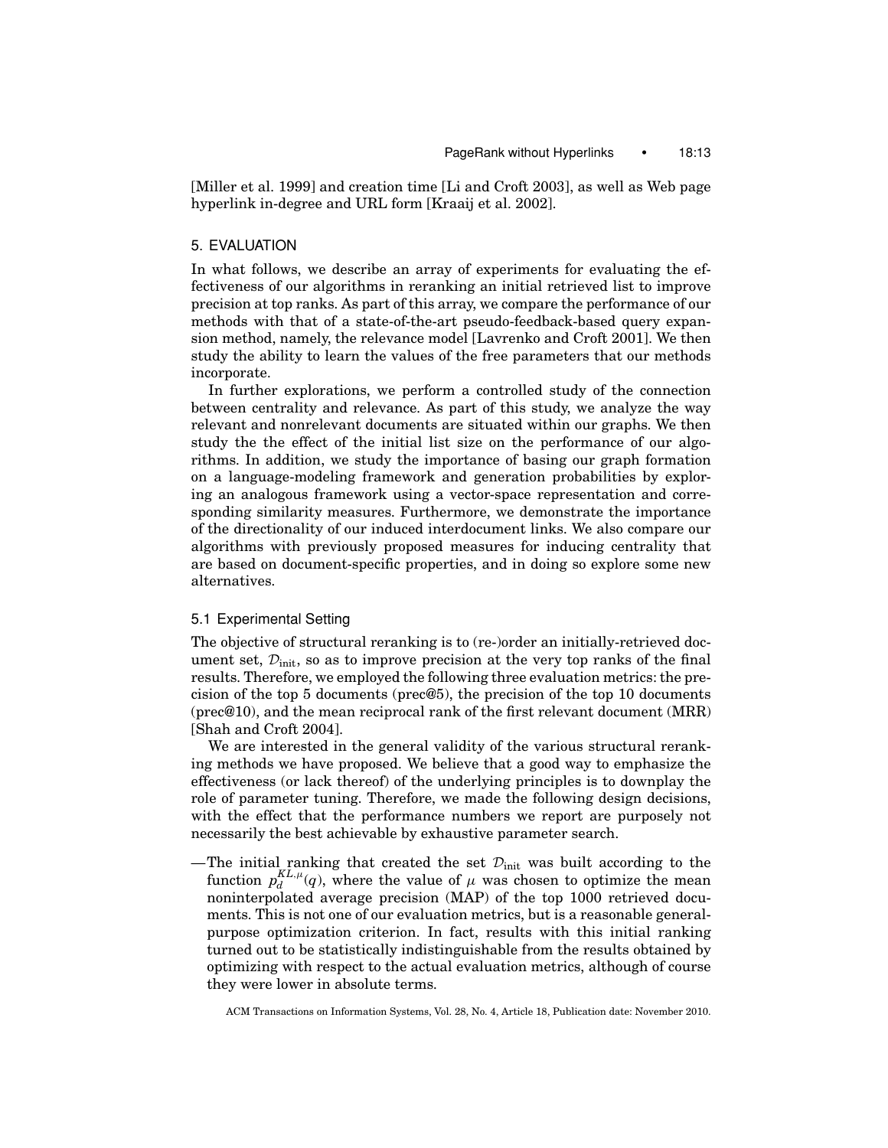[Miller et al. 1999] and creation time [Li and Croft 2003], as well as Web page hyperlink in-degree and URL form [Kraaij et al. 2002].

# 5. EVALUATION

In what follows, we describe an array of experiments for evaluating the effectiveness of our algorithms in reranking an initial retrieved list to improve precision at top ranks. As part of this array, we compare the performance of our methods with that of a state-of-the-art pseudo-feedback-based query expansion method, namely, the relevance model [Lavrenko and Croft 2001]. We then study the ability to learn the values of the free parameters that our methods incorporate.

In further explorations, we perform a controlled study of the connection between centrality and relevance. As part of this study, we analyze the way relevant and nonrelevant documents are situated within our graphs. We then study the the effect of the initial list size on the performance of our algorithms. In addition, we study the importance of basing our graph formation on a language-modeling framework and generation probabilities by exploring an analogous framework using a vector-space representation and corresponding similarity measures. Furthermore, we demonstrate the importance of the directionality of our induced interdocument links. We also compare our algorithms with previously proposed measures for inducing centrality that are based on document-specific properties, and in doing so explore some new alternatives.

#### 5.1 Experimental Setting

The objective of structural reranking is to (re-)order an initially-retrieved document set,  $\mathcal{D}_{init}$ , so as to improve precision at the very top ranks of the final results. Therefore, we employed the following three evaluation metrics: the precision of the top 5 documents (prec@5), the precision of the top 10 documents (prec@10), and the mean reciprocal rank of the first relevant document (MRR) [Shah and Croft 2004].

We are interested in the general validity of the various structural reranking methods we have proposed. We believe that a good way to emphasize the effectiveness (or lack thereof) of the underlying principles is to downplay the role of parameter tuning. Therefore, we made the following design decisions, with the effect that the performance numbers we report are purposely not necessarily the best achievable by exhaustive parameter search.

—The initial ranking that created the set  $\mathcal{D}_{init}$  was built according to the function  $p_d^{KL,\mu}(q)$ , where the value of  $\mu$  was chosen to optimize the mean noninterpolated average precision (MAP) of the top 1000 retrieved documents. This is not one of our evaluation metrics, but is a reasonable generalpurpose optimization criterion. In fact, results with this initial ranking turned out to be statistically indistinguishable from the results obtained by optimizing with respect to the actual evaluation metrics, although of course they were lower in absolute terms.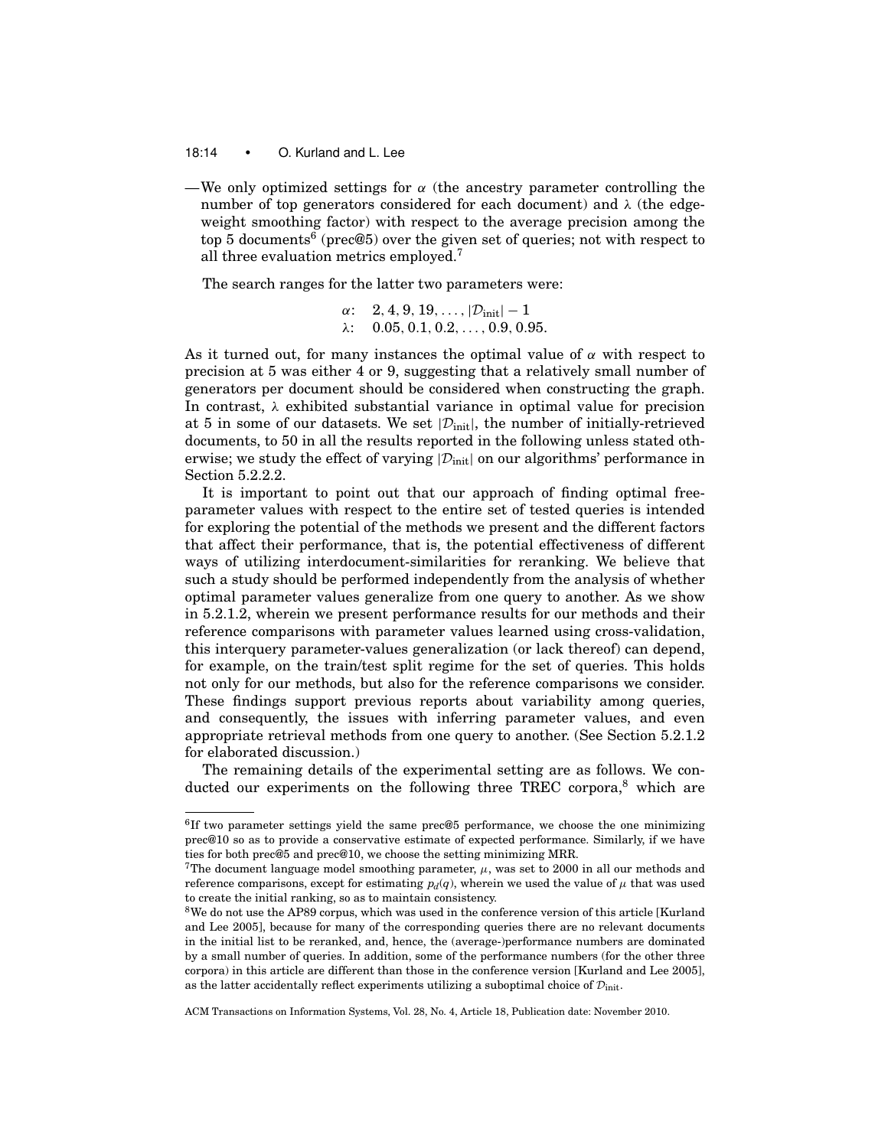## 18:14 • O. Kurland and L. Lee

—We only optimized settings for  $\alpha$  (the ancestry parameter controlling the number of top generators considered for each document) and  $\lambda$  (the edgeweight smoothing factor) with respect to the average precision among the top 5 documents<sup>6</sup> (prec@5) over the given set of queries; not with respect to all three evaluation metrics employed.<sup>7</sup>

The search ranges for the latter two parameters were:

 $\alpha: \quad 2, 4, 9, 19, \ldots, |\mathcal{D}_{\text{init}}| - 1$  $\lambda$ : 0.05, 0.1, 0.2, ..., 0.9, 0.95.

As it turned out, for many instances the optimal value of  $\alpha$  with respect to precision at 5 was either 4 or 9, suggesting that a relatively small number of generators per document should be considered when constructing the graph. In contrast,  $\lambda$  exhibited substantial variance in optimal value for precision at 5 in some of our datasets. We set  $|\mathcal{D}_{init}|$ , the number of initially-retrieved documents, to 50 in all the results reported in the following unless stated otherwise; we study the effect of varying  $|\mathcal{D}_{init}|$  on our algorithms' performance in Section 5.2.2.2.

It is important to point out that our approach of finding optimal freeparameter values with respect to the entire set of tested queries is intended for exploring the potential of the methods we present and the different factors that affect their performance, that is, the potential effectiveness of different ways of utilizing interdocument-similarities for reranking. We believe that such a study should be performed independently from the analysis of whether optimal parameter values generalize from one query to another. As we show in 5.2.1.2, wherein we present performance results for our methods and their reference comparisons with parameter values learned using cross-validation, this interquery parameter-values generalization (or lack thereof) can depend, for example, on the train/test split regime for the set of queries. This holds not only for our methods, but also for the reference comparisons we consider. These findings support previous reports about variability among queries, and consequently, the issues with inferring parameter values, and even appropriate retrieval methods from one query to another. (See Section 5.2.1.2 for elaborated discussion.)

The remaining details of the experimental setting are as follows. We conducted our experiments on the following three TREC corpora, $8$  which are

<sup>6</sup>If two parameter settings yield the same prec@5 performance, we choose the one minimizing prec@10 so as to provide a conservative estimate of expected performance. Similarly, if we have ties for both prec@5 and prec@10, we choose the setting minimizing MRR.

<sup>&</sup>lt;sup>7</sup>The document language model smoothing parameter,  $\mu$ , was set to 2000 in all our methods and reference comparisons, except for estimating  $p_d(q)$ , wherein we used the value of  $\mu$  that was used to create the initial ranking, so as to maintain consistency.

<sup>&</sup>lt;sup>8</sup>We do not use the AP89 corpus, which was used in the conference version of this article [Kurland] and Lee 2005], because for many of the corresponding queries there are no relevant documents in the initial list to be reranked, and, hence, the (average-)performance numbers are dominated by a small number of queries. In addition, some of the performance numbers (for the other three corpora) in this article are different than those in the conference version [Kurland and Lee 2005], as the latter accidentally reflect experiments utilizing a suboptimal choice of  $\mathcal{D}_{\text{init}}$ .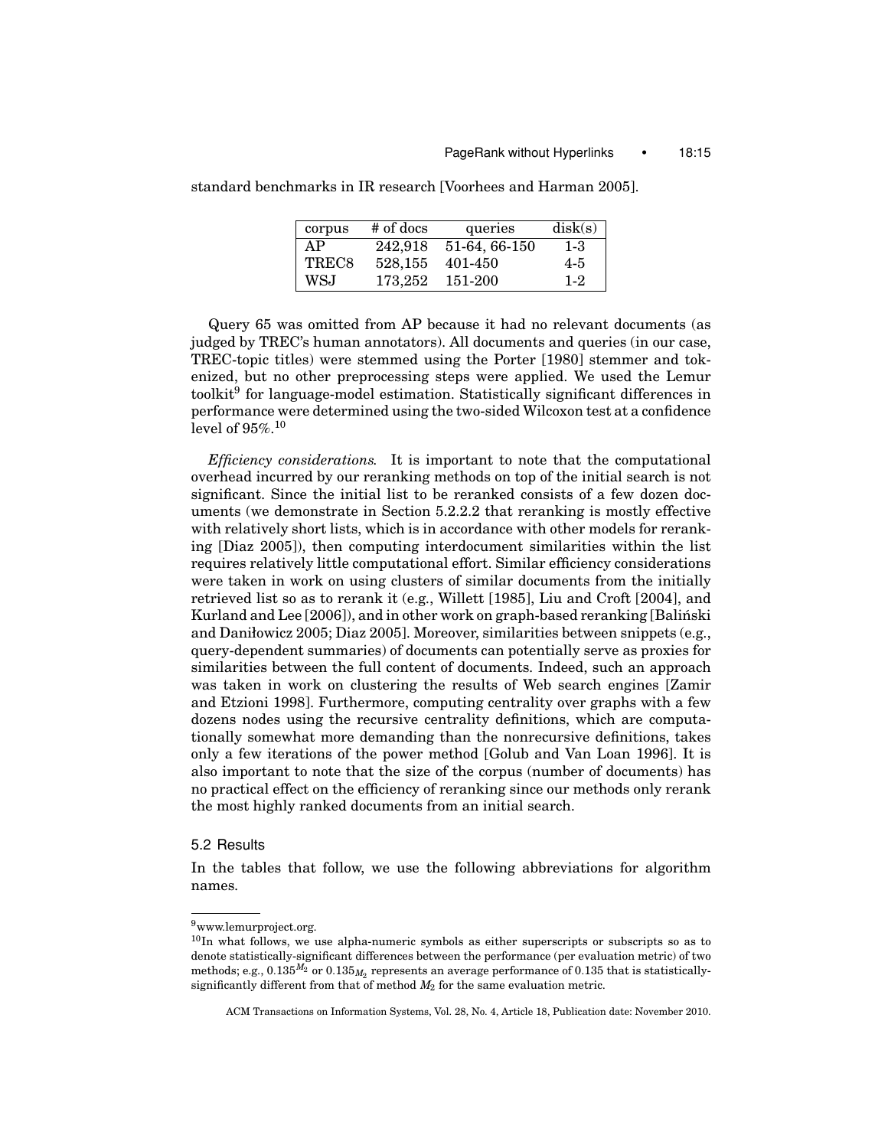| corpus            | # of docs | queries       | disk(s) |
|-------------------|-----------|---------------|---------|
| AP                | 242.918   | 51-64, 66-150 | $1-3$   |
| TREC <sub>8</sub> | 528.155   | 401-450       | 4-5     |
| WSJ               | 173,252   | 151-200       | $1 - 2$ |

standard benchmarks in IR research [Voorhees and Harman 2005].

Query 65 was omitted from AP because it had no relevant documents (as judged by TREC's human annotators). All documents and queries (in our case, TREC-topic titles) were stemmed using the Porter [1980] stemmer and tokenized, but no other preprocessing steps were applied. We used the Lemur toolkit<sup>9</sup> for language-model estimation. Statistically significant differences in performance were determined using the two-sided Wilcoxon test at a confidence level of  $95\%$ .<sup>10</sup>

*Efficiency considerations.* It is important to note that the computational overhead incurred by our reranking methods on top of the initial search is not significant. Since the initial list to be reranked consists of a few dozen documents (we demonstrate in Section 5.2.2.2 that reranking is mostly effective with relatively short lists, which is in accordance with other models for reranking [Diaz 2005]), then computing interdocument similarities within the list requires relatively little computational effort. Similar efficiency considerations were taken in work on using clusters of similar documents from the initially retrieved list so as to rerank it (e.g., Willett [1985], Liu and Croft [2004], and Kurland and Lee  $[2006]$ , and in other work on graph-based reranking  $[Baliński]$ and Daniłowicz 2005; Diaz 2005]. Moreover, similarities between snippets (e.g., query-dependent summaries) of documents can potentially serve as proxies for similarities between the full content of documents. Indeed, such an approach was taken in work on clustering the results of Web search engines [Zamir and Etzioni 1998]. Furthermore, computing centrality over graphs with a few dozens nodes using the recursive centrality definitions, which are computationally somewhat more demanding than the nonrecursive definitions, takes only a few iterations of the power method [Golub and Van Loan 1996]. It is also important to note that the size of the corpus (number of documents) has no practical effect on the efficiency of reranking since our methods only rerank the most highly ranked documents from an initial search.

# 5.2 Results

In the tables that follow, we use the following abbreviations for algorithm names.

<sup>9</sup>www.lemurproject.org.

 $10$ In what follows, we use alpha-numeric symbols as either superscripts or subscripts so as to denote statistically-significant differences between the performance (per evaluation metric) of two methods; e.g.,  $0.135^{M_2}$  or  $0.135_{M_2}$  represents an average performance of 0.135 that is statisticallysignificantly different from that of method *M*<sup>2</sup> for the same evaluation metric.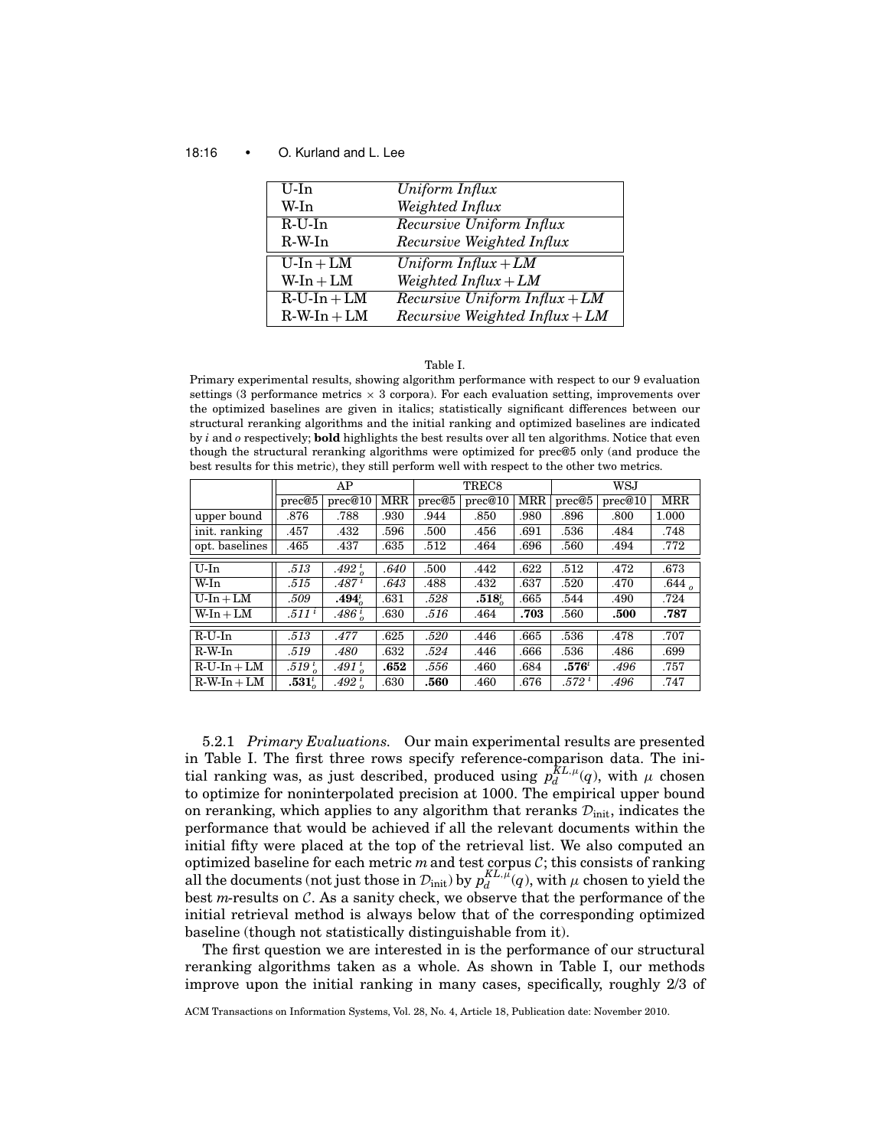#### 18:16 • O. Kurland and L. Lee

| U-In                     | Uniform Influx                    |
|--------------------------|-----------------------------------|
| W-In                     | Weighted Influx                   |
| $R-U-In$                 | Recursive Uniform Influx          |
| $R-W-In$                 | Recursive Weighted Influx         |
| $\overline{U - In} + LM$ | Uniform $Influx+LM$               |
| $W-In + LM$              | Weighted $Influx+LM$              |
| $R-U-In+LM$              | $Recursively\ Uniform\ Influx+LM$ |
| $R-W-In+LM$              | Recursive Weighted $Influx+LM$    |

#### Table I.

Primary experimental results, showing algorithm performance with respect to our 9 evaluation settings (3 performance metrics  $\times$  3 corpora). For each evaluation setting, improvements over the optimized baselines are given in italics; statistically significant differences between our structural reranking algorithms and the initial ranking and optimized baselines are indicated by *i* and *o* respectively; **bold** highlights the best results over all ten algorithms. Notice that even though the structural reranking algorithms were optimized for prec@5 only (and produce the best results for this metric), they still perform well with respect to the other two metrics.

|                |                        | AP                |            |        | TREC <sub>8</sub> |                      |                    | WSJ     |                   |
|----------------|------------------------|-------------------|------------|--------|-------------------|----------------------|--------------------|---------|-------------------|
|                | prec@5                 | prec@10           | <b>MRR</b> | prec@5 | prec@10           | $\operatorname{MRR}$ | prec@5             | prec@10 | <b>MRR</b>        |
| upper bound    | .876                   | .788              | .930       | .944   | .850              | .980                 | .896               | .800    | 1.000             |
| init. ranking  | .457                   | .432              | .596       | .500   | .456              | .691                 | .536               | .484    | .748              |
| opt. baselines | .465                   | .437              | .635       | .512   | .464              | .696                 | .560               | .494    | .772              |
|                |                        |                   |            |        |                   |                      |                    |         |                   |
| $U-In$         | .513                   | .492 $^{i}_{o}$   | .640       | .500   | .442              | .622                 | .512               | .472    | .673              |
| W-In           | .515                   | .487 <sup>1</sup> | .643       | .488   | .432              | .637                 | .520               | .470    | .644 <sub>o</sub> |
| $U-In+LM$      | .509                   | .494 <sup>l</sup> | .631       | .528   | .518 <sup>l</sup> | .665                 | .544               | .490    | .724              |
| $W-In + LM$    | .511 <sup>1</sup>      | .486 $^{l}_{o}$   | .630       | .516   | .464              | .703                 | .560               | .500    | .787              |
|                |                        |                   |            |        |                   |                      |                    |         |                   |
| $R$ -U-In      | .513                   | .477              | .625       | .520   | .446              | .665                 | .536               | .478    | .707              |
| $R-W-In$       | .519                   | .480              | .632       | .524   | .446              | .666                 | .536               | .486    | .699              |
| $R-U-In+LM$    | $.519l_{o}$            | .491 $^{l}$       | .652       | .556   | .460              | .684                 | $.576^{\iota}$     | .496    | .757              |
| $R-W-In+LM$    | $.531^{\iota}_{\circ}$ | .492 <sup>l</sup> | .630       | .560   | .460              | .676                 | $.572$ $^{\prime}$ | .496    | .747              |

5.2.1 *Primary Evaluations.* Our main experimental results are presented in Table I. The first three rows specify reference-comparison data. The initial ranking was, as just described, produced using  $p_d^{KL,\mu}(q)$ , with  $\mu$  chosen to optimize for noninterpolated precision at 1000. The empirical upper bound on reranking, which applies to any algorithm that reranks  $\mathcal{D}_{init}$ , indicates the performance that would be achieved if all the relevant documents within the initial fifty were placed at the top of the retrieval list. We also computed an optimized baseline for each metric  $m$  and test corpus  $C$ ; this consists of ranking all the documents (not just those in  $\mathcal{D}_{\text{init}}$ ) by  $p_d^{KL,\mu}(q)$ , with  $\mu$  chosen to yield the best *m*-results on C. As a sanity check, we observe that the performance of the initial retrieval method is always below that of the corresponding optimized baseline (though not statistically distinguishable from it).

The first question we are interested in is the performance of our structural reranking algorithms taken as a whole. As shown in Table I, our methods improve upon the initial ranking in many cases, specifically, roughly 2/3 of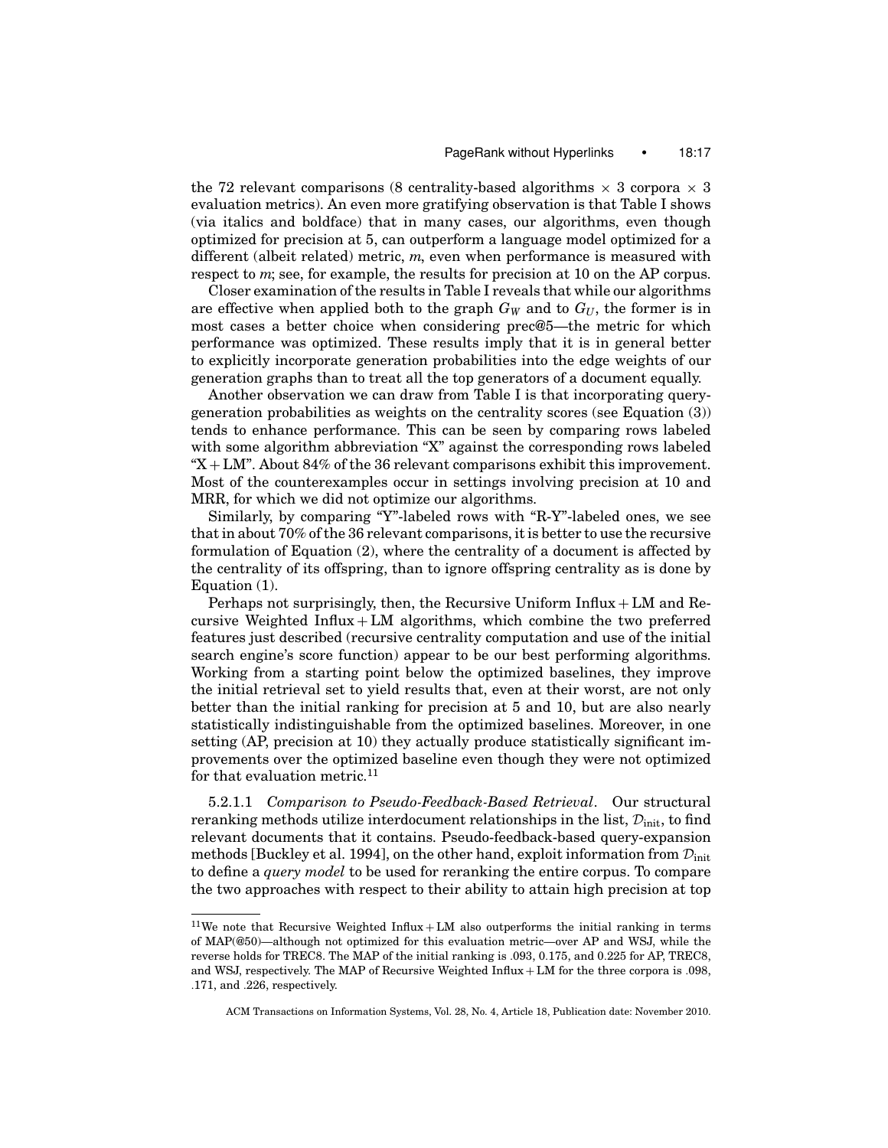#### PageRank without Hyperlinks • 18:17

the 72 relevant comparisons (8 centrality-based algorithms  $\times$  3 corpora  $\times$  3 evaluation metrics). An even more gratifying observation is that Table I shows (via italics and boldface) that in many cases, our algorithms, even though optimized for precision at 5, can outperform a language model optimized for a different (albeit related) metric, *m*, even when performance is measured with respect to *m*; see, for example, the results for precision at 10 on the AP corpus.

Closer examination of the results in Table I reveals that while our algorithms are effective when applied both to the graph  $G_W$  and to  $G_U$ , the former is in most cases a better choice when considering prec@5—the metric for which performance was optimized. These results imply that it is in general better to explicitly incorporate generation probabilities into the edge weights of our generation graphs than to treat all the top generators of a document equally.

Another observation we can draw from Table I is that incorporating querygeneration probabilities as weights on the centrality scores (see Equation (3)) tends to enhance performance. This can be seen by comparing rows labeled with some algorithm abbreviation "X" against the corresponding rows labeled " $X + LM$ ". About 84% of the 36 relevant comparisons exhibit this improvement. Most of the counterexamples occur in settings involving precision at 10 and MRR, for which we did not optimize our algorithms.

Similarly, by comparing "Y"-labeled rows with "R-Y"-labeled ones, we see that in about 70% of the 36 relevant comparisons, it is better to use the recursive formulation of Equation (2), where the centrality of a document is affected by the centrality of its offspring, than to ignore offspring centrality as is done by Equation (1).

Perhaps not surprisingly, then, the Recursive Uniform Influx  $+ LM$  and Recursive Weighted  $Influx+LM$  algorithms, which combine the two preferred features just described (recursive centrality computation and use of the initial search engine's score function) appear to be our best performing algorithms. Working from a starting point below the optimized baselines, they improve the initial retrieval set to yield results that, even at their worst, are not only better than the initial ranking for precision at 5 and 10, but are also nearly statistically indistinguishable from the optimized baselines. Moreover, in one setting (AP, precision at 10) they actually produce statistically significant improvements over the optimized baseline even though they were not optimized for that evaluation metric.<sup>11</sup>

5.2.1.1 *Comparison to Pseudo-Feedback-Based Retrieval*. Our structural reranking methods utilize interdocument relationships in the list,  $\mathcal{D}_{init}$ , to find relevant documents that it contains. Pseudo-feedback-based query-expansion methods [Buckley et al. 1994], on the other hand, exploit information from  $\mathcal{D}_{init}$ to define a *query model* to be used for reranking the entire corpus. To compare the two approaches with respect to their ability to attain high precision at top

<sup>&</sup>lt;sup>11</sup>We note that Recursive Weighted Influx  $+ LM$  also outperforms the initial ranking in terms of MAP(@50)—although not optimized for this evaluation metric—over AP and WSJ, while the reverse holds for TREC8. The MAP of the initial ranking is .093, 0.175, and 0.225 for AP, TREC8, and WSJ, respectively. The MAP of Recursive Weighted Influx + LM for the three corpora is .098, .171, and .226, respectively.

ACM Transactions on Information Systems, Vol. 28, No. 4, Article 18, Publication date: November 2010.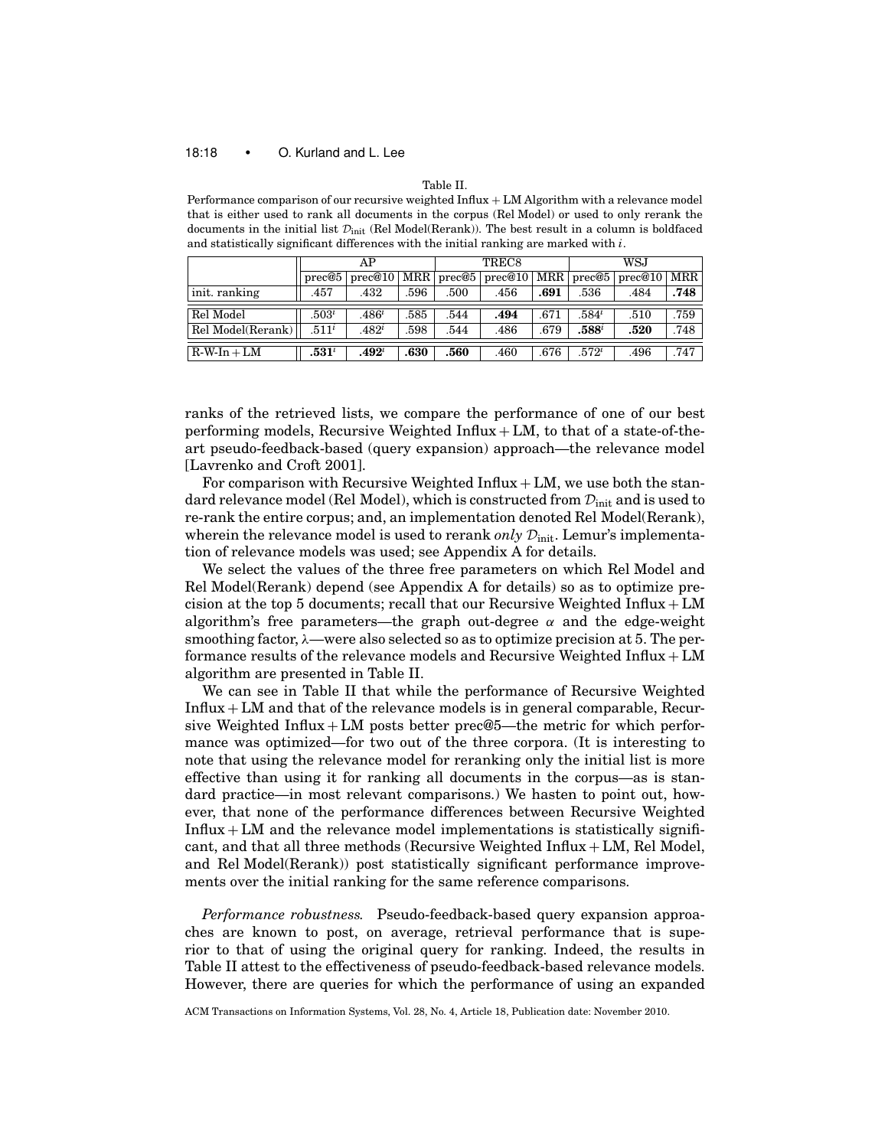## 18:18 • O. Kurland and L. Lee

Table II.

Performance comparison of our recursive weighted Influx + LM Algorithm with a relevance model that is either used to rank all documents in the corpus (Rel Model) or used to only rerank the documents in the initial list  $\mathcal{D}_{init}$  (Rel Model(Rerank)). The best result in a column is boldfaced and statistically significant differences with the initial ranking are marked with *i*.

|                   |                     | AP             |      |        | <b>TRECS</b> |            | WSJ                  |         |                  |
|-------------------|---------------------|----------------|------|--------|--------------|------------|----------------------|---------|------------------|
|                   | prec@5              | $prec@10$ MRR  |      | prec@5 | prec@10      | <b>MRR</b> | prec@5               | prec@10 | $M\overline{RR}$ |
| init. ranking     | 457                 | .432           | .596 | .500   | .456         | .691       | .536                 | .484    | .748             |
| Rel Model         | $.503^{\iota}$      | $.486^{\iota}$ | 585  | .544   | .494         | .671       | .584 <sup>t</sup>    | .510    | .759             |
| Rel Model(Rerank) | $.511^{\iota}$      | $.482^{\iota}$ | 598  | .544   | .486         | .679       | ${\bf .588}^{\iota}$ | .520    | .748             |
| $R-W-In+LM$       | $\mathbf{.531}^{t}$ | $.492^{\iota}$ | .630 | .560   | .460         | .676       | .572 <sup>t</sup>    | .496    | .747             |

ranks of the retrieved lists, we compare the performance of one of our best performing models, Recursive Weighted Influx  $+ LM$ , to that of a state-of-theart pseudo-feedback-based (query expansion) approach—the relevance model [Lavrenko and Croft 2001].

For comparison with Recursive Weighted Influx  $+ LM$ , we use both the standard relevance model (Rel Model), which is constructed from  $\mathcal{D}_{init}$  and is used to re-rank the entire corpus; and, an implementation denoted Rel Model(Rerank), wherein the relevance model is used to rerank *only*  $\mathcal{D}_{init}$ . Lemur's implementation of relevance models was used; see Appendix A for details.

We select the values of the three free parameters on which Rel Model and Rel Model(Rerank) depend (see Appendix A for details) so as to optimize precision at the top 5 documents; recall that our Recursive Weighted Influx  $+LM$ algorithm's free parameters—the graph out-degree  $\alpha$  and the edge-weight smoothing factor,  $\lambda$ —were also selected so as to optimize precision at 5. The performance results of the relevance models and Recursive Weighted  $Influx+LM$ algorithm are presented in Table II.

We can see in Table II that while the performance of Recursive Weighted Influx + LM and that of the relevance models is in general comparable, Recursive Weighted Influx + LM posts better prec $@5$ —the metric for which performance was optimized—for two out of the three corpora. (It is interesting to note that using the relevance model for reranking only the initial list is more effective than using it for ranking all documents in the corpus—as is standard practice—in most relevant comparisons.) We hasten to point out, however, that none of the performance differences between Recursive Weighted Influx  $+ LM$  and the relevance model implementations is statistically significant, and that all three methods (Recursive Weighted Influx + LM, Rel Model, and Rel Model(Rerank)) post statistically significant performance improvements over the initial ranking for the same reference comparisons.

*Performance robustness.* Pseudo-feedback-based query expansion approaches are known to post, on average, retrieval performance that is superior to that of using the original query for ranking. Indeed, the results in Table II attest to the effectiveness of pseudo-feedback-based relevance models. However, there are queries for which the performance of using an expanded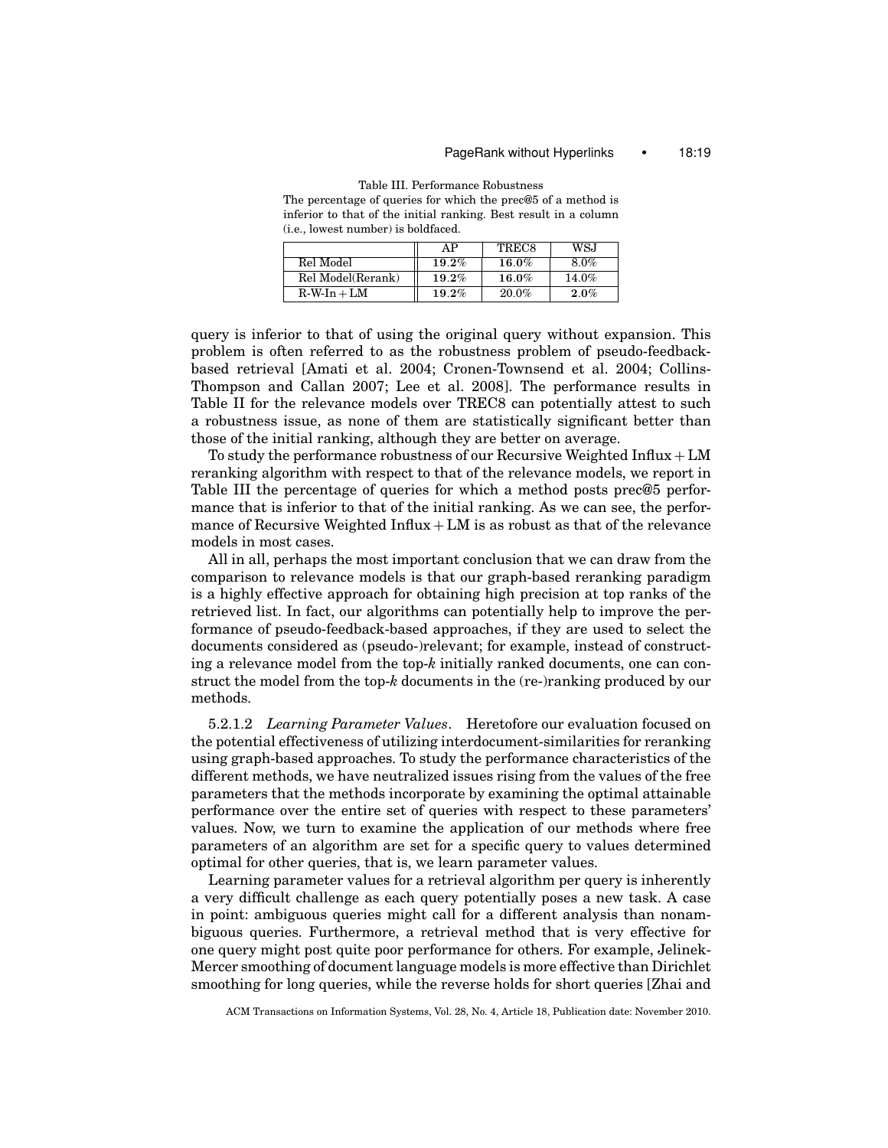Table III. Performance Robustness The percentage of queries for which the prec@5 of a method is inferior to that of the initial ranking. Best result in a column (i.e., lowest number) is boldfaced.

|                   | AР    | TREC8    | WSJ     |
|-------------------|-------|----------|---------|
| Rel Model         | 19.2% | $16.0\%$ | 8.0%    |
| Rel Model(Rerank) | 19.2% | $16.0\%$ | 14.0%   |
| $R-W-In+LM$       | 19.2% | $20.0\%$ | $2.0\%$ |

query is inferior to that of using the original query without expansion. This problem is often referred to as the robustness problem of pseudo-feedbackbased retrieval [Amati et al. 2004; Cronen-Townsend et al. 2004; Collins-Thompson and Callan 2007; Lee et al. 2008]. The performance results in Table II for the relevance models over TREC8 can potentially attest to such a robustness issue, as none of them are statistically significant better than those of the initial ranking, although they are better on average.

To study the performance robustness of our Recursive Weighted Influx  $+LM$ reranking algorithm with respect to that of the relevance models, we report in Table III the percentage of queries for which a method posts prec@5 performance that is inferior to that of the initial ranking. As we can see, the performance of Recursive Weighted  $Influx+LM$  is as robust as that of the relevance models in most cases.

All in all, perhaps the most important conclusion that we can draw from the comparison to relevance models is that our graph-based reranking paradigm is a highly effective approach for obtaining high precision at top ranks of the retrieved list. In fact, our algorithms can potentially help to improve the performance of pseudo-feedback-based approaches, if they are used to select the documents considered as (pseudo-)relevant; for example, instead of constructing a relevance model from the top-*k* initially ranked documents, one can construct the model from the top-*k* documents in the (re-)ranking produced by our methods.

5.2.1.2 *Learning Parameter Values*. Heretofore our evaluation focused on the potential effectiveness of utilizing interdocument-similarities for reranking using graph-based approaches. To study the performance characteristics of the different methods, we have neutralized issues rising from the values of the free parameters that the methods incorporate by examining the optimal attainable performance over the entire set of queries with respect to these parameters' values. Now, we turn to examine the application of our methods where free parameters of an algorithm are set for a specific query to values determined optimal for other queries, that is, we learn parameter values.

Learning parameter values for a retrieval algorithm per query is inherently a very difficult challenge as each query potentially poses a new task. A case in point: ambiguous queries might call for a different analysis than nonambiguous queries. Furthermore, a retrieval method that is very effective for one query might post quite poor performance for others. For example, Jelinek-Mercer smoothing of document language models is more effective than Dirichlet smoothing for long queries, while the reverse holds for short queries [Zhai and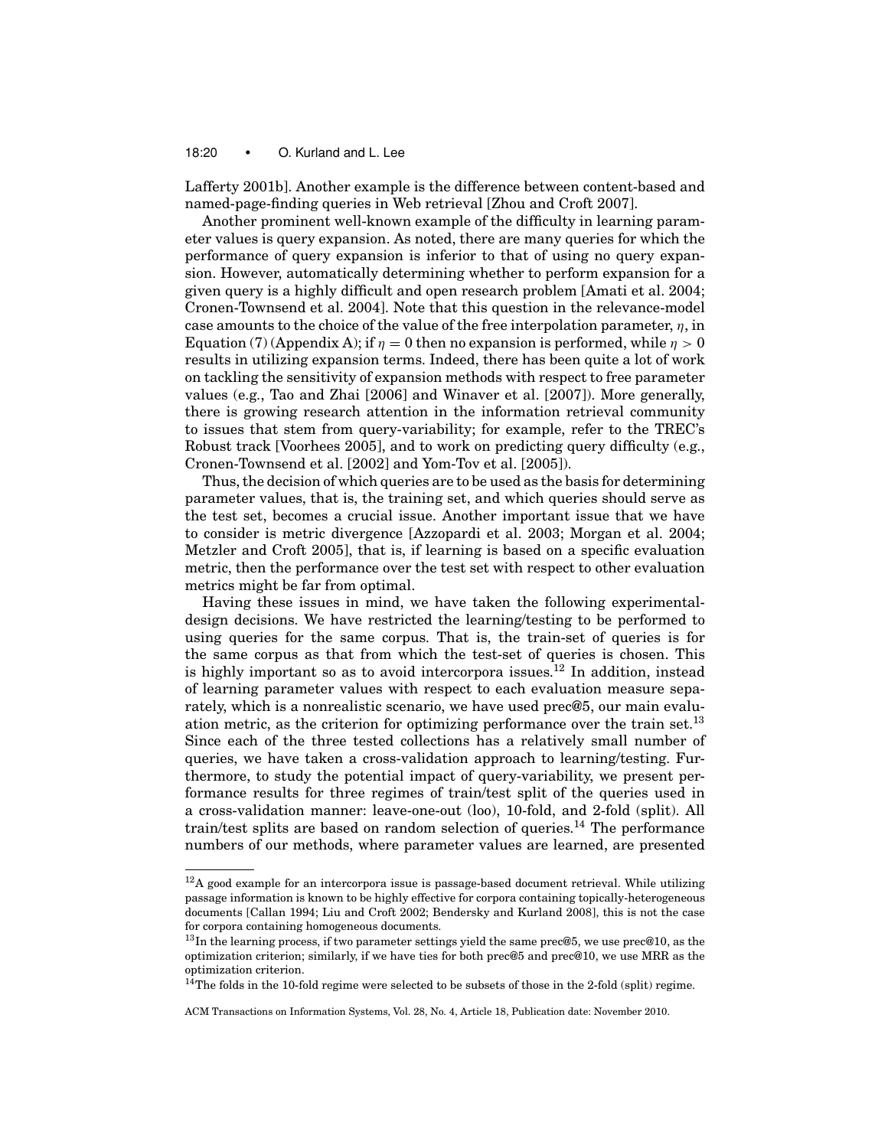## 18:20 • O. Kurland and L. Lee

Lafferty 2001b]. Another example is the difference between content-based and named-page-finding queries in Web retrieval [Zhou and Croft 2007].

Another prominent well-known example of the difficulty in learning parameter values is query expansion. As noted, there are many queries for which the performance of query expansion is inferior to that of using no query expansion. However, automatically determining whether to perform expansion for a given query is a highly difficult and open research problem [Amati et al. 2004; Cronen-Townsend et al. 2004]. Note that this question in the relevance-model case amounts to the choice of the value of the free interpolation parameter,  $\eta$ , in Equation (7) (Appendix A); if  $\eta = 0$  then no expansion is performed, while  $\eta > 0$ results in utilizing expansion terms. Indeed, there has been quite a lot of work on tackling the sensitivity of expansion methods with respect to free parameter values (e.g., Tao and Zhai [2006] and Winaver et al. [2007]). More generally, there is growing research attention in the information retrieval community to issues that stem from query-variability; for example, refer to the TREC's Robust track [Voorhees 2005], and to work on predicting query difficulty (e.g., Cronen-Townsend et al. [2002] and Yom-Tov et al. [2005]).

Thus, the decision of which queries are to be used as the basis for determining parameter values, that is, the training set, and which queries should serve as the test set, becomes a crucial issue. Another important issue that we have to consider is metric divergence [Azzopardi et al. 2003; Morgan et al. 2004; Metzler and Croft 2005], that is, if learning is based on a specific evaluation metric, then the performance over the test set with respect to other evaluation metrics might be far from optimal.

Having these issues in mind, we have taken the following experimentaldesign decisions. We have restricted the learning/testing to be performed to using queries for the same corpus. That is, the train-set of queries is for the same corpus as that from which the test-set of queries is chosen. This is highly important so as to avoid intercorpora issues.12 In addition, instead of learning parameter values with respect to each evaluation measure separately, which is a nonrealistic scenario, we have used prec@5, our main evaluation metric, as the criterion for optimizing performance over the train set.13 Since each of the three tested collections has a relatively small number of queries, we have taken a cross-validation approach to learning/testing. Furthermore, to study the potential impact of query-variability, we present performance results for three regimes of train/test split of the queries used in a cross-validation manner: leave-one-out (loo), 10-fold, and 2-fold (split). All train/test splits are based on random selection of queries.<sup>14</sup> The performance numbers of our methods, where parameter values are learned, are presented

<sup>12</sup>A good example for an intercorpora issue is passage-based document retrieval. While utilizing passage information is known to be highly effective for corpora containing topically-heterogeneous documents [Callan 1994; Liu and Croft 2002; Bendersky and Kurland 2008], this is not the case for corpora containing homogeneous documents.

 $^{13}$ In the learning process, if two parameter settings yield the same prec@5, we use prec@10, as the optimization criterion; similarly, if we have ties for both prec@5 and prec@10, we use MRR as the optimization criterion.

<sup>14</sup>The folds in the 10-fold regime were selected to be subsets of those in the 2-fold (split) regime.

ACM Transactions on Information Systems, Vol. 28, No. 4, Article 18, Publication date: November 2010.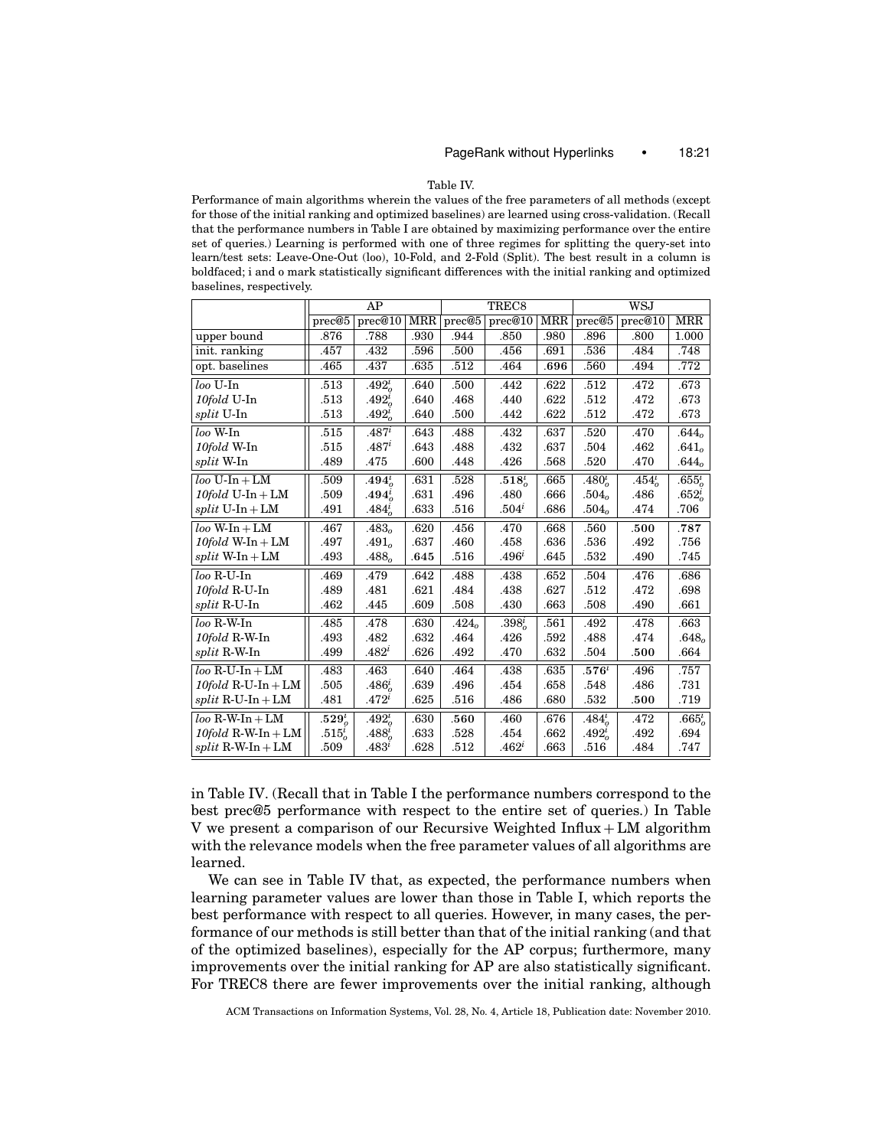#### PageRank without Hyperlinks • 18:21

#### Table IV.

Performance of main algorithms wherein the values of the free parameters of all methods (except for those of the initial ranking and optimized baselines) are learned using cross-validation. (Recall that the performance numbers in Table I are obtained by maximizing performance over the entire set of queries.) Learning is performed with one of three regimes for splitting the query-set into learn/test sets: Leave-One-Out (loo), 10-Fold, and 2-Fold (Split). The best result in a column is boldfaced; i and o mark statistically significant differences with the initial ranking and optimized baselines, respectively.

|                                                  |                | AP                             |            |                   | TREC <sub>8</sub> |            |                                | WSJ               |                                |
|--------------------------------------------------|----------------|--------------------------------|------------|-------------------|-------------------|------------|--------------------------------|-------------------|--------------------------------|
|                                                  | prec@5         | prec@10                        | <b>MRR</b> | prec@5            | prec@10           | <b>MRR</b> | prec@5                         | prec@10           | <b>MRR</b>                     |
| upper bound                                      | .876           | .788                           | .930       | .944              | .850              | .980       | .896                           | .800              | 1.000                          |
| init. ranking                                    | .457           | .432                           | .596       | .500              | .456              | .691       | .536                           | .484              | .748                           |
| opt. baselines                                   | .465           | .437                           | .635       | .512              | .464              | .696       | .560                           | .494              | .772                           |
| loo U-In                                         | .513           | $.492^{l}_{o}$                 | .640       | .500              | .442              | .622       | .512                           | .472              | .673                           |
| 10fold U-In                                      | .513           | $.492^{i}_{o}$                 | .640       | .468              | .440              | .622       | .512                           | .472              | .673                           |
| split U-In                                       | .513           | $.492^{i}_{o}$                 | .640       | .500              | .442              | .622       | .512                           | .472              | .673                           |
| $\log$ W-In                                      | .515           | $.487$ <sup>i</sup>            | .643       | .488              | .432              | .637       | .520                           | .470              | .644 <sub>o</sub>              |
| 10fold W-In                                      | .515           | $.487$ <sup>i</sup>            | .643       | .488              | .432              | .637       | .504                           | .462              | .641 <sub>o</sub>              |
| split W-In                                       | .489           | .475                           | .600       | .448              | .426              | .568       | .520                           | .470              | .644 <sub>o</sub>              |
| $\overline{loo U\text{-} \text{In} + \text{LM}}$ | .509           | $.494^{i}_{o}$                 | .631       | .528              | $.518^{i}_{o}$    | .665       | .480 <sub>o</sub> <sup>i</sup> | .454 <sup>i</sup> | .655 <sup>i</sup> <sub>o</sub> |
| $10fold$ U-In+LM                                 | .509           | $.494^{i}_{o}$                 | .631       | .496              | .480              | .666       | .504 <sub>o</sub>              | .486              | .652 <sub>o</sub>              |
| $split$ U-In + LM                                | .491           | $.484^{i}_{o}$                 | .633       | .516              | .504 <sup>i</sup> | .686       | .504 <sub>o</sub>              | .474              | .706                           |
| $loo$ W-In + LM                                  | .467           | .483 <sub>o</sub>              | .620       | .456              | .470              | .668       | .560                           | .500              | .787                           |
| 10fold W-In + $LM$                               | .497           | .491 <sub>o</sub>              | .637       | .460              | .458              | .636       | .536                           | .492              | .756                           |
| $split$ W-In + LM                                | .493           | .488 <sub>o</sub>              | .645       | .516              | .496 <sup>i</sup> | .645       | .532                           | .490              | .745                           |
| $\log$ R-U-In                                    | .469           | .479                           | .642       | .488              | .438              | .652       | .504                           | .476              | .686                           |
| 10fold R-U-In                                    | .489           | .481                           | .621       | .484              | .438              | .627       | .512                           | .472              | .698                           |
| split R-U-In                                     | .462           | .445                           | .609       | .508              | .430              | .663       | .508                           | .490              | .661                           |
| $\log R$ -W-In                                   | .485           | .478                           | .630       | .424 <sub>o</sub> | $.398^{i}_{o}$    | .561       | .492                           | .478              | .663                           |
| 10fold R-W-In                                    | .493           | .482                           | .632       | .464              | .426              | .592       | .488                           | .474              | .648 <sub>o</sub>              |
| $split$ R-W-In                                   | .499           | $.482^{i}$                     | .626       | .492              | .470              | .632       | .504                           | .500              | .664                           |
| $loo$ R-U-In + LM                                | .483           | .463                           | .640       | .464              | .438              | .635       | $.576^i$                       | .496              | .757                           |
| 10fold $R-U-In+LM$                               | .505           | $.486^{i}_{o}$                 | .639       | .496              | .454              | .658       | .548                           | .486              | .731                           |
| $split$ R-U-In + LM                              | .481           | $.472^{i}$                     | .625       | .516              | .486              | .680       | .532                           | .500              | .719                           |
| $\log R$ -W-In + LM                              | $.529^{i}_{o}$ | .492 <sub>o</sub> <sup>i</sup> | .630       | .560              | .460              | .676       | $.484^{i}_{o}$                 | .472              | $.665^i_\circ$                 |
| $10fold$ R-W-In $+$ LM $\,$                      | $.515^{i}_{o}$ | $.488^{i}_{o}$                 | .633       | .528              | .454              | .662       | $.492^{i}_{o}$                 | .492              | .694                           |
| $split$ R-W-In + LM                              | .509           | $.483^i$                       | .628       | .512              | $.462^{i}$        | .663       | .516                           | .484              | .747                           |

in Table IV. (Recall that in Table I the performance numbers correspond to the best prec@5 performance with respect to the entire set of queries.) In Table V we present a comparison of our Recursive Weighted  $Influx+LM$  algorithm with the relevance models when the free parameter values of all algorithms are learned.

We can see in Table IV that, as expected, the performance numbers when learning parameter values are lower than those in Table I, which reports the best performance with respect to all queries. However, in many cases, the performance of our methods is still better than that of the initial ranking (and that of the optimized baselines), especially for the AP corpus; furthermore, many improvements over the initial ranking for AP are also statistically significant. For TREC8 there are fewer improvements over the initial ranking, although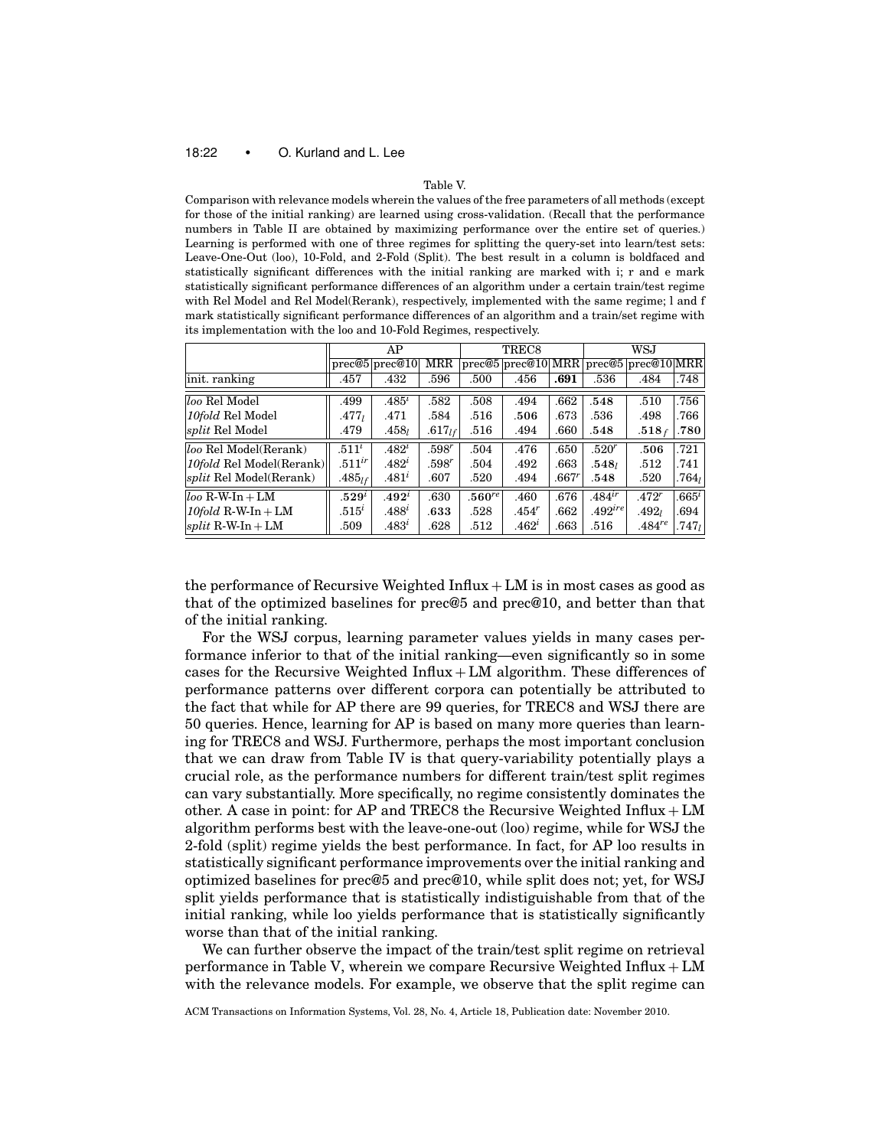#### 18:22 • O. Kurland and L. Lee

#### Table V.

Comparison with relevance models wherein the values of the free parameters of all methods (except for those of the initial ranking) are learned using cross-validation. (Recall that the performance numbers in Table II are obtained by maximizing performance over the entire set of queries.) Learning is performed with one of three regimes for splitting the query-set into learn/test sets: Leave-One-Out (loo), 10-Fold, and 2-Fold (Split). The best result in a column is boldfaced and statistically significant differences with the initial ranking are marked with i; r and e mark statistically significant performance differences of an algorithm under a certain train/test regime with Rel Model and Rel Model(Rerank), respectively, implemented with the same regime; l and f mark statistically significant performance differences of an algorithm and a train/set regime with its implementation with the loo and 10-Fold Regimes, respectively.

|                           |                      | AP                |                   |                    | TREC <sub>8</sub>  |                   | WSJ                   |                    |                   |
|---------------------------|----------------------|-------------------|-------------------|--------------------|--------------------|-------------------|-----------------------|--------------------|-------------------|
|                           |                      | prec@5 prec@10    | MRR               |                    | prec@5 prec@10 MRR |                   |                       | prec@5 prec@10 MRR |                   |
| init. ranking             | .457                 | .432              | .596              | .500               | .456               | .691              | .536                  | .484               | .748              |
| loo Rel Model             | .499                 | .485 <sup>t</sup> | .582              | .508               | .494               | .662              | .548                  | .510               | .756              |
| 10fold Rel Model          | .477 <sub>l</sub>    | .471              | .584              | .516               | .506               | .673              | .536                  | .498               | .766              |
| split Rel Model           | .479                 | .458 <sub>1</sub> | $.617_{lf}$       | .516               | .494               | .660              | .548                  | .518f              | .780              |
| loo Rel Model(Rerank)     | .511 <sup>t</sup>    | .482 <sup>t</sup> | .598 <sup>r</sup> | .504               | .476               | .650              | .520 <sup>r</sup>     | .506               | .721              |
| 10fold Rel Model(Rerank)  | $.511$ <sup>ir</sup> | .482 <sup>i</sup> | .598 <sup>r</sup> | .504               | .492               | .663              | .548 <sub>l</sub>     | .512               | .741              |
| split Rel Model(Rerank)   | $.485_{lf}$          | .481 <sup>t</sup> | .607              | .520               | .494               | .667 <sup>r</sup> | .548                  | .520               | $.764_l$          |
| $ $ loo R-W-In + LM       | .529 <sup>t</sup>    | .492 <sup>t</sup> | .630              | .560 <sup>re</sup> | .460               | .676              | .484 <sup>tr</sup>    | .472 <sup>r</sup>  | $.665^i$          |
| 10fold $R-W-In+LM$        | $.515^{\iota}$       | .488 <sup>t</sup> | .633              | .528               | .454 <sup>r</sup>  | .662              | $.492$ <sup>tre</sup> | .492 <sub>l</sub>  | .694              |
| $\frac{split}{R-W-In+LM}$ | .509                 | .483 <sup>t</sup> | .628              | .512               | $.462^{\iota}$     | .663              | .516                  | .484 <sup>re</sup> | .747 <sub>l</sub> |

the performance of Recursive Weighted  $Influx+LM$  is in most cases as good as that of the optimized baselines for prec@5 and prec@10, and better than that of the initial ranking.

For the WSJ corpus, learning parameter values yields in many cases performance inferior to that of the initial ranking—even significantly so in some cases for the Recursive Weighted  $Influx+LM$  algorithm. These differences of performance patterns over different corpora can potentially be attributed to the fact that while for AP there are 99 queries, for TREC8 and WSJ there are 50 queries. Hence, learning for AP is based on many more queries than learning for TREC8 and WSJ. Furthermore, perhaps the most important conclusion that we can draw from Table IV is that query-variability potentially plays a crucial role, as the performance numbers for different train/test split regimes can vary substantially. More specifically, no regime consistently dominates the other. A case in point: for AP and TREC8 the Recursive Weighted  $Influx+LM$ algorithm performs best with the leave-one-out (loo) regime, while for WSJ the 2-fold (split) regime yields the best performance. In fact, for AP loo results in statistically significant performance improvements over the initial ranking and optimized baselines for prec@5 and prec@10, while split does not; yet, for WSJ split yields performance that is statistically indistiguishable from that of the initial ranking, while loo yields performance that is statistically significantly worse than that of the initial ranking.

We can further observe the impact of the train/test split regime on retrieval performance in Table V, wherein we compare Recursive Weighted  $Influx+LM$ with the relevance models. For example, we observe that the split regime can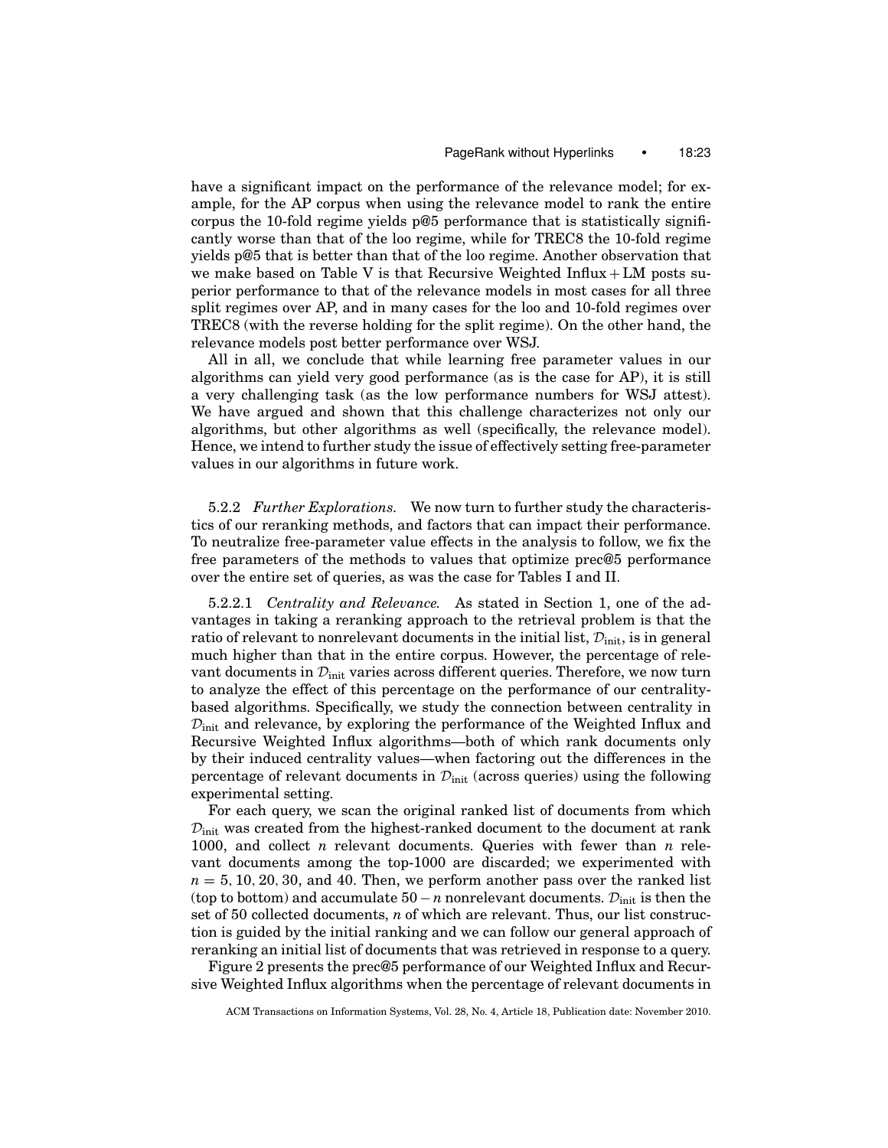have a significant impact on the performance of the relevance model; for example, for the AP corpus when using the relevance model to rank the entire corpus the 10-fold regime yields p@5 performance that is statistically significantly worse than that of the loo regime, while for TREC8 the 10-fold regime yields p@5 that is better than that of the loo regime. Another observation that we make based on Table V is that Recursive Weighted  $Influx+LM$  posts superior performance to that of the relevance models in most cases for all three split regimes over AP, and in many cases for the loo and 10-fold regimes over TREC8 (with the reverse holding for the split regime). On the other hand, the relevance models post better performance over WSJ.

All in all, we conclude that while learning free parameter values in our algorithms can yield very good performance (as is the case for AP), it is still a very challenging task (as the low performance numbers for WSJ attest). We have argued and shown that this challenge characterizes not only our algorithms, but other algorithms as well (specifically, the relevance model). Hence, we intend to further study the issue of effectively setting free-parameter values in our algorithms in future work.

5.2.2 *Further Explorations.* We now turn to further study the characteristics of our reranking methods, and factors that can impact their performance. To neutralize free-parameter value effects in the analysis to follow, we fix the free parameters of the methods to values that optimize prec@5 performance over the entire set of queries, as was the case for Tables I and II.

5.2.2.1 *Centrality and Relevance.* As stated in Section 1, one of the advantages in taking a reranking approach to the retrieval problem is that the ratio of relevant to nonrelevant documents in the initial list,  $\mathcal{D}_{init}$ , is in general much higher than that in the entire corpus. However, the percentage of relevant documents in  $\mathcal{D}_{\text{init}}$  varies across different queries. Therefore, we now turn to analyze the effect of this percentage on the performance of our centralitybased algorithms. Specifically, we study the connection between centrality in  $\mathcal{D}_{\text{init}}$  and relevance, by exploring the performance of the Weighted Influx and Recursive Weighted Influx algorithms—both of which rank documents only by their induced centrality values—when factoring out the differences in the percentage of relevant documents in  $\mathcal{D}_{init}$  (across queries) using the following experimental setting.

For each query, we scan the original ranked list of documents from which  $\mathcal{D}_{\text{init}}$  was created from the highest-ranked document to the document at rank 1000, and collect *n* relevant documents. Queries with fewer than *n* relevant documents among the top-1000 are discarded; we experimented with  $n = 5, 10, 20, 30,$  and 40. Then, we perform another pass over the ranked list (top to bottom) and accumulate  $50 - n$  nonrelevant documents.  $\mathcal{D}_{init}$  is then the set of 50 collected documents, *n* of which are relevant. Thus, our list construction is guided by the initial ranking and we can follow our general approach of reranking an initial list of documents that was retrieved in response to a query.

Figure 2 presents the prec@5 performance of our Weighted Influx and Recursive Weighted Influx algorithms when the percentage of relevant documents in

ACM Transactions on Information Systems, Vol. 28, No. 4, Article 18, Publication date: November 2010.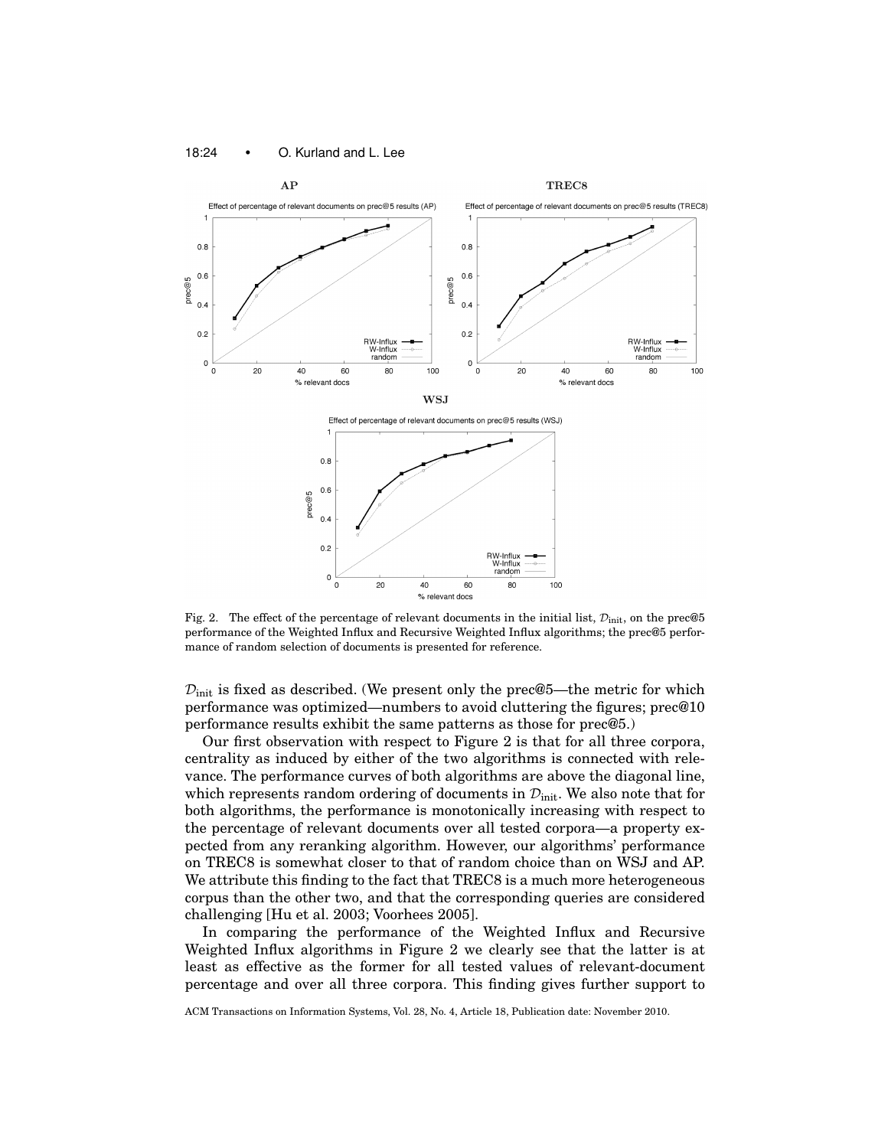



Fig. 2. The effect of the percentage of relevant documents in the initial list,  $\mathcal{D}_{init}$ , on the prec@5 performance of the Weighted Influx and Recursive Weighted Influx algorithms; the prec@5 performance of random selection of documents is presented for reference.

 $\mathcal{D}_{\text{init}}$  is fixed as described. (We present only the prec@5—the metric for which performance was optimized—numbers to avoid cluttering the figures; prec@10 performance results exhibit the same patterns as those for prec@5.)

Our first observation with respect to Figure 2 is that for all three corpora, centrality as induced by either of the two algorithms is connected with relevance. The performance curves of both algorithms are above the diagonal line, which represents random ordering of documents in  $\mathcal{D}_{init}$ . We also note that for both algorithms, the performance is monotonically increasing with respect to the percentage of relevant documents over all tested corpora—a property expected from any reranking algorithm. However, our algorithms' performance on TREC8 is somewhat closer to that of random choice than on WSJ and AP. We attribute this finding to the fact that TREC8 is a much more heterogeneous corpus than the other two, and that the corresponding queries are considered challenging [Hu et al. 2003; Voorhees 2005].

In comparing the performance of the Weighted Influx and Recursive Weighted Influx algorithms in Figure 2 we clearly see that the latter is at least as effective as the former for all tested values of relevant-document percentage and over all three corpora. This finding gives further support to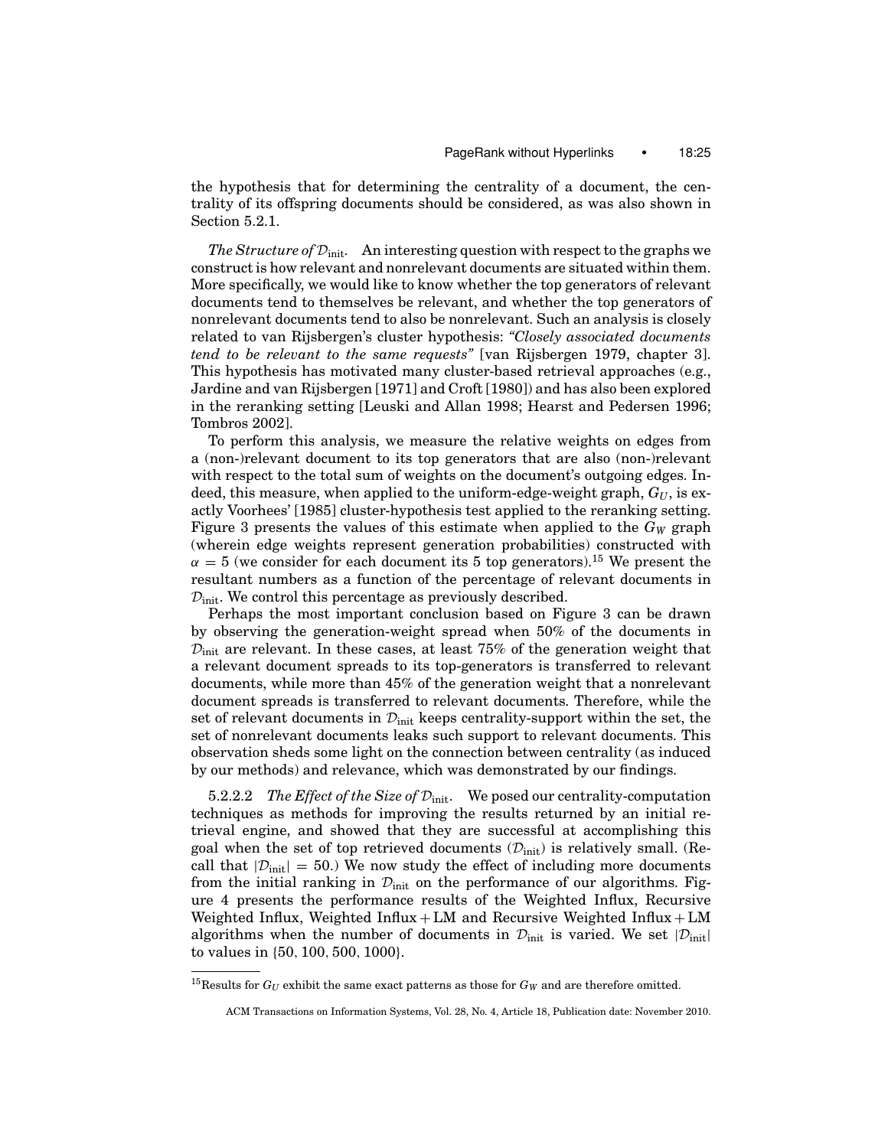the hypothesis that for determining the centrality of a document, the centrality of its offspring documents should be considered, as was also shown in Section 5.2.1.

*The Structure of*  $\mathcal{D}_{init}$ . An interesting question with respect to the graphs we construct is how relevant and nonrelevant documents are situated within them. More specifically, we would like to know whether the top generators of relevant documents tend to themselves be relevant, and whether the top generators of nonrelevant documents tend to also be nonrelevant. Such an analysis is closely related to van Rijsbergen's cluster hypothesis: *"Closely associated documents tend to be relevant to the same requests"* [van Rijsbergen 1979, chapter 3]. This hypothesis has motivated many cluster-based retrieval approaches (e.g., Jardine and van Rijsbergen [1971] and Croft [1980]) and has also been explored in the reranking setting [Leuski and Allan 1998; Hearst and Pedersen 1996; Tombros 2002].

To perform this analysis, we measure the relative weights on edges from a (non-)relevant document to its top generators that are also (non-)relevant with respect to the total sum of weights on the document's outgoing edges. Indeed, this measure, when applied to the uniform-edge-weight graph, *GU*, is exactly Voorhees' [1985] cluster-hypothesis test applied to the reranking setting. Figure 3 presents the values of this estimate when applied to the  $G_W$  graph (wherein edge weights represent generation probabilities) constructed with  $\alpha = 5$  (we consider for each document its 5 top generators).<sup>15</sup> We present the resultant numbers as a function of the percentage of relevant documents in  $\mathcal{D}_{\text{init}}$ . We control this percentage as previously described.

Perhaps the most important conclusion based on Figure 3 can be drawn by observing the generation-weight spread when 50% of the documents in  $\mathcal{D}_{\text{init}}$  are relevant. In these cases, at least 75% of the generation weight that a relevant document spreads to its top-generators is transferred to relevant documents, while more than 45% of the generation weight that a nonrelevant document spreads is transferred to relevant documents. Therefore, while the set of relevant documents in  $\mathcal{D}_{init}$  keeps centrality-support within the set, the set of nonrelevant documents leaks such support to relevant documents. This observation sheds some light on the connection between centrality (as induced by our methods) and relevance, which was demonstrated by our findings.

5.2.2.2 *The Effect of the Size of D*<sub>init</sub>. We posed our centrality-computation techniques as methods for improving the results returned by an initial retrieval engine, and showed that they are successful at accomplishing this goal when the set of top retrieved documents  $(\mathcal{D}_{init})$  is relatively small. (Recall that  $|\mathcal{D}_{init}| = 50$ .) We now study the effect of including more documents from the initial ranking in  $\mathcal{D}_{init}$  on the performance of our algorithms. Figure 4 presents the performance results of the Weighted Influx, Recursive Weighted Influx, Weighted Influx + LM and Recursive Weighted Influx + LM algorithms when the number of documents in  $\mathcal{D}_{init}$  is varied. We set  $|\mathcal{D}_{init}|$ to values in {50, 100, 500, 1000}.

<sup>&</sup>lt;sup>15</sup>Results for  $G_U$  exhibit the same exact patterns as those for  $G_W$  and are therefore omitted.

ACM Transactions on Information Systems, Vol. 28, No. 4, Article 18, Publication date: November 2010.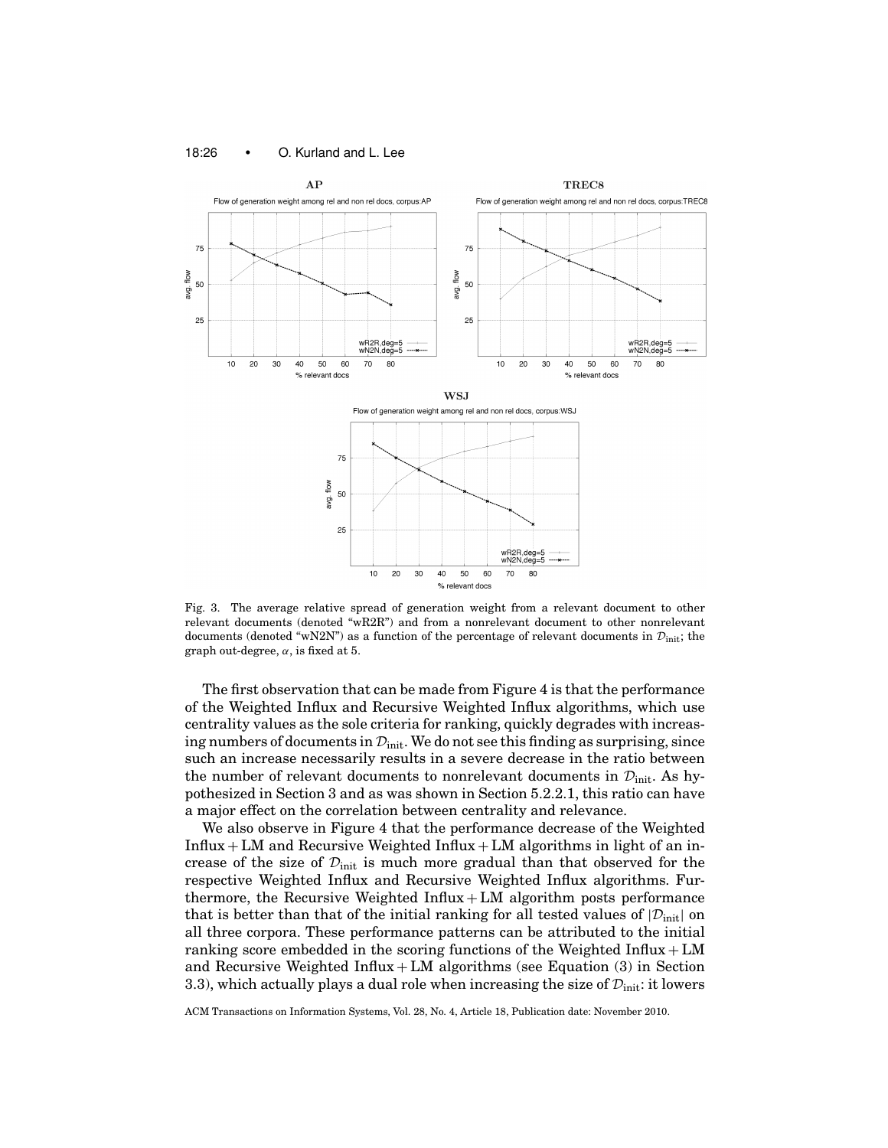

18:26 • O. Kurland and L. Lee

Fig. 3. The average relative spread of generation weight from a relevant document to other relevant documents (denoted "wR2R") and from a nonrelevant document to other nonrelevant documents (denoted "wN2N") as a function of the percentage of relevant documents in  $\mathcal{D}_{\text{init}}$ ; the graph out-degree,  $\alpha$ , is fixed at 5.

The first observation that can be made from Figure 4 is that the performance of the Weighted Influx and Recursive Weighted Influx algorithms, which use centrality values as the sole criteria for ranking, quickly degrades with increasing numbers of documents in  $\mathcal{D}_{init}$ . We do not see this finding as surprising, since such an increase necessarily results in a severe decrease in the ratio between the number of relevant documents to nonrelevant documents in  $\mathcal{D}_{init}$ . As hypothesized in Section 3 and as was shown in Section 5.2.2.1, this ratio can have a major effect on the correlation between centrality and relevance.

We also observe in Figure 4 that the performance decrease of the Weighted Influx  $+ LM$  and Recursive Weighted Influx  $+ LM$  algorithms in light of an increase of the size of  $\mathcal{D}_{init}$  is much more gradual than that observed for the respective Weighted Influx and Recursive Weighted Influx algorithms. Furthermore, the Recursive Weighted  $Influx+LM$  algorithm posts performance that is better than that of the initial ranking for all tested values of  $|\mathcal{D}_{init}|$  on all three corpora. These performance patterns can be attributed to the initial ranking score embedded in the scoring functions of the Weighted Influx  $+LM$ and Recursive Weighted Influx  $+LM$  algorithms (see Equation (3) in Section 3.3), which actually plays a dual role when increasing the size of  $\mathcal{D}_{init}$ : it lowers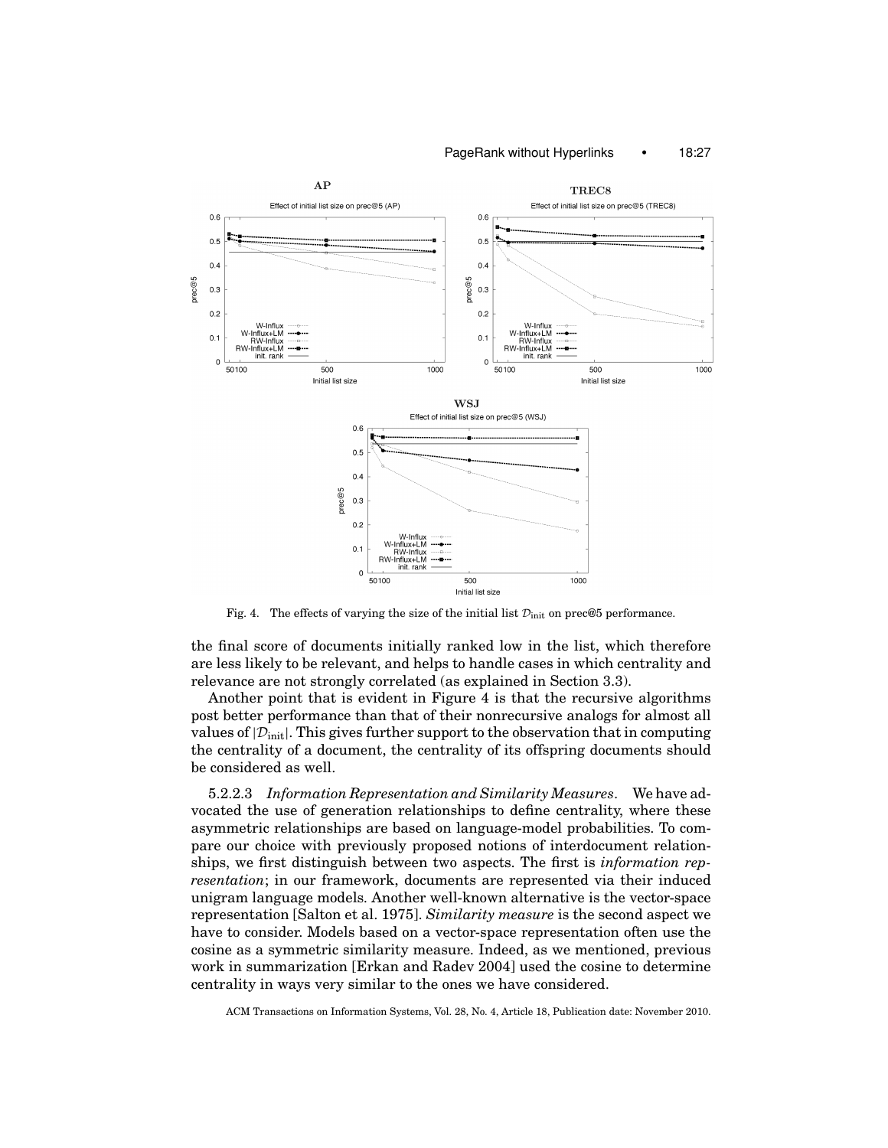

Fig. 4. The effects of varying the size of the initial list  $\mathcal{D}_{\text{init}}$  on prec@5 performance.

the final score of documents initially ranked low in the list, which therefore are less likely to be relevant, and helps to handle cases in which centrality and relevance are not strongly correlated (as explained in Section 3.3).

Another point that is evident in Figure 4 is that the recursive algorithms post better performance than that of their nonrecursive analogs for almost all values of  $|\mathcal{D}_{init}|$ . This gives further support to the observation that in computing the centrality of a document, the centrality of its offspring documents should be considered as well.

5.2.2.3 *Information Representation and Similarity Measures*. We have advocated the use of generation relationships to define centrality, where these asymmetric relationships are based on language-model probabilities. To compare our choice with previously proposed notions of interdocument relationships, we first distinguish between two aspects. The first is *information representation*; in our framework, documents are represented via their induced unigram language models. Another well-known alternative is the vector-space representation [Salton et al. 1975]. *Similarity measure* is the second aspect we have to consider. Models based on a vector-space representation often use the cosine as a symmetric similarity measure. Indeed, as we mentioned, previous work in summarization [Erkan and Radev 2004] used the cosine to determine centrality in ways very similar to the ones we have considered.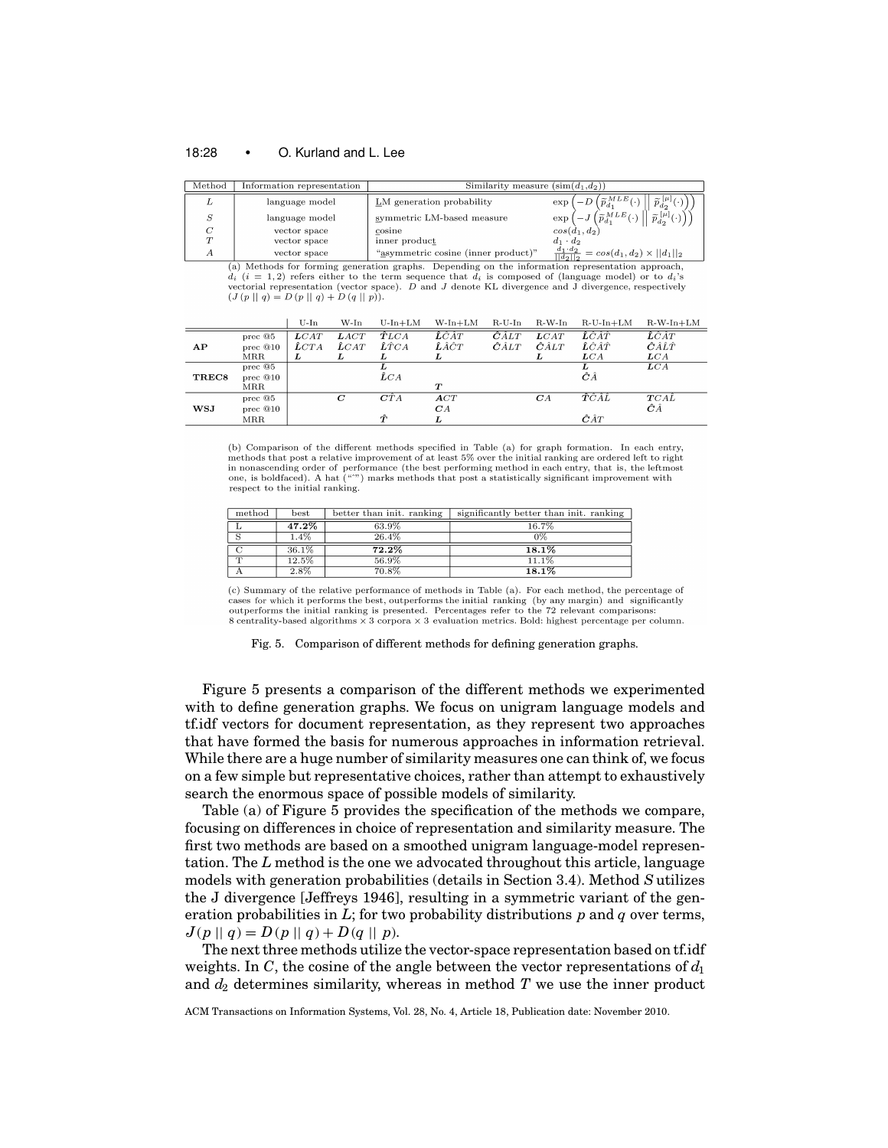## 18:28 • O. Kurland and L. Lee

| Method | Information representation | Similarity measure $(\sin(d_1, d_2))$ |                                                                                                        |
|--------|----------------------------|---------------------------------------|--------------------------------------------------------------------------------------------------------|
|        | language model             | LM generation probability             | $(1-D)\sqrt{\widetilde{p}_{d_1}^{MLE}}$<br>$\widetilde{p}_{d_2}^{\, [\mu]}(\cdot)$<br>exp <sub>1</sub> |
| S      | language model             | symmetric LM-based measure            | $\widetilde{p}_{d_2}^{[\mu]}(\cdot)$<br>, $-J\left( \widetilde{p}_{d_{1}}^{MLE}\right)$ .<br>exp       |
|        | vector space               | cosine                                | $cos(d_1, d_2)$                                                                                        |
| $\tau$ | vector space               | inner product                         | $d_1 \cdot d_2$                                                                                        |
|        | vector space               | "asymmetric cosine (inner product)"   | $d_1 \cdot d_2$<br>$= cos(d_1, d_2) \times   d_1  _2$<br>$\overline{\lceil d_2 \rceil}$                |

(a) Methods for forming generation graphs. Depending on the information representation approach,<br>  $d_i$  ( $i = 1, 2$ ) refers either to the term sequence that  $d_i$  is composed of (language model) or to  $d_i$ 's vectorial representation (vector space).  $D$  and J denote KL divergence and J divergence, respectively  $(J (p || q) = D (p || q) + D (q || p)).$ 

|       |         | $U-In$          | W-In                 | $U$ -In+LM           | $W-In+LM$                          | $R-U-In$                  | R-W-In                | $R-U-In+LM$                           | $R-W-In+LM$                     |
|-------|---------|-----------------|----------------------|----------------------|------------------------------------|---------------------------|-----------------------|---------------------------------------|---------------------------------|
|       | prec @5 | $_{LCAT}$       | LACT                 | $\tilde{\bm{T}} LCA$ | $\hat{{\cal L}}\hat{C}\hat{A}T$    | $\tilde{C} \tilde{A} L T$ | LCAT                  | $\hat{{\cal L}}\hat{C}\hat{A}\hat{T}$ | $\hat{{\cal L}}\hat{C}\hat{A}T$ |
| AP    | prec@10 | $\mathit{LCTA}$ | $\hat{{\cal L}} CAT$ | $\hat{L}\hat{T}CA$   | $\hat{{\cal L}} \hat{A} \hat{C} T$ | $\hat{C} \hat{A} L T$     | $\hat{C} \hat{A} L T$ | $\hat{{\cal L}}\hat{C}\hat{A}\hat{T}$ | $\hat{C}\hat{A}\hat{L}\hat{T}$  |
|       | MRR     |                 |                      |                      | L                                  |                           |                       | $_{\it LCA}$                          | $_{\it LCA}$                    |
|       | prec @5 |                 |                      |                      |                                    |                           |                       |                                       | $_{LCA}$                        |
| TREC8 | prec@10 |                 |                      | $\hat{{\cal L}}CA$   |                                    |                           |                       | ĈÂ                                    |                                 |
|       | MRR     |                 |                      |                      | T                                  |                           |                       |                                       |                                 |
|       | prec @5 |                 | C                    | CTA                  | ACT                                |                           | CA                    | $\hat{T} \hat{C} \hat{A} \hat{L}$     | TCAL                            |
| WSJ   | prec@10 |                 |                      |                      | CA                                 |                           |                       |                                       | ĈÂ                              |
|       | MRR     |                 |                      | ۰Ĥ                   | L                                  |                           |                       | $\hat{C} \hat{A} T$                   |                                 |

(b) Comparison of the different methods specified in Table (a) for graph formation. In each entry, methods that post a relative improvement of at least 5% over the initial ranking are ordered left to right in nonascending order of performance (the best performing method in each entry, that is, the leftmost one, is boldfaced). A hat ("") marks methods that post a statistically significant improvement with respect to the initial ranking.

| method       | best     | better than init. ranking | significantly better than init. ranking |
|--------------|----------|---------------------------|-----------------------------------------|
|              | 47.2%    | 63.9%                     | 16.7%                                   |
|              | $1.4\%$  | 26.4%                     | 0%                                      |
|              | $36.1\%$ | $72.2\%$                  | 18.1%                                   |
| $\mathbf{u}$ | 12.5%    | 56.9%                     | 11.1%                                   |
| А            | $2.8\%$  | $70.8\%$                  | 18.1%                                   |

(c) Summary of the relative performance of methods in Table (a). For each method, the percentage of cases for which it performs the best, outperforms the initial ranking (by any margin) and significantly outperforms the initial ranking is presented. Percentages refer to the 72 relevant comparisons: 8 centrality-based algorithms  $\times$  3 corpora  $\times$  3 evaluation metrics. Bold: highest percentage per column.

#### Fig. 5. Comparison of different methods for defining generation graphs.

Figure 5 presents a comparison of the different methods we experimented with to define generation graphs. We focus on unigram language models and tf.idf vectors for document representation, as they represent two approaches that have formed the basis for numerous approaches in information retrieval. While there are a huge number of similarity measures one can think of, we focus on a few simple but representative choices, rather than attempt to exhaustively search the enormous space of possible models of similarity.

Table (a) of Figure 5 provides the specification of the methods we compare, focusing on differences in choice of representation and similarity measure. The first two methods are based on a smoothed unigram language-model representation. The *L* method is the one we advocated throughout this article, language models with generation probabilities (details in Section 3.4). Method *S*utilizes the J divergence [Jeffreys 1946], resulting in a symmetric variant of the generation probabilities in  $L$ ; for two probability distributions  $p$  and  $q$  over terms,  $J(p || q) = D(p || q) + D(q || p).$ 

The next three methods utilize the vector-space representation based on tf.idf weights. In *C*, the cosine of the angle between the vector representations of  $d_1$ and  $d_2$  determines similarity, whereas in method  $T$  we use the inner product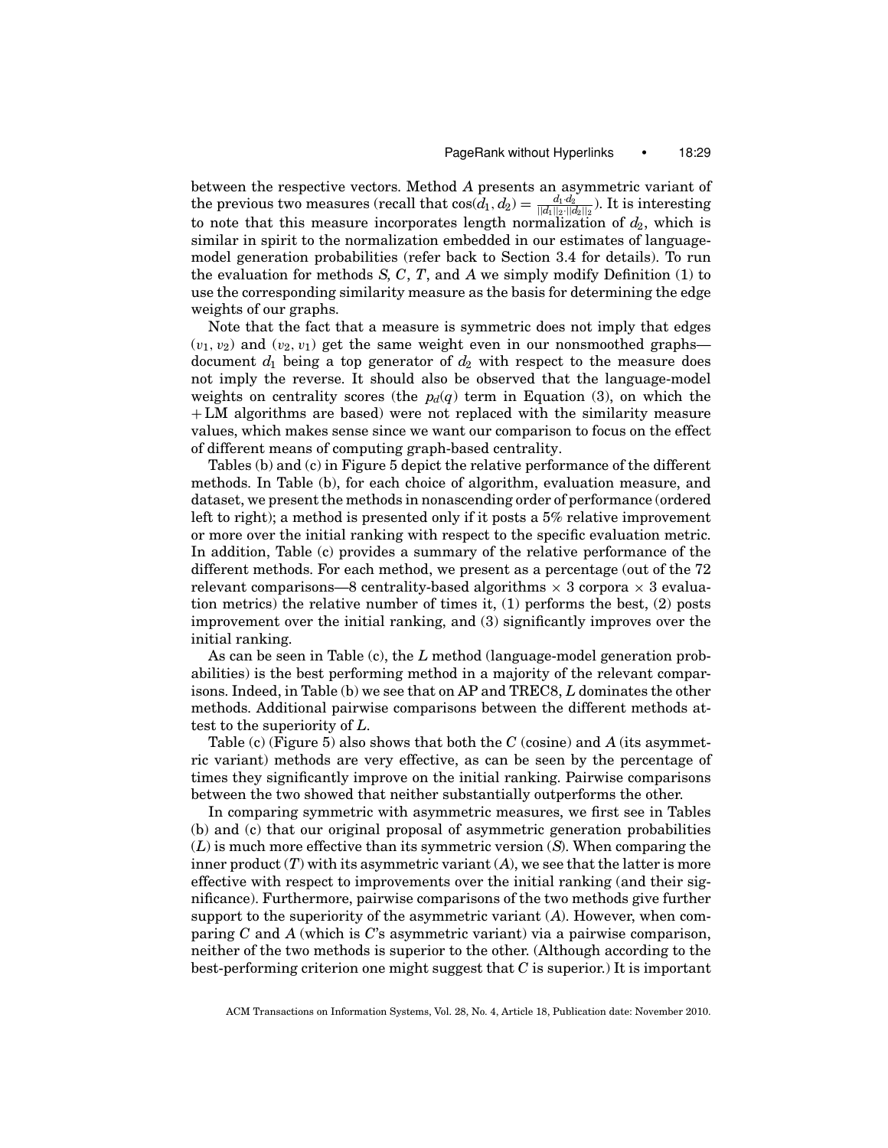between the respective vectors. Method *A* presents an asymmetric variant of the previous two measures (recall that  $cos(\bar{d}_1, d_2) = \frac{d_1 \cdot d_2}{||d_1||_2 \cdot ||d_2||_2}$ ). It is interesting to note that this measure incorporates length normalization of  $d_2$ , which is similar in spirit to the normalization embedded in our estimates of languagemodel generation probabilities (refer back to Section 3.4 for details). To run the evaluation for methods *S*, *C*, *T*, and *A* we simply modify Definition (1) to use the corresponding similarity measure as the basis for determining the edge weights of our graphs.

Note that the fact that a measure is symmetric does not imply that edges  $(v_1, v_2)$  and  $(v_2, v_1)$  get the same weight even in our nonsmoothed graphs document  $d_1$  being a top generator of  $d_2$  with respect to the measure does not imply the reverse. It should also be observed that the language-model weights on centrality scores (the  $p_d(q)$  term in Equation (3), on which the + LM algorithms are based) were not replaced with the similarity measure values, which makes sense since we want our comparison to focus on the effect of different means of computing graph-based centrality.

Tables (b) and (c) in Figure 5 depict the relative performance of the different methods. In Table (b), for each choice of algorithm, evaluation measure, and dataset, we present the methods in nonascending order of performance (ordered left to right); a method is presented only if it posts a 5% relative improvement or more over the initial ranking with respect to the specific evaluation metric. In addition, Table (c) provides a summary of the relative performance of the different methods. For each method, we present as a percentage (out of the 72 relevant comparisons—8 centrality-based algorithms  $\times$  3 corpora  $\times$  3 evaluation metrics) the relative number of times it,  $(1)$  performs the best,  $(2)$  posts improvement over the initial ranking, and (3) significantly improves over the initial ranking.

As can be seen in Table (c), the *L* method (language-model generation probabilities) is the best performing method in a majority of the relevant comparisons. Indeed, in Table (b) we see that on AP and TREC8, *L* dominates the other methods. Additional pairwise comparisons between the different methods attest to the superiority of *L*.

Table (c) (Figure 5) also shows that both the *C* (cosine) and *A* (its asymmetric variant) methods are very effective, as can be seen by the percentage of times they significantly improve on the initial ranking. Pairwise comparisons between the two showed that neither substantially outperforms the other.

In comparing symmetric with asymmetric measures, we first see in Tables (b) and (c) that our original proposal of asymmetric generation probabilities (*L*) is much more effective than its symmetric version (*S*). When comparing the inner product  $(T)$  with its asymmetric variant  $(A)$ , we see that the latter is more effective with respect to improvements over the initial ranking (and their significance). Furthermore, pairwise comparisons of the two methods give further support to the superiority of the asymmetric variant (*A*). However, when comparing *C* and *A* (which is *C*'s asymmetric variant) via a pairwise comparison, neither of the two methods is superior to the other. (Although according to the best-performing criterion one might suggest that *C* is superior.) It is important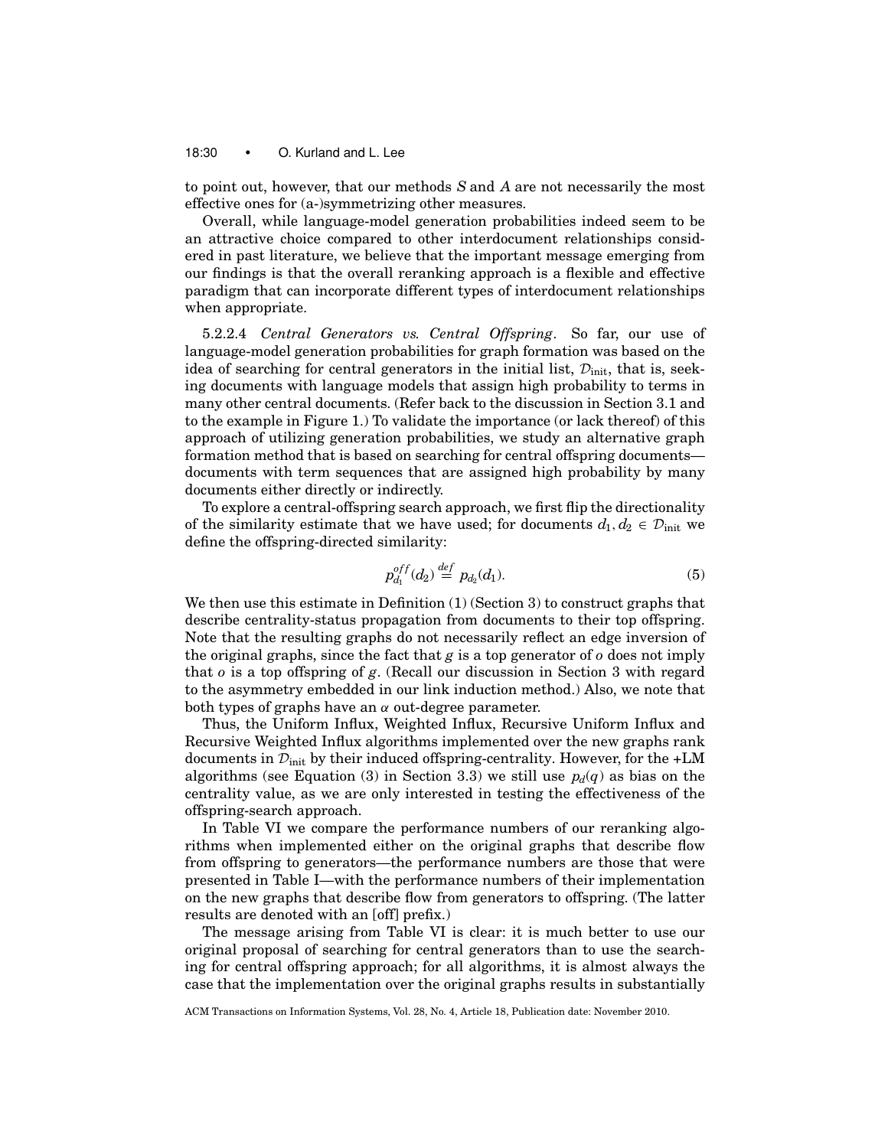## 18:30 • O. Kurland and L. Lee

to point out, however, that our methods *S* and *A* are not necessarily the most effective ones for (a-)symmetrizing other measures.

Overall, while language-model generation probabilities indeed seem to be an attractive choice compared to other interdocument relationships considered in past literature, we believe that the important message emerging from our findings is that the overall reranking approach is a flexible and effective paradigm that can incorporate different types of interdocument relationships when appropriate.

5.2.2.4 *Central Generators vs. Central Offspring*. So far, our use of language-model generation probabilities for graph formation was based on the idea of searching for central generators in the initial list,  $\mathcal{D}_{\text{init}}$ , that is, seeking documents with language models that assign high probability to terms in many other central documents. (Refer back to the discussion in Section 3.1 and to the example in Figure 1.) To validate the importance (or lack thereof) of this approach of utilizing generation probabilities, we study an alternative graph formation method that is based on searching for central offspring documents documents with term sequences that are assigned high probability by many documents either directly or indirectly.

To explore a central-offspring search approach, we first flip the directionality of the similarity estimate that we have used; for documents  $d_1, d_2 \in \mathcal{D}_{init}$  we define the offspring-directed similarity:

$$
p_{d_1}^{off}(d_2) \stackrel{def}{=} p_{d_2}(d_1). \tag{5}
$$

We then use this estimate in Definition (1) (Section 3) to construct graphs that describe centrality-status propagation from documents to their top offspring. Note that the resulting graphs do not necessarily reflect an edge inversion of the original graphs, since the fact that *g* is a top generator of *o* does not imply that *o* is a top offspring of *g*. (Recall our discussion in Section 3 with regard to the asymmetry embedded in our link induction method.) Also, we note that both types of graphs have an  $\alpha$  out-degree parameter.

Thus, the Uniform Influx, Weighted Influx, Recursive Uniform Influx and Recursive Weighted Influx algorithms implemented over the new graphs rank documents in  $\mathcal{D}_{init}$  by their induced offspring-centrality. However, for the +LM algorithms (see Equation (3) in Section 3.3) we still use  $p_d(q)$  as bias on the centrality value, as we are only interested in testing the effectiveness of the offspring-search approach.

In Table VI we compare the performance numbers of our reranking algorithms when implemented either on the original graphs that describe flow from offspring to generators—the performance numbers are those that were presented in Table I—with the performance numbers of their implementation on the new graphs that describe flow from generators to offspring. (The latter results are denoted with an [off] prefix.)

The message arising from Table VI is clear: it is much better to use our original proposal of searching for central generators than to use the searching for central offspring approach; for all algorithms, it is almost always the case that the implementation over the original graphs results in substantially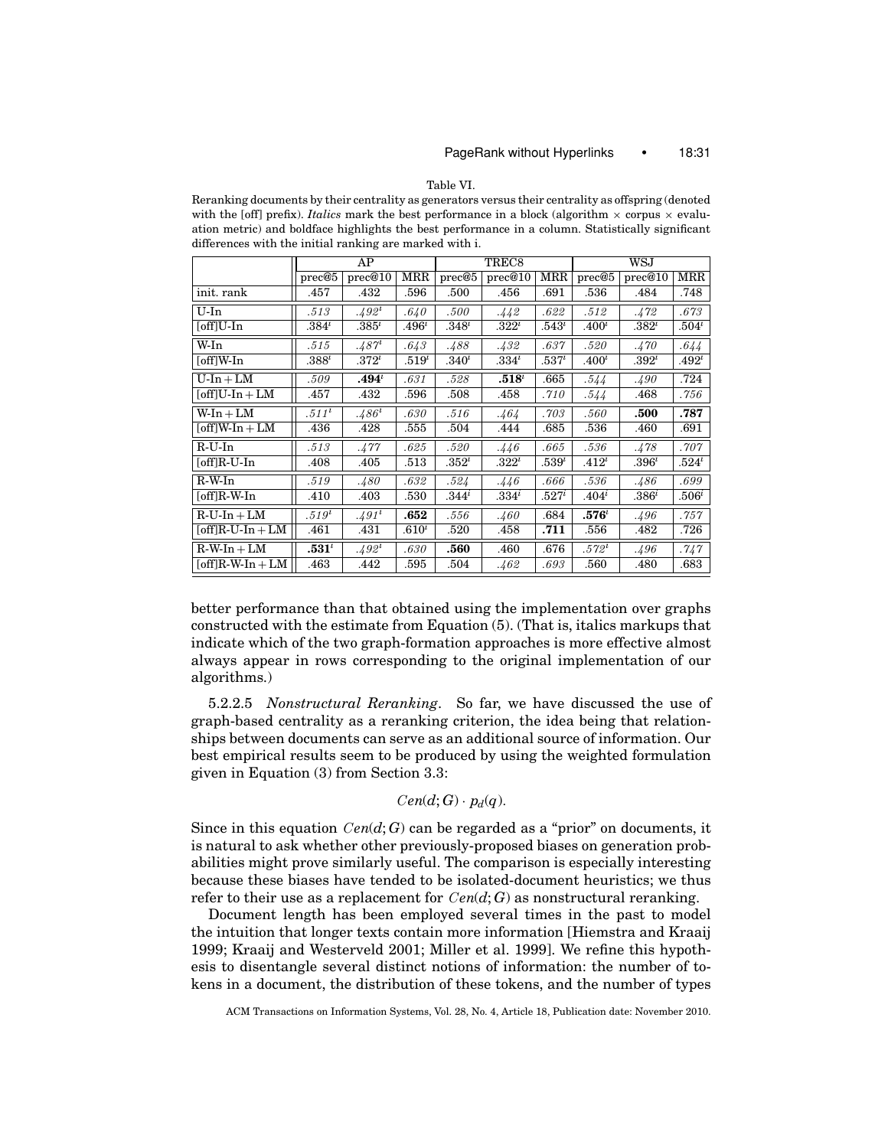#### PageRank without Hyperlinks • 18:31

#### Table VI.

Reranking documents by their centrality as generators versus their centrality as offspring (denoted with the [off] prefix). *Italics* mark the best performance in a block (algorithm  $\times$  corpus  $\times$  evaluation metric) and boldface highlights the best performance in a column. Statistically significant differences with the initial ranking are marked with i.

|                            |                | AP                    |                   |                   | TREC <sub>8</sub> |                |                   | WSJ               |                   |
|----------------------------|----------------|-----------------------|-------------------|-------------------|-------------------|----------------|-------------------|-------------------|-------------------|
|                            | prec@5         | prec@10               | MRR               | prec@5            | prec@10           | MRR            | prec@5            | prec@10           | MRR               |
| init. rank                 | .457           | .432                  | .596              | .500              | .456              | .691           | .536              | .484              | .748              |
| U-In                       | .513           | $.492^{i}$            | .640              | .500              | .442              | .622           | .512              | .472              | .673              |
| [off]U-In                  | $.384^{\iota}$ | $.385^{\iota}$        | $.496^{\iota}$    | .348 <sup>t</sup> | .322 <sup>t</sup> | $.543^{\iota}$ | .400 <sup>t</sup> | $.382^{i}$        | $.504^{\iota}$    |
| W-In                       | .515           | $.487^{i}$            | .643              | .488              | .432              | .637           | .520              | .470              | .644              |
| [off]W-In                  | $.388^{\iota}$ | .372 <sup>t</sup>     | .519 <sup>t</sup> | .340 <sup>t</sup> | $.334^{i}$        | $.537^{\iota}$ | .400 <sup>t</sup> | .392 <sup>t</sup> | .492 <sup>t</sup> |
| $U-In+LM$                  | .509           | $\boldsymbol{.494}^i$ | .631              | .528              | $.518^i$          | .665           | .544              | .490              | .724              |
| [off]U-In + LM             | .457           | .432                  | .596              | .508              | .458              | .710           | .544              | .468              | .756              |
| $W-In + LM$                | $.511^{i}$     | $.486^{i}$            | .630              | .516              | .464              | .703           | .560              | .500              | .787              |
| [off]W-In + LM             | .436           | .428                  | .555              | .504              | .444              | .685           | .536              | .460              | .691              |
| R-U-In                     | .513           | .477                  | .625              | .520              | .446              | .665           | .536              | .478              | .707              |
| [off]R-U-In                | .408           | .405                  | .513              | .352 <sup>t</sup> | $.322^{1}$        | $.539^{\iota}$ | $.412^{i}$        | $.396^{\iota}$    | .524 <sup>t</sup> |
| R-W-In                     | .519           | .480                  | .632              | .524              | .446              | .666           | .536              | .486              | .699              |
| [off]R-W-In                | .410           | .403                  | .530              | $.344^{i}$        | $.334^{i}$        | $.527^i$       | .404 <sup>i</sup> | $.386^{\iota}$    | $.506^i$          |
| $R-U-In+LM$                | $.519^{1}$     | .491 <sup>t</sup>     | .652              | .556              | .460              | .684           | $.576^{\iota}$    | .496              | .757              |
| [off]R-U-In + $LM$         | .461           | .431                  | $.610^{\iota}$    | .520              | .458              | .711           | .556              | .482              | .726              |
| $R-W-In + LM$              | $.531^{i}$     | $.492^{i}$            | .630              | .560              | .460              | .676           | $.572^{1}$        | .496              | .747              |
| $\text{[off]}$ R-W-In + LM | .463           | .442                  | .595              | .504              | .462              | .693           | .560              | .480              | .683              |

better performance than that obtained using the implementation over graphs constructed with the estimate from Equation (5). (That is, italics markups that indicate which of the two graph-formation approaches is more effective almost always appear in rows corresponding to the original implementation of our algorithms.)

5.2.2.5 *Nonstructural Reranking*. So far, we have discussed the use of graph-based centrality as a reranking criterion, the idea being that relationships between documents can serve as an additional source of information. Our best empirical results seem to be produced by using the weighted formulation given in Equation (3) from Section 3.3:

# $C$ *en*( $d$ ;  $G$ ) ·  $p_d(q)$ .

Since in this equation  $Cen(d; G)$  can be regarded as a "prior" on documents, it is natural to ask whether other previously-proposed biases on generation probabilities might prove similarly useful. The comparison is especially interesting because these biases have tended to be isolated-document heuristics; we thus refer to their use as a replacement for  $Cen(d; G)$  as nonstructural reranking.

Document length has been employed several times in the past to model the intuition that longer texts contain more information [Hiemstra and Kraaij 1999; Kraaij and Westerveld 2001; Miller et al. 1999]. We refine this hypothesis to disentangle several distinct notions of information: the number of tokens in a document, the distribution of these tokens, and the number of types

ACM Transactions on Information Systems, Vol. 28, No. 4, Article 18, Publication date: November 2010.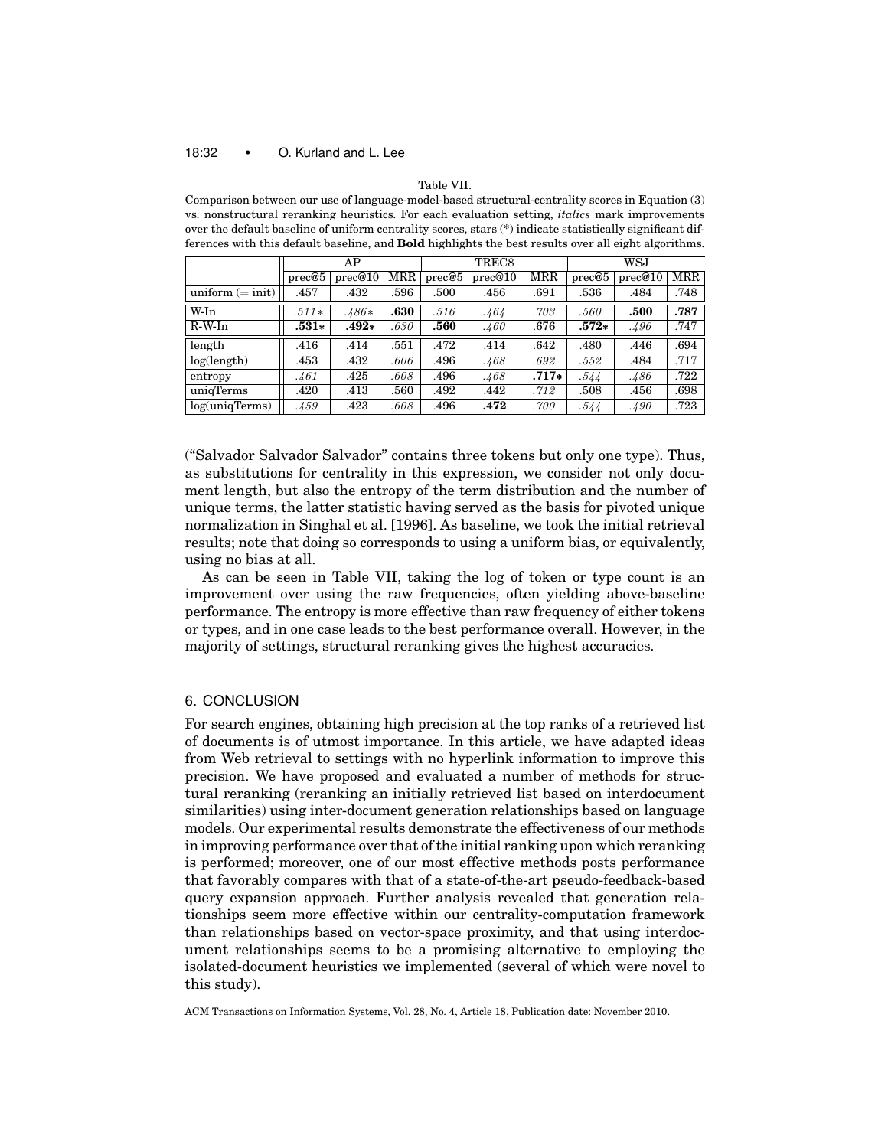## 18:32 • O. Kurland and L. Lee

#### Table VII.

Comparison between our use of language-model-based structural-centrality scores in Equation (3) vs. nonstructural reranking heuristics. For each evaluation setting, *italics* mark improvements over the default baseline of uniform centrality scores, stars (\*) indicate statistically significant differences with this default baseline, and **Bold** highlights the best results over all eight algorithms.

|                    |         | AP      |      |        | TREC <sub>8</sub> |         | WSJ     |         |            |
|--------------------|---------|---------|------|--------|-------------------|---------|---------|---------|------------|
|                    | prec@5  | prec@10 | MRR  | prec@5 | prec@10           | MRR     | prec@5  | prec@10 | <b>MRR</b> |
| uniform $(=$ init) | .457    | .432    | .596 | .500   | .456              | .691    | .536    | .484    | .748       |
| W-In               | $.511*$ | $.486*$ | .630 | .516   | .464              | .703    | .560    | .500    | .787       |
| $R-W-In$           | $.531*$ | $.492*$ | .630 | .560   | .460              | .676    | $.572*$ | .496    | .747       |
| length             | .416    | .414    | .551 | .472   | .414              | .642    | .480    | .446    | .694       |
| log(length)        | .453    | .432    | .606 | .496   | .468              | .692    | .552    | .484    | .717       |
| entropy            | .461    | .425    | .608 | .496   | .468              | $.717*$ | .544    | .486    | .722       |
| uniqTerms          | .420    | .413    | .560 | .492   | .442              | .712    | .508    | .456    | .698       |
| log(uniqTerms)     | .459    | .423    | .608 | .496   | .472              | .700    | .544    | .490    | .723       |

("Salvador Salvador Salvador" contains three tokens but only one type). Thus, as substitutions for centrality in this expression, we consider not only document length, but also the entropy of the term distribution and the number of unique terms, the latter statistic having served as the basis for pivoted unique normalization in Singhal et al. [1996]. As baseline, we took the initial retrieval results; note that doing so corresponds to using a uniform bias, or equivalently, using no bias at all.

As can be seen in Table VII, taking the log of token or type count is an improvement over using the raw frequencies, often yielding above-baseline performance. The entropy is more effective than raw frequency of either tokens or types, and in one case leads to the best performance overall. However, in the majority of settings, structural reranking gives the highest accuracies.

# 6. CONCLUSION

For search engines, obtaining high precision at the top ranks of a retrieved list of documents is of utmost importance. In this article, we have adapted ideas from Web retrieval to settings with no hyperlink information to improve this precision. We have proposed and evaluated a number of methods for structural reranking (reranking an initially retrieved list based on interdocument similarities) using inter-document generation relationships based on language models. Our experimental results demonstrate the effectiveness of our methods in improving performance over that of the initial ranking upon which reranking is performed; moreover, one of our most effective methods posts performance that favorably compares with that of a state-of-the-art pseudo-feedback-based query expansion approach. Further analysis revealed that generation relationships seem more effective within our centrality-computation framework than relationships based on vector-space proximity, and that using interdocument relationships seems to be a promising alternative to employing the isolated-document heuristics we implemented (several of which were novel to this study).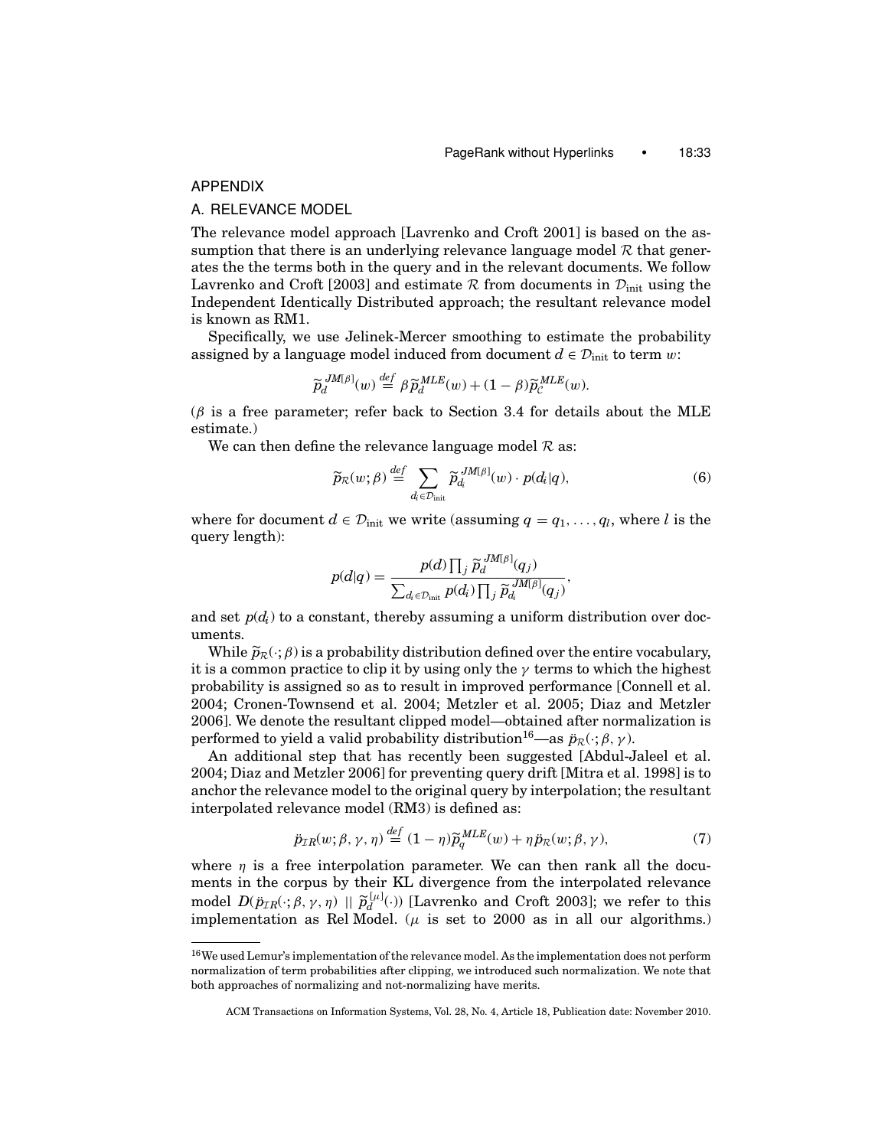# APPENDIX

# A. RELEVANCE MODEL

The relevance model approach [Lavrenko and Croft 2001] is based on the assumption that there is an underlying relevance language model  $R$  that generates the the terms both in the query and in the relevant documents. We follow Lavrenko and Croft [2003] and estimate  $R$  from documents in  $\mathcal{D}_{init}$  using the Independent Identically Distributed approach; the resultant relevance model is known as RM1.

Specifically, we use Jelinek-Mercer smoothing to estimate the probability assigned by a language model induced from document  $d \in \mathcal{D}_{init}$  to term w:

$$
\widetilde{p}_d^{JML\beta}(w) \stackrel{def}{=} \beta \widetilde{p}_d^{MLE}(w) + (1 - \beta) \widetilde{p}_c^{MLE}(w).
$$

 $(\beta)$  is a free parameter; refer back to Section 3.4 for details about the MLE estimate.)

We can then define the relevance language model  $R$  as:

$$
\widetilde{p}_{\mathcal{R}}(w;\beta) \stackrel{def}{=} \sum_{d_i \in \mathcal{D}_{\text{init}}} \widetilde{p}_{d_i}^{JM[\beta]}(w) \cdot p(d_i|q),\tag{6}
$$

,

where for document  $d \in \mathcal{D}_{init}$  we write (assuming  $q = q_1, \ldots, q_l$ , where *l* is the query length):

$$
p(d|q) = \frac{p(d) \prod_{j} \widetilde{p}_d^{JM[\beta]}(q_j)}{\sum_{d_i \in \mathcal{D}_{\text{init}}} p(d_i) \prod_{j} \widetilde{p}_{d_i}^{JM[\beta]}(q_j)}
$$

and set  $p(d_i)$  to a constant, thereby assuming a uniform distribution over documents.

While  $\widetilde{p}_{\mathcal{R}}(\cdot;\beta)$  is a probability distribution defined over the entire vocabulary, it is a common practice to clip it by using only the  $\gamma$  terms to which the highest probability is assigned so as to result in improved performance [Connell et al. 2004; Cronen-Townsend et al. 2004; Metzler et al. 2005; Diaz and Metzler 2006]. We denote the resultant clipped model—obtained after normalization is performed to yield a valid probability distribution<sup>16</sup>—as  $\ddot{p}_R(\cdot;\beta,\gamma)$ .

An additional step that has recently been suggested [Abdul-Jaleel et al. 2004; Diaz and Metzler 2006] for preventing query drift [Mitra et al. 1998] is to anchor the relevance model to the original query by interpolation; the resultant interpolated relevance model (RM3) is defined as:

$$
\ddot{p}_{TR}(w;\beta,\gamma,\eta) \stackrel{def}{=} (1-\eta)\widetilde{p}_q^{MLE}(w) + \eta\ddot{p}_R(w;\beta,\gamma),\tag{7}
$$

where  $\eta$  is a free interpolation parameter. We can then rank all the documents in the corpus by their KL divergence from the interpolated relevance model  $D(p_{\text{IR}}(\cdot;\beta,\gamma,\eta)) \parallel \widetilde{p}_d^{[\mu]}(\cdot)$  [Lavrenko and Croft 2003]; we refer to this implementation as Rel Model. ( $\mu$  is set to 2000 as in all our algorithms.)

 $^{16}\mathrm{We}$  used Lemur's implementation of the relevance model. As the implementation does not perform normalization of term probabilities after clipping, we introduced such normalization. We note that both approaches of normalizing and not-normalizing have merits.

ACM Transactions on Information Systems, Vol. 28, No. 4, Article 18, Publication date: November 2010.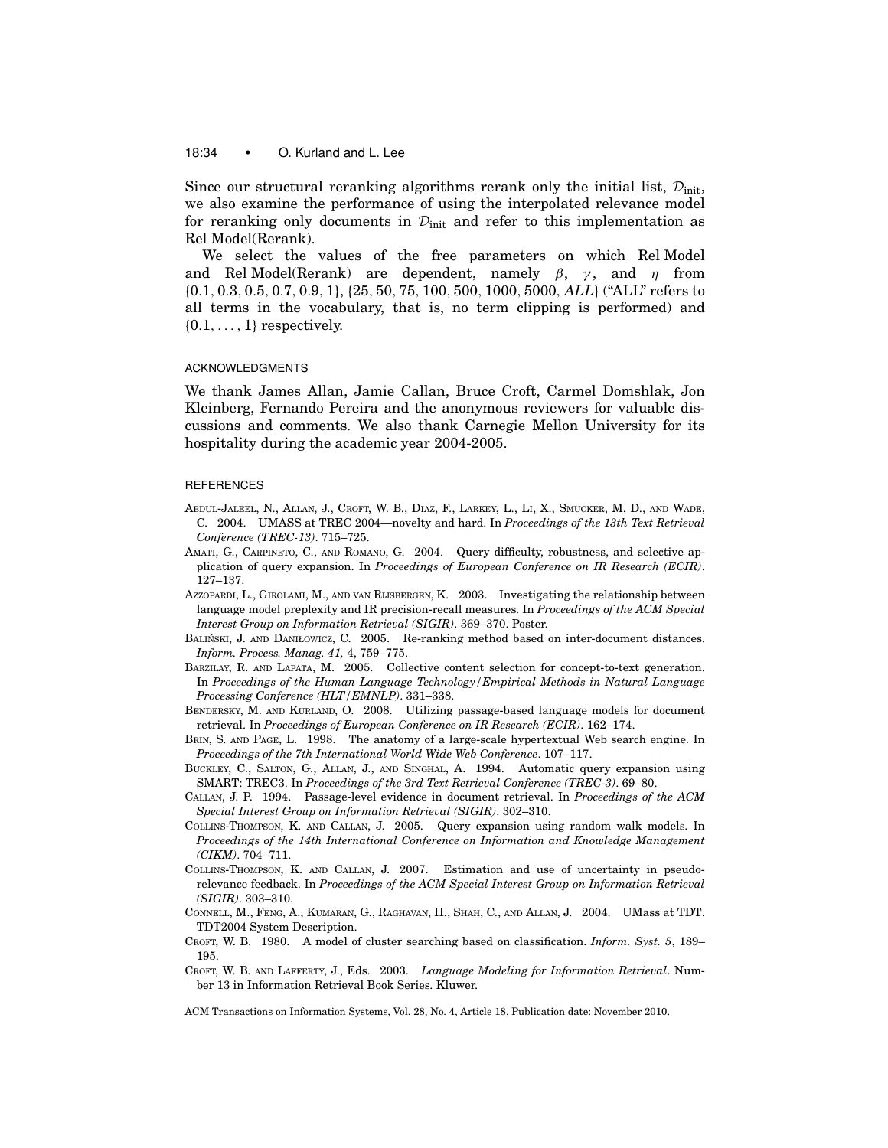## 18:34 • O. Kurland and L. Lee

Since our structural reranking algorithms rerank only the initial list,  $\mathcal{D}_{init}$ , we also examine the performance of using the interpolated relevance model for reranking only documents in  $\mathcal{D}_{init}$  and refer to this implementation as Rel Model(Rerank).

We select the values of the free parameters on which Rel Model and Rel Model(Rerank) are dependent, namely  $\beta$ ,  $\gamma$ , and  $\eta$  from {0.1, 0.3, 0.5, 0.7, 0.9, 1}, {25, 50, 75, 100, 500, 1000, 5000, *ALL*} ("ALL" refers to all terms in the vocabulary, that is, no term clipping is performed) and  $\{0.1,\ldots,1\}$  respectively.

## ACKNOWLEDGMENTS

We thank James Allan, Jamie Callan, Bruce Croft, Carmel Domshlak, Jon Kleinberg, Fernando Pereira and the anonymous reviewers for valuable discussions and comments. We also thank Carnegie Mellon University for its hospitality during the academic year 2004-2005.

#### REFERENCES

- ABDUL-JALEEL, N., ALLAN, J., CROFT, W. B., DIAZ, F., LARKEY, L., LI, X., SMUCKER, M. D., AND WADE, C. 2004. UMASS at TREC 2004—novelty and hard. In *Proceedings of the 13th Text Retrieval Conference (TREC-13)*. 715–725.
- AMATI, G., CARPINETO, C., AND ROMANO, G. 2004. Query difficulty, robustness, and selective application of query expansion. In *Proceedings of European Conference on IR Research (ECIR)*. 127–137.
- AZZOPARDI, L., GIROLAMI, M., AND VAN RIJSBERGEN, K. 2003. Investigating the relationship between language model preplexity and IR precision-recall measures. In *Proceedings of the ACM Special Interest Group on Information Retrieval (SIGIR)*. 369–370. Poster.
- BALINSKI, J. AND DANIŁOWICZ, C. 2005. Re-ranking method based on inter-document distances. *Inform. Process. Manag. 41,* 4, 759–775.
- BARZILAY, R. AND LAPATA, M. 2005. Collective content selection for concept-to-text generation. In *Proceedings of the Human Language Technology/Empirical Methods in Natural Language Processing Conference (HLT/EMNLP)*. 331–338.
- BENDERSKY, M. AND KURLAND, O. 2008. Utilizing passage-based language models for document retrieval. In *Proceedings of European Conference on IR Research (ECIR)*. 162–174.
- BRIN, S. AND PAGE, L. 1998. The anatomy of a large-scale hypertextual Web search engine. In *Proceedings of the 7th International World Wide Web Conference*. 107–117.
- BUCKLEY, C., SALTON, G., ALLAN, J., AND SINGHAL, A. 1994. Automatic query expansion using SMART: TREC3. In *Proceedings of the 3rd Text Retrieval Conference (TREC-3)*. 69–80.
- CALLAN, J. P. 1994. Passage-level evidence in document retrieval. In *Proceedings of the ACM Special Interest Group on Information Retrieval (SIGIR)*. 302–310.
- COLLINS-THOMPSON, K. AND CALLAN, J. 2005. Query expansion using random walk models. In *Proceedings of the 14th International Conference on Information and Knowledge Management (CIKM)*. 704–711.
- COLLINS-THOMPSON, K. AND CALLAN, J. 2007. Estimation and use of uncertainty in pseudorelevance feedback. In *Proceedings of the ACM Special Interest Group on Information Retrieval (SIGIR)*. 303–310.
- CONNELL, M., FENG, A., KUMARAN, G., RAGHAVAN, H., SHAH, C., AND ALLAN, J. 2004. UMass at TDT. TDT2004 System Description.
- CROFT, W. B. 1980. A model of cluster searching based on classification. *Inform. Syst. 5*, 189– 195.
- CROFT, W. B. AND LAFFERTY, J., Eds. 2003. *Language Modeling for Information Retrieval*. Number 13 in Information Retrieval Book Series. Kluwer.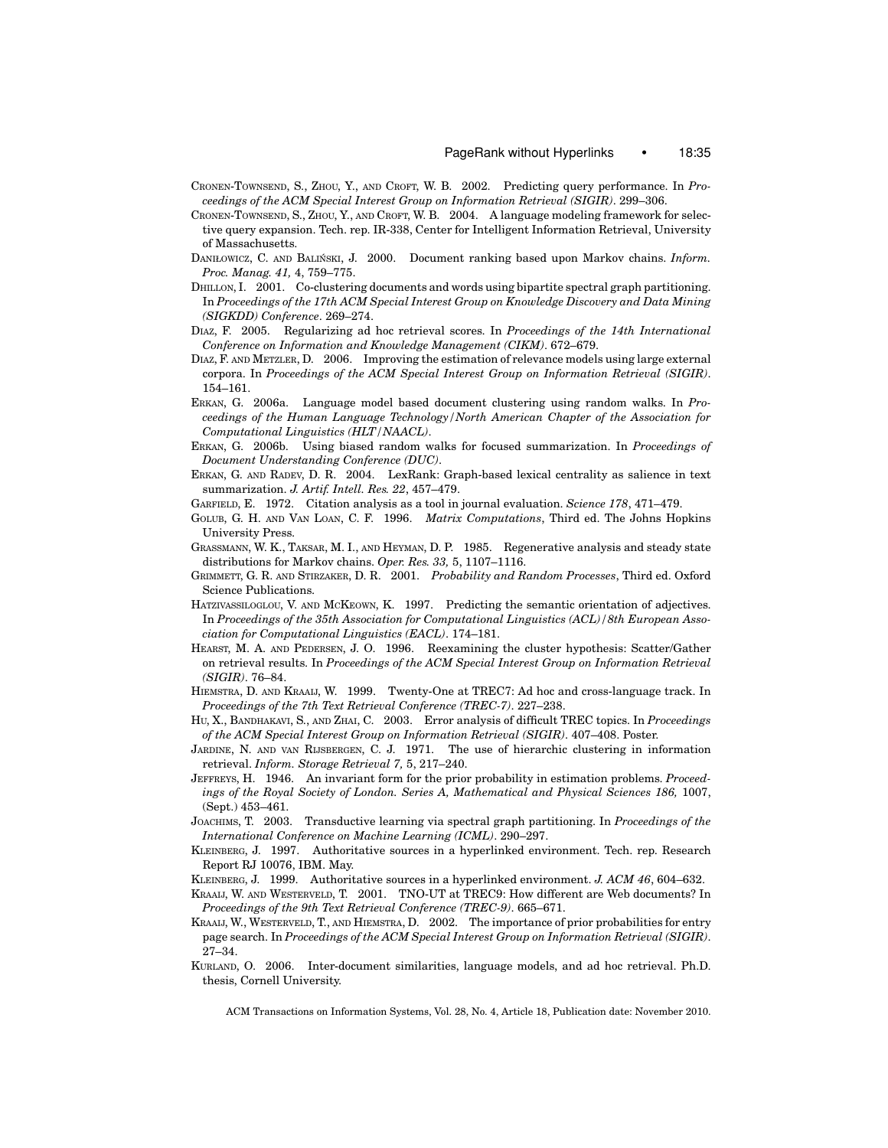- CRONEN-TOWNSEND, S., ZHOU, Y., AND CROFT, W. B. 2002. Predicting query performance. In *Proceedings of the ACM Special Interest Group on Information Retrieval (SIGIR)*. 299–306.
- CRONEN-TOWNSEND, S., ZHOU, Y., AND CROFT, W. B. 2004. A language modeling framework for selective query expansion. Tech. rep. IR-338, Center for Intelligent Information Retrieval, University of Massachusetts.
- DANIŁOWICZ, C. AND BALIŃSKI, J. 2000. Document ranking based upon Markov chains. *Inform. Proc. Manag. 41,* 4, 759–775.
- DHILLON, I. 2001. Co-clustering documents and words using bipartite spectral graph partitioning. In *Proceedings of the 17th ACM Special Interest Group on Knowledge Discovery and Data Mining (SIGKDD) Conference*. 269–274.
- DIAZ, F. 2005. Regularizing ad hoc retrieval scores. In *Proceedings of the 14th International Conference on Information and Knowledge Management (CIKM)*. 672–679.
- DIAZ, F. AND METZLER, D. 2006. Improving the estimation of relevance models using large external corpora. In *Proceedings of the ACM Special Interest Group on Information Retrieval (SIGIR)*. 154–161.
- ERKAN, G. 2006a. Language model based document clustering using random walks. In *Proceedings of the Human Language Technology/North American Chapter of the Association for Computational Linguistics (HLT/NAACL)*.
- ERKAN, G. 2006b. Using biased random walks for focused summarization. In *Proceedings of Document Understanding Conference (DUC)*.
- ERKAN, G. AND RADEV, D. R. 2004. LexRank: Graph-based lexical centrality as salience in text summarization. *J. Artif. Intell. Res. 22*, 457–479.
- GARFIELD, E. 1972. Citation analysis as a tool in journal evaluation. *Science 178*, 471–479.
- GOLUB, G. H. AND VAN LOAN, C. F. 1996. *Matrix Computations*, Third ed. The Johns Hopkins University Press.
- GRASSMANN, W. K., TAKSAR, M. I., AND HEYMAN, D. P. 1985. Regenerative analysis and steady state distributions for Markov chains. *Oper. Res. 33,* 5, 1107–1116.
- GRIMMETT, G. R. AND STIRZAKER, D. R. 2001. *Probability and Random Processes*, Third ed. Oxford Science Publications.
- HATZIVASSILOGLOU, V. AND MCKEOWN, K. 1997. Predicting the semantic orientation of adjectives. In *Proceedings of the 35th Association for Computational Linguistics (ACL)/8th European Association for Computational Linguistics (EACL)*. 174–181.
- HEARST, M. A. AND PEDERSEN, J. O. 1996. Reexamining the cluster hypothesis: Scatter/Gather on retrieval results. In *Proceedings of the ACM Special Interest Group on Information Retrieval (SIGIR)*. 76–84.
- HIEMSTRA, D. AND KRAAIJ, W. 1999. Twenty-One at TREC7: Ad hoc and cross-language track. In *Proceedings of the 7th Text Retrieval Conference (TREC-7)*. 227–238.
- HU, X., BANDHAKAVI, S., AND ZHAI, C. 2003. Error analysis of difficult TREC topics. In *Proceedings of the ACM Special Interest Group on Information Retrieval (SIGIR)*. 407–408. Poster.
- JARDINE, N. AND VAN RIJSBERGEN, C. J. 1971. The use of hierarchic clustering in information retrieval. *Inform. Storage Retrieval 7,* 5, 217–240.
- JEFFREYS, H. 1946. An invariant form for the prior probability in estimation problems. *Proceedings of the Royal Society of London. Series A, Mathematical and Physical Sciences 186,* 1007, (Sept.) 453–461.
- JOACHIMS, T. 2003. Transductive learning via spectral graph partitioning. In *Proceedings of the International Conference on Machine Learning (ICML)*. 290–297.
- KLEINBERG, J. 1997. Authoritative sources in a hyperlinked environment. Tech. rep. Research Report RJ 10076, IBM. May.
- KLEINBERG, J. 1999. Authoritative sources in a hyperlinked environment. *J. ACM 46*, 604–632.
- KRAAIJ, W. AND WESTERVELD, T. 2001. TNO-UT at TREC9: How different are Web documents? In *Proceedings of the 9th Text Retrieval Conference (TREC-9)*. 665–671.
- KRAAIJ, W., WESTERVELD, T., AND HIEMSTRA, D. 2002. The importance of prior probabilities for entry page search. In *Proceedings of the ACM Special Interest Group on Information Retrieval (SIGIR)*. 27–34.
- KURLAND, O. 2006. Inter-document similarities, language models, and ad hoc retrieval. Ph.D. thesis, Cornell University.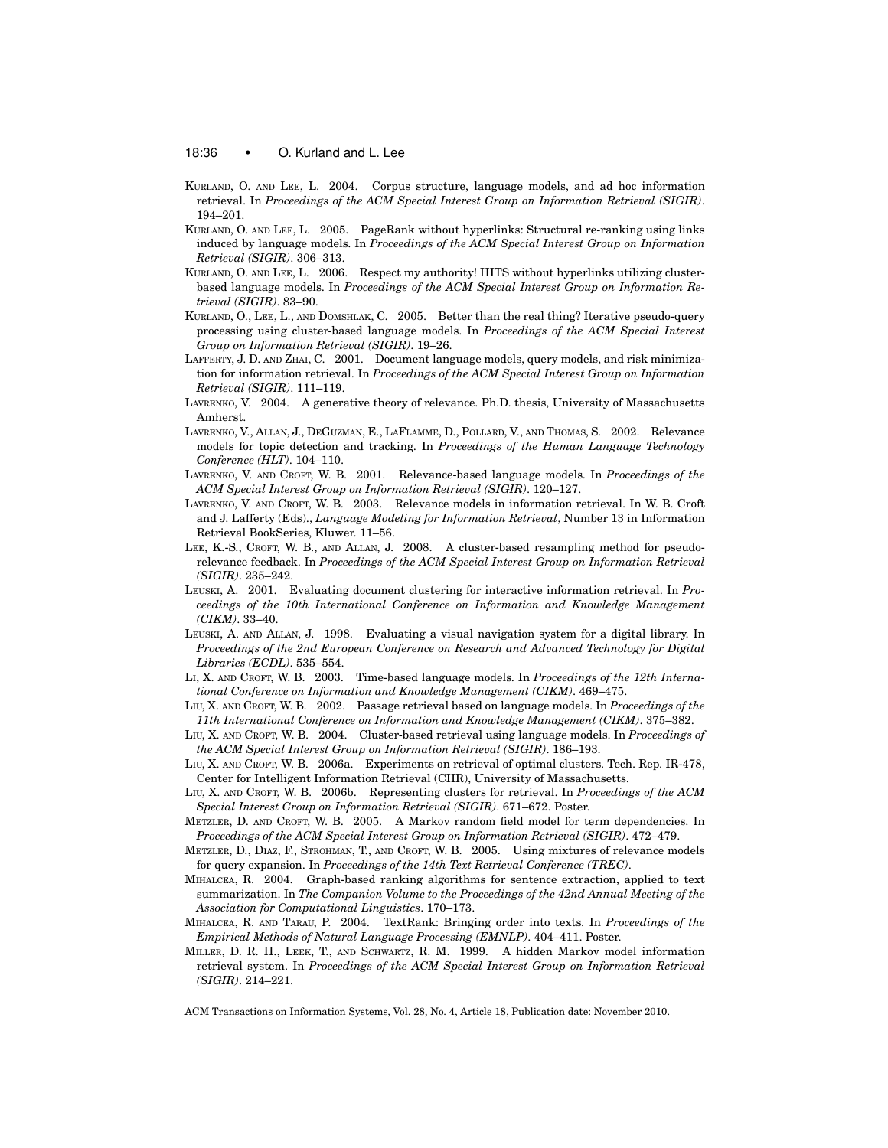## 18:36 • O. Kurland and L. Lee

- KURLAND, O. AND LEE, L. 2004. Corpus structure, language models, and ad hoc information retrieval. In *Proceedings of the ACM Special Interest Group on Information Retrieval (SIGIR)*. 194–201.
- KURLAND, O. AND LEE, L. 2005. PageRank without hyperlinks: Structural re-ranking using links induced by language models. In *Proceedings of the ACM Special Interest Group on Information Retrieval (SIGIR)*. 306–313.
- KURLAND, O. AND LEE, L. 2006. Respect my authority! HITS without hyperlinks utilizing clusterbased language models. In *Proceedings of the ACM Special Interest Group on Information Retrieval (SIGIR)*. 83–90.
- KURLAND, O., LEE, L., AND DOMSHLAK, C. 2005. Better than the real thing? Iterative pseudo-query processing using cluster-based language models. In *Proceedings of the ACM Special Interest Group on Information Retrieval (SIGIR)*. 19–26.
- LAFFERTY, J. D. AND ZHAI, C. 2001. Document language models, query models, and risk minimization for information retrieval. In *Proceedings of the ACM Special Interest Group on Information Retrieval (SIGIR)*. 111–119.
- LAVRENKO, V. 2004. A generative theory of relevance. Ph.D. thesis, University of Massachusetts Amherst.
- LAVRENKO, V., ALLAN, J., DEGUZMAN, E., LAFLAMME, D., POLLARD, V., AND THOMAS, S. 2002. Relevance models for topic detection and tracking. In *Proceedings of the Human Language Technology Conference (HLT)*. 104–110.
- LAVRENKO, V. AND CROFT, W. B. 2001. Relevance-based language models. In *Proceedings of the ACM Special Interest Group on Information Retrieval (SIGIR)*. 120–127.
- LAVRENKO, V. AND CROFT, W. B. 2003. Relevance models in information retrieval. In W. B. Croft and J. Lafferty (Eds)., *Language Modeling for Information Retrieval*, Number 13 in Information Retrieval BookSeries, Kluwer. 11–56.
- LEE, K.-S., CROFT, W. B., AND ALLAN, J. 2008. A cluster-based resampling method for pseudorelevance feedback. In *Proceedings of the ACM Special Interest Group on Information Retrieval (SIGIR)*. 235–242.
- LEUSKI, A. 2001. Evaluating document clustering for interactive information retrieval. In *Proceedings of the 10th International Conference on Information and Knowledge Management (CIKM)*. 33–40.
- LEUSKI, A. AND ALLAN, J. 1998. Evaluating a visual navigation system for a digital library. In *Proceedings of the 2nd European Conference on Research and Advanced Technology for Digital Libraries (ECDL)*. 535–554.
- LI, X. AND CROFT, W. B. 2003. Time-based language models. In *Proceedings of the 12th International Conference on Information and Knowledge Management (CIKM)*. 469–475.
- LIU, X. AND CROFT, W. B. 2002. Passage retrieval based on language models. In *Proceedings of the 11th International Conference on Information and Knowledge Management (CIKM)*. 375–382.
- LIU, X. AND CROFT, W. B. 2004. Cluster-based retrieval using language models. In *Proceedings of the ACM Special Interest Group on Information Retrieval (SIGIR)*. 186–193.
- LIU, X. AND CROFT, W. B. 2006a. Experiments on retrieval of optimal clusters. Tech. Rep. IR-478, Center for Intelligent Information Retrieval (CIIR), University of Massachusetts.
- LIU, X. AND CROFT, W. B. 2006b. Representing clusters for retrieval. In *Proceedings of the ACM Special Interest Group on Information Retrieval (SIGIR)*. 671–672. Poster.
- METZLER, D. AND CROFT, W. B. 2005. A Markov random field model for term dependencies. In *Proceedings of the ACM Special Interest Group on Information Retrieval (SIGIR)*. 472–479.
- METZLER, D., DIAZ, F., STROHMAN, T., AND CROFT, W. B. 2005. Using mixtures of relevance models for query expansion. In *Proceedings of the 14th Text Retrieval Conference (TREC)*.
- MIHALCEA, R. 2004. Graph-based ranking algorithms for sentence extraction, applied to text summarization. In *The Companion Volume to the Proceedings of the 42nd Annual Meeting of the Association for Computational Linguistics*. 170–173.
- MIHALCEA, R. AND TARAU, P. 2004. TextRank: Bringing order into texts. In *Proceedings of the Empirical Methods of Natural Language Processing (EMNLP)*. 404–411. Poster.
- MILLER, D. R. H., LEEK, T., AND SCHWARTZ, R. M. 1999. A hidden Markov model information retrieval system. In *Proceedings of the ACM Special Interest Group on Information Retrieval (SIGIR)*. 214–221.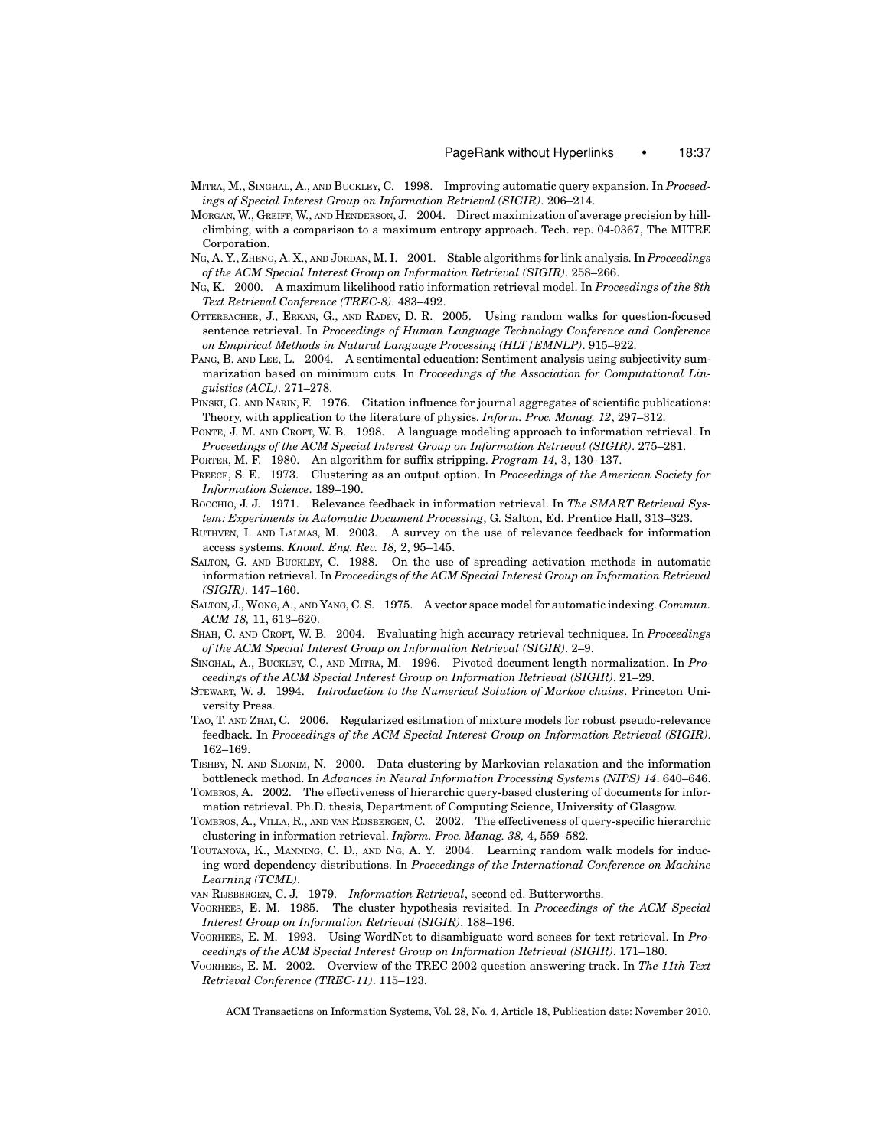- MITRA, M., SINGHAL, A., AND BUCKLEY, C. 1998. Improving automatic query expansion. In *Proceedings of Special Interest Group on Information Retrieval (SIGIR)*. 206–214.
- MORGAN, W., GREIFF, W., AND HENDERSON, J. 2004. Direct maximization of average precision by hillclimbing, with a comparison to a maximum entropy approach. Tech. rep. 04-0367, The MITRE Corporation.
- NG, A. Y., ZHENG, A. X., AND JORDAN, M. I. 2001. Stable algorithms for link analysis. In *Proceedings of the ACM Special Interest Group on Information Retrieval (SIGIR)*. 258–266.
- NG, K. 2000. A maximum likelihood ratio information retrieval model. In *Proceedings of the 8th Text Retrieval Conference (TREC-8)*. 483–492.
- OTTERBACHER, J., ERKAN, G., AND RADEV, D. R. 2005. Using random walks for question-focused sentence retrieval. In *Proceedings of Human Language Technology Conference and Conference on Empirical Methods in Natural Language Processing (HLT/EMNLP)*. 915–922.
- PANG, B. AND LEE, L. 2004. A sentimental education: Sentiment analysis using subjectivity summarization based on minimum cuts. In *Proceedings of the Association for Computational Linguistics (ACL)*. 271–278.
- PINSKI, G. AND NARIN, F. 1976. Citation influence for journal aggregates of scientific publications: Theory, with application to the literature of physics. *Inform. Proc. Manag. 12*, 297–312.
- PONTE, J. M. AND CROFT, W. B. 1998. A language modeling approach to information retrieval. In *Proceedings of the ACM Special Interest Group on Information Retrieval (SIGIR)*. 275–281.
- PORTER, M. F. 1980. An algorithm for suffix stripping. *Program 14,* 3, 130–137.
- PREECE, S. E. 1973. Clustering as an output option. In *Proceedings of the American Society for Information Science*. 189–190.
- ROCCHIO, J. J. 1971. Relevance feedback in information retrieval. In *The SMART Retrieval System: Experiments in Automatic Document Processing*, G. Salton, Ed. Prentice Hall, 313–323.
- RUTHVEN, I. AND LALMAS, M. 2003. A survey on the use of relevance feedback for information access systems. *Knowl. Eng. Rev. 18,* 2, 95–145.
- SALTON, G. AND BUCKLEY, C. 1988. On the use of spreading activation methods in automatic information retrieval. In *Proceedings of the ACM Special Interest Group on Information Retrieval (SIGIR)*. 147–160.
- SALTON, J., WONG, A., AND YANG, C. S. 1975. A vector space model for automatic indexing. *Commun. ACM 18,* 11, 613–620.
- SHAH, C. AND CROFT, W. B. 2004. Evaluating high accuracy retrieval techniques. In *Proceedings of the ACM Special Interest Group on Information Retrieval (SIGIR)*. 2–9.
- SINGHAL, A., BUCKLEY, C., AND MITRA, M. 1996. Pivoted document length normalization. In *Proceedings of the ACM Special Interest Group on Information Retrieval (SIGIR)*. 21–29.
- STEWART, W. J. 1994. *Introduction to the Numerical Solution of Markov chains*. Princeton University Press.
- TAO, T. AND ZHAI, C. 2006. Regularized esitmation of mixture models for robust pseudo-relevance feedback. In *Proceedings of the ACM Special Interest Group on Information Retrieval (SIGIR)*. 162–169.
- TISHBY, N. AND SLONIM, N. 2000. Data clustering by Markovian relaxation and the information bottleneck method. In *Advances in Neural Information Processing Systems (NIPS) 14*. 640–646.
- TOMBROS, A. 2002. The effectiveness of hierarchic query-based clustering of documents for information retrieval. Ph.D. thesis, Department of Computing Science, University of Glasgow.
- TOMBROS, A., VILLA, R., AND VAN RIJSBERGEN, C. 2002. The effectiveness of query-specific hierarchic clustering in information retrieval. *Inform. Proc. Manag. 38,* 4, 559–582.
- TOUTANOVA, K., MANNING, C. D., AND NG, A. Y. 2004. Learning random walk models for inducing word dependency distributions. In *Proceedings of the International Conference on Machine Learning (TCML)*.
- VAN RIJSBERGEN, C. J. 1979. *Information Retrieval*, second ed. Butterworths.
- VOORHEES, E. M. 1985. The cluster hypothesis revisited. In *Proceedings of the ACM Special Interest Group on Information Retrieval (SIGIR)*. 188–196.
- VOORHEES, E. M. 1993. Using WordNet to disambiguate word senses for text retrieval. In *Proceedings of the ACM Special Interest Group on Information Retrieval (SIGIR)*. 171–180.
- VOORHEES, E. M. 2002. Overview of the TREC 2002 question answering track. In *The 11th Text Retrieval Conference (TREC-11)*. 115–123.